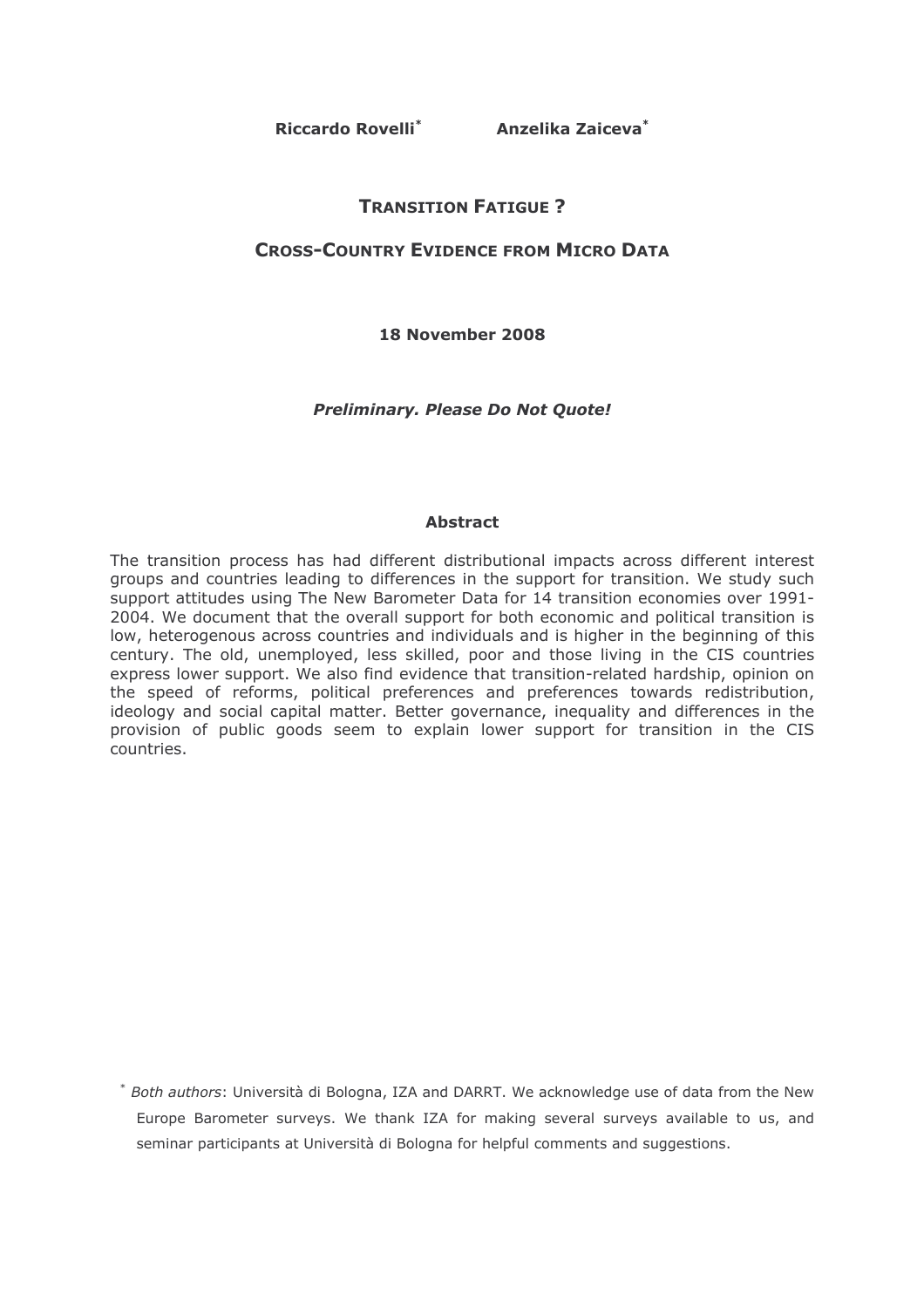Riccardo Rovelli<sup>\*</sup> Anzelika Zaiceva<sup>\*</sup>

# **TRANSITION FATIGUE ?**

# **CROSS-COUNTRY EVIDENCE FROM MICRO DATA**

18 November 2008

**Preliminary. Please Do Not Quote!** 

### **Abstract**

The transition process has had different distributional impacts across different interest groups and countries leading to differences in the support for transition. We study such support attitudes using The New Barometer Data for 14 transition economies over 1991-2004. We document that the overall support for both economic and political transition is low, heterogenous across countries and individuals and is higher in the beginning of this century. The old, unemployed, less skilled, poor and those living in the CIS countries express lower support. We also find evidence that transition-related hardship, opinion on the speed of reforms, political preferences and preferences towards redistribution, ideology and social capital matter. Better governance, inequality and differences in the provision of public goods seem to explain lower support for transition in the CIS countries.

\* Both authors: Università di Bologna, IZA and DARRT. We acknowledge use of data from the New Europe Barometer surveys. We thank IZA for making several surveys available to us, and seminar participants at Università di Bologna for helpful comments and suggestions.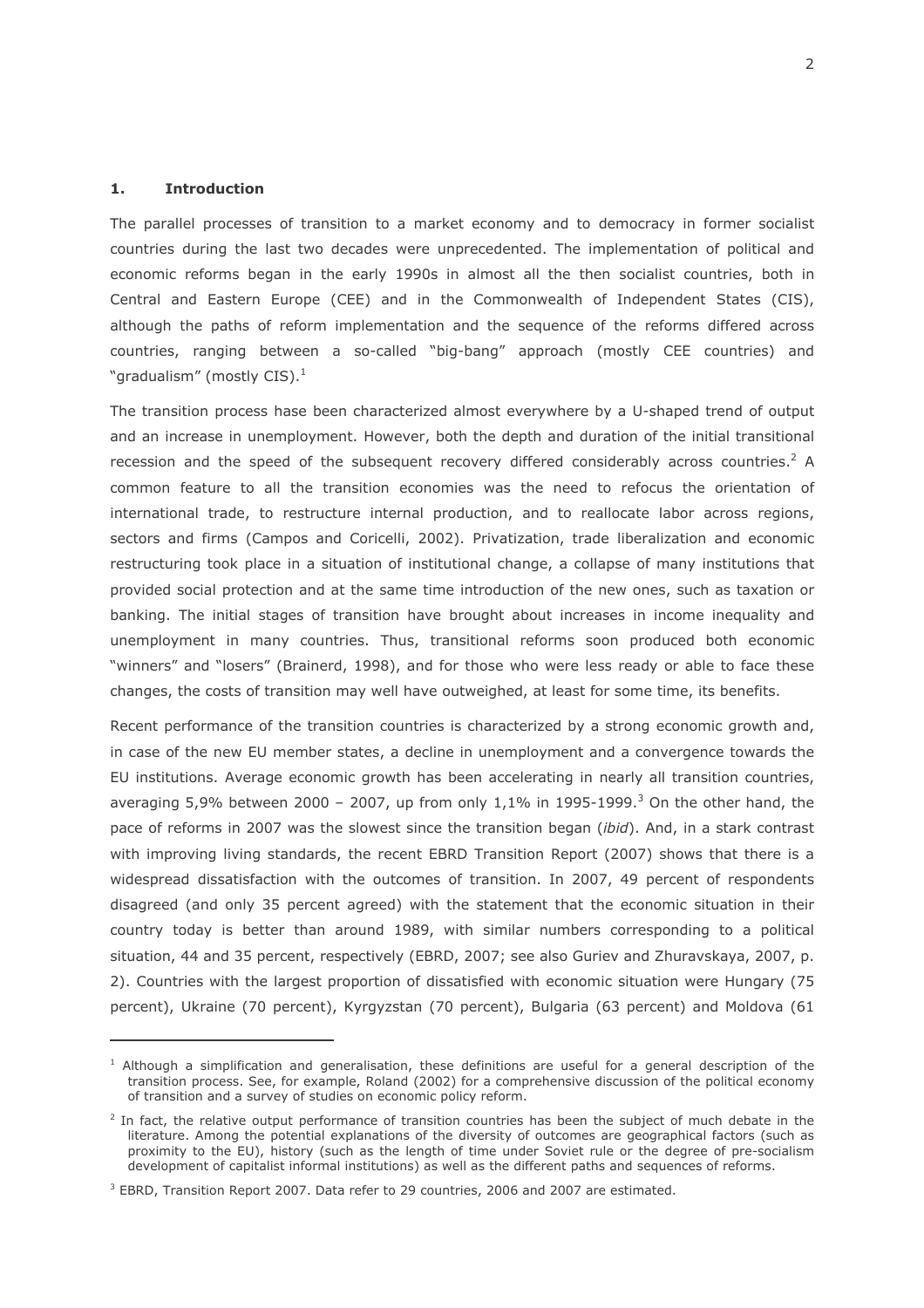#### $\mathbf{1}$ . **Introduction**

The parallel processes of transition to a market economy and to democracy in former socialist countries during the last two decades were unprecedented. The implementation of political and economic reforms began in the early 1990s in almost all the then socialist countries, both in Central and Eastern Europe (CEE) and in the Commonwealth of Independent States (CIS), although the paths of reform implementation and the sequence of the reforms differed across countries, ranging between a so-called "big-bang" approach (mostly CEE countries) and "gradualism" (mostly CIS). $<sup>1</sup>$ </sup>

The transition process hase been characterized almost everywhere by a U-shaped trend of output and an increase in unemployment. However, both the depth and duration of the initial transitional recession and the speed of the subsequent recovery differed considerably across countries.<sup>2</sup> A common feature to all the transition economies was the need to refocus the orientation of international trade, to restructure internal production, and to reallocate labor across regions, sectors and firms (Campos and Coricelli, 2002). Privatization, trade liberalization and economic restructuring took place in a situation of institutional change, a collapse of many institutions that provided social protection and at the same time introduction of the new ones, such as taxation or banking. The initial stages of transition have brought about increases in income inequality and unemployment in many countries. Thus, transitional reforms soon produced both economic "winners" and "losers" (Brainerd, 1998), and for those who were less ready or able to face these changes, the costs of transition may well have outweighed, at least for some time, its benefits.

Recent performance of the transition countries is characterized by a strong economic growth and, in case of the new EU member states, a decline in unemployment and a convergence towards the EU institutions. Average economic growth has been accelerating in nearly all transition countries, averaging 5,9% between 2000 - 2007, up from only  $1,1\%$  in 1995-1999.<sup>3</sup> On the other hand, the pace of reforms in 2007 was the slowest since the transition began (ibid). And, in a stark contrast with improving living standards, the recent EBRD Transition Report (2007) shows that there is a widespread dissatisfaction with the outcomes of transition. In 2007, 49 percent of respondents disagreed (and only 35 percent agreed) with the statement that the economic situation in their country today is better than around 1989, with similar numbers corresponding to a political situation, 44 and 35 percent, respectively (EBRD, 2007; see also Guriev and Zhuravskaya, 2007, p. 2). Countries with the largest proportion of dissatisfied with economic situation were Hungary (75 percent), Ukraine (70 percent), Kyrgyzstan (70 percent), Bulgaria (63 percent) and Moldova (61

<sup>&</sup>lt;sup>1</sup> Although a simplification and generalisation, these definitions are useful for a general description of the transition process. See, for example, Roland (2002) for a comprehensive discussion of the political economy of transition and a survey of studies on economic policy reform.

<sup>&</sup>lt;sup>2</sup> In fact, the relative output performance of transition countries has been the subject of much debate in the literature. Among the potential explanations of the diversity of outcomes are geographical factors (such as proximity to the EU), history (such as the length of time under Soviet rule or the degree of pre-socialism development of capitalist informal institutions) as well as the different paths and sequences of reforms.

<sup>&</sup>lt;sup>3</sup> EBRD, Transition Report 2007. Data refer to 29 countries, 2006 and 2007 are estimated.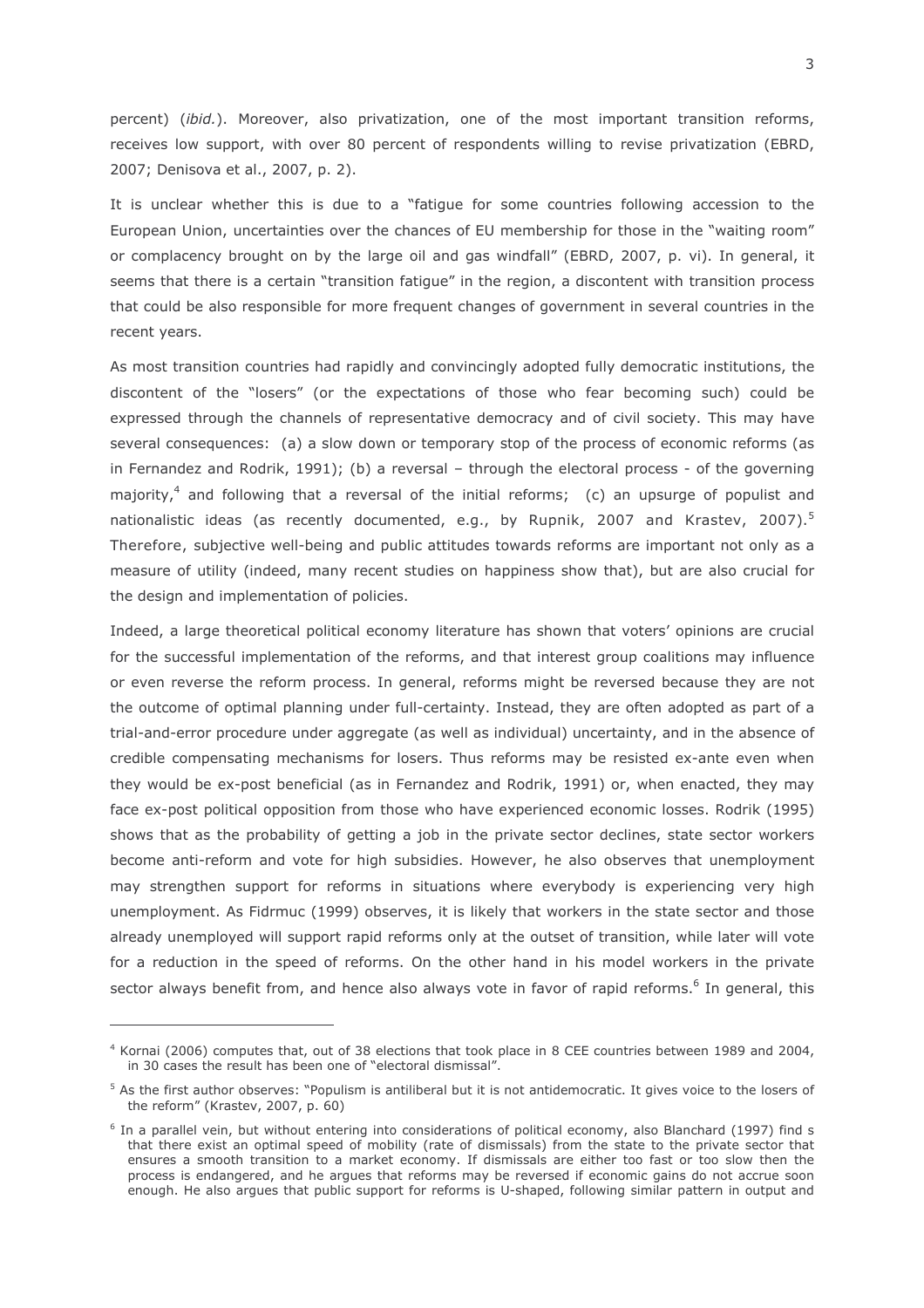percent) (ibid.). Moreover, also privatization, one of the most important transition reforms, receives low support, with over 80 percent of respondents willing to revise privatization (EBRD, 2007; Denisova et al., 2007, p. 2).

It is unclear whether this is due to a "fatique for some countries following accession to the European Union, uncertainties over the chances of EU membership for those in the "waiting room" or complacency brought on by the large oil and gas windfall" (EBRD, 2007, p. vi). In general, it seems that there is a certain "transition fatique" in the region, a discontent with transition process that could be also responsible for more frequent changes of government in several countries in the recent years.

As most transition countries had rapidly and convincingly adopted fully democratic institutions, the discontent of the "losers" (or the expectations of those who fear becoming such) could be expressed through the channels of representative democracy and of civil society. This may have several consequences: (a) a slow down or temporary stop of the process of economic reforms (as in Fernandez and Rodrik, 1991); (b) a reversal  $-$  through the electoral process - of the governing majority,<sup>4</sup> and following that a reversal of the initial reforms; (c) an upsurge of populist and nationalistic ideas (as recently documented, e.g., by Rupnik, 2007 and Krastev, 2007).<sup>5</sup> Therefore, subjective well-being and public attitudes towards reforms are important not only as a measure of utility (indeed, many recent studies on happiness show that), but are also crucial for the design and implementation of policies.

Indeed, a large theoretical political economy literature has shown that voters' opinions are crucial for the successful implementation of the reforms, and that interest group coalitions may influence or even reverse the reform process. In general, reforms might be reversed because they are not the outcome of optimal planning under full-certainty. Instead, they are often adopted as part of a trial-and-error procedure under aggregate (as well as individual) uncertainty, and in the absence of credible compensating mechanisms for losers. Thus reforms may be resisted ex-ante even when they would be ex-post beneficial (as in Fernandez and Rodrik, 1991) or, when enacted, they may face ex-post political opposition from those who have experienced economic losses. Rodrik (1995) shows that as the probability of getting a job in the private sector declines, state sector workers become anti-reform and vote for high subsidies. However, he also observes that unemployment may strengthen support for reforms in situations where everybody is experiencing very high unemployment. As Fidrmuc (1999) observes, it is likely that workers in the state sector and those already unemployed will support rapid reforms only at the outset of transition, while later will vote for a reduction in the speed of reforms. On the other hand in his model workers in the private sector always benefit from, and hence also always vote in favor of rapid reforms.<sup>6</sup> In general, this

<sup>&</sup>lt;sup>4</sup> Kornai (2006) computes that, out of 38 elections that took place in 8 CEE countries between 1989 and 2004, in 30 cases the result has been one of "electoral dismissal".

 $5$  As the first author observes: "Populism is antiliberal but it is not antidemocratic. It gives voice to the losers of the reform" (Krastev, 2007, p. 60)

 $6$  In a parallel vein, but without entering into considerations of political economy, also Blanchard (1997) find s that there exist an optimal speed of mobility (rate of dismissals) from the state to the private sector that ensures a smooth transition to a market economy. If dismissals are either too fast or too slow then the process is endangered, and he argues that reforms may be reversed if economic gains do not accrue soon enough. He also argues that public support for reforms is U-shaped, following similar pattern in output and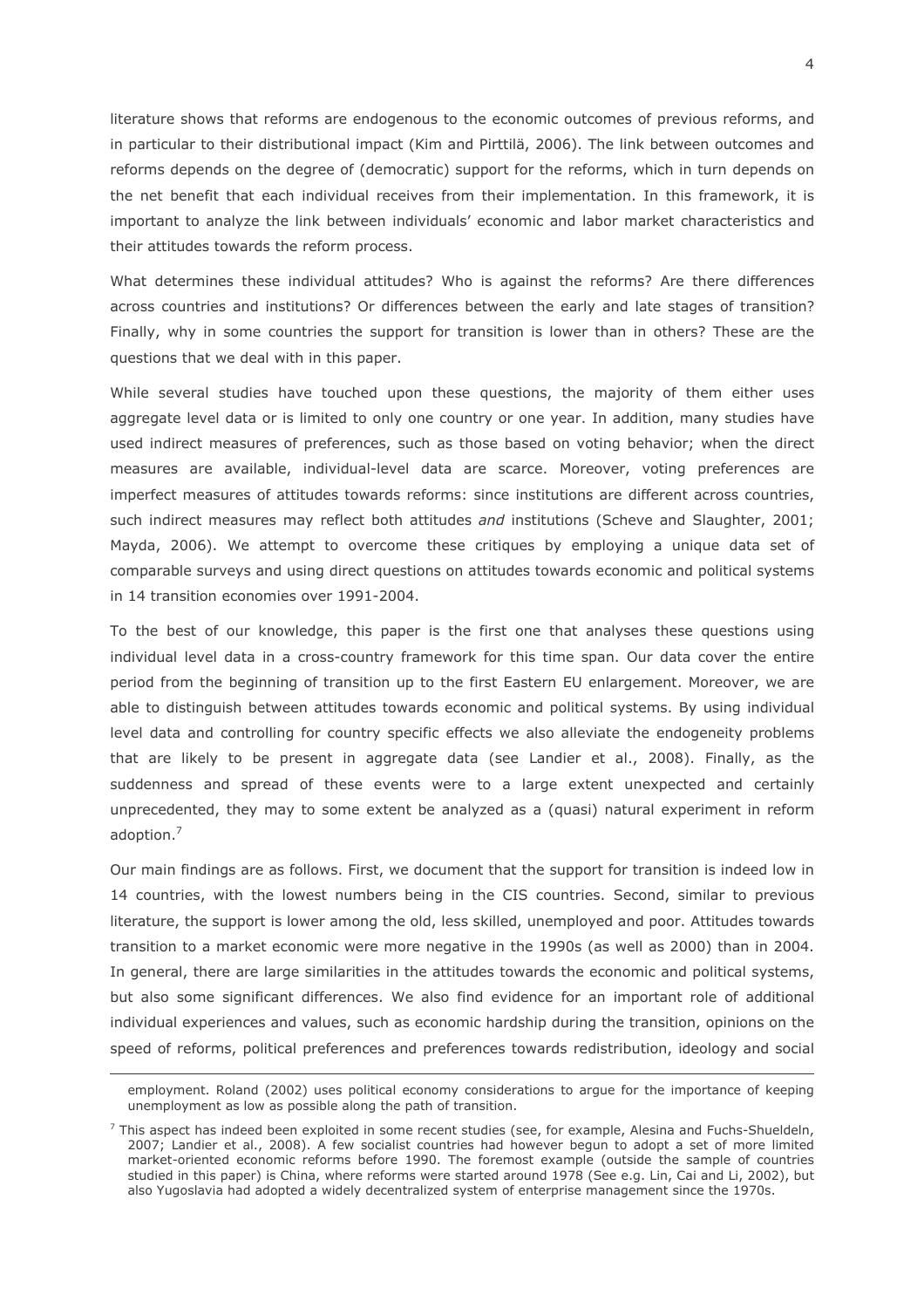literature shows that reforms are endogenous to the economic outcomes of previous reforms, and in particular to their distributional impact (Kim and Pirttilä, 2006). The link between outcomes and reforms depends on the degree of (democratic) support for the reforms, which in turn depends on the net benefit that each individual receives from their implementation. In this framework, it is important to analyze the link between individuals' economic and labor market characteristics and their attitudes towards the reform process.

What determines these individual attitudes? Who is against the reforms? Are there differences across countries and institutions? Or differences between the early and late stages of transition? Finally, why in some countries the support for transition is lower than in others? These are the questions that we deal with in this paper.

While several studies have touched upon these questions, the majority of them either uses aggregate level data or is limited to only one country or one year. In addition, many studies have used indirect measures of preferences, such as those based on voting behavior; when the direct measures are available, individual-level data are scarce. Moreover, voting preferences are imperfect measures of attitudes towards reforms: since institutions are different across countries, such indirect measures may reflect both attitudes and institutions (Scheve and Slaughter, 2001; Mayda, 2006). We attempt to overcome these critiques by employing a unique data set of comparable surveys and using direct questions on attitudes towards economic and political systems in 14 transition economies over 1991-2004.

To the best of our knowledge, this paper is the first one that analyses these questions using individual level data in a cross-country framework for this time span. Our data cover the entire period from the beginning of transition up to the first Eastern EU enlargement. Moreover, we are able to distinguish between attitudes towards economic and political systems. By using individual level data and controlling for country specific effects we also alleviate the endogeneity problems that are likely to be present in aggregate data (see Landier et al., 2008). Finally, as the suddenness and spread of these events were to a large extent unexpected and certainly unprecedented, they may to some extent be analyzed as a (quasi) natural experiment in reform adoption.<sup>7</sup>

Our main findings are as follows. First, we document that the support for transition is indeed low in 14 countries, with the lowest numbers being in the CIS countries. Second, similar to previous literature, the support is lower among the old, less skilled, unemployed and poor. Attitudes towards transition to a market economic were more negative in the 1990s (as well as 2000) than in 2004. In general, there are large similarities in the attitudes towards the economic and political systems, but also some significant differences. We also find evidence for an important role of additional individual experiences and values, such as economic hardship during the transition, opinions on the speed of reforms, political preferences and preferences towards redistribution, ideology and social

employment. Roland (2002) uses political economy considerations to argue for the importance of keeping unemployment as low as possible along the path of transition.

 $^7$  This aspect has indeed been exploited in some recent studies (see, for example, Alesina and Fuchs-Shueldeln, 2007; Landier et al., 2008). A few socialist countries had however begun to adopt a set of more limited market-oriented economic reforms before 1990. The foremost example (outside the sample of countries studied in this paper) is China, where reforms were started around 1978 (See e.g. Lin, Cai and Li, 2002), but also Yugoslavia had adopted a widely decentralized system of enterprise management since the 1970s.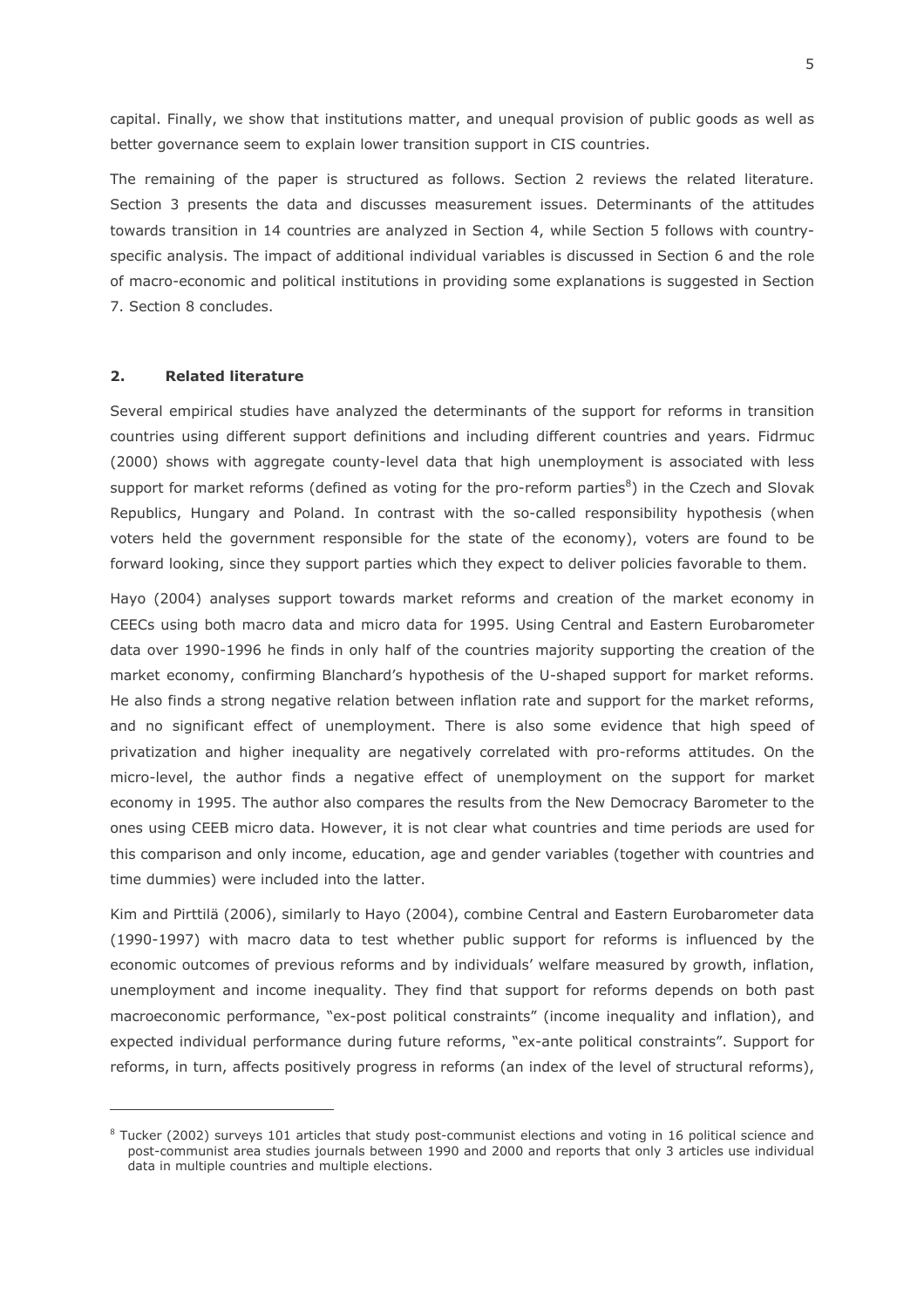capital. Finally, we show that institutions matter, and unequal provision of public goods as well as better governance seem to explain lower transition support in CIS countries.

The remaining of the paper is structured as follows. Section 2 reviews the related literature. Section 3 presents the data and discusses measurement issues. Determinants of the attitudes towards transition in 14 countries are analyzed in Section 4, while Section 5 follows with countryspecific analysis. The impact of additional individual variables is discussed in Section 6 and the role of macro-economic and political institutions in providing some explanations is suggested in Section 7. Section 8 concludes.

#### $2.$ **Related literature**

Several empirical studies have analyzed the determinants of the support for reforms in transition countries using different support definitions and including different countries and years. Fidrmuc (2000) shows with aggregate county-level data that high unemployment is associated with less support for market reforms (defined as voting for the pro-reform parties<sup>8</sup>) in the Czech and Slovak Republics, Hungary and Poland. In contrast with the so-called responsibility hypothesis (when voters held the government responsible for the state of the economy), voters are found to be forward looking, since they support parties which they expect to deliver policies favorable to them.

Hayo (2004) analyses support towards market reforms and creation of the market economy in CEECs using both macro data and micro data for 1995. Using Central and Eastern Eurobarometer data over 1990-1996 he finds in only half of the countries majority supporting the creation of the market economy, confirming Blanchard's hypothesis of the U-shaped support for market reforms. He also finds a strong negative relation between inflation rate and support for the market reforms, and no significant effect of unemployment. There is also some evidence that high speed of privatization and higher inequality are negatively correlated with pro-reforms attitudes. On the micro-level, the author finds a negative effect of unemployment on the support for market economy in 1995. The author also compares the results from the New Democracy Barometer to the ones using CEEB micro data. However, it is not clear what countries and time periods are used for this comparison and only income, education, age and gender variables (together with countries and time dummies) were included into the latter.

Kim and Pirttilä (2006), similarly to Hayo (2004), combine Central and Eastern Eurobarometer data (1990-1997) with macro data to test whether public support for reforms is influenced by the economic outcomes of previous reforms and by individuals' welfare measured by growth, inflation, unemployment and income inequality. They find that support for reforms depends on both past macroeconomic performance, "ex-post political constraints" (income inequality and inflation), and expected individual performance during future reforms, "ex-ante political constraints". Support for reforms, in turn, affects positively progress in reforms (an index of the level of structural reforms),

 $8$  Tucker (2002) surveys 101 articles that study post-communist elections and voting in 16 political science and post-communist area studies journals between 1990 and 2000 and reports that only 3 articles use individual data in multiple countries and multiple elections.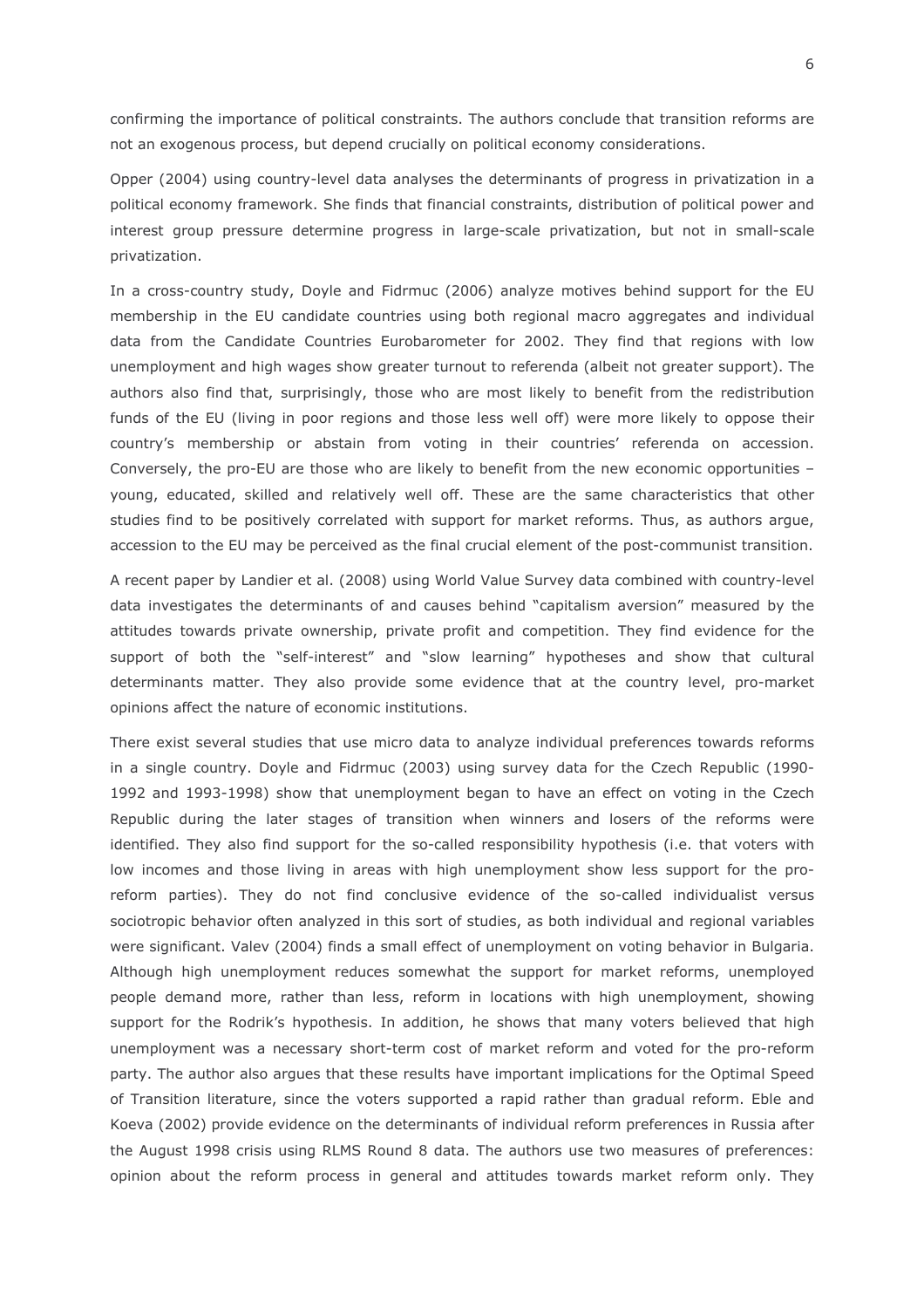confirming the importance of political constraints. The authors conclude that transition reforms are not an exogenous process, but depend crucially on political economy considerations.

Opper (2004) using country-level data analyses the determinants of progress in privatization in a political economy framework. She finds that financial constraints, distribution of political power and interest group pressure determine progress in large-scale privatization, but not in small-scale privatization.

In a cross-country study, Doyle and Fidrmuc (2006) analyze motives behind support for the EU membership in the EU candidate countries using both regional macro aggregates and individual data from the Candidate Countries Eurobarometer for 2002. They find that regions with low unemployment and high wages show greater turnout to referenda (albeit not greater support). The authors also find that, surprisingly, those who are most likely to benefit from the redistribution funds of the EU (living in poor regions and those less well off) were more likely to oppose their country's membership or abstain from voting in their countries' referenda on accession. Conversely, the pro-EU are those who are likely to benefit from the new economic opportunities young, educated, skilled and relatively well off. These are the same characteristics that other studies find to be positively correlated with support for market reforms. Thus, as authors argue, accession to the EU may be perceived as the final crucial element of the post-communist transition.

A recent paper by Landier et al. (2008) using World Value Survey data combined with country-level data investigates the determinants of and causes behind "capitalism aversion" measured by the attitudes towards private ownership, private profit and competition. They find evidence for the support of both the "self-interest" and "slow learning" hypotheses and show that cultural determinants matter. They also provide some evidence that at the country level, pro-market opinions affect the nature of economic institutions.

There exist several studies that use micro data to analyze individual preferences towards reforms in a single country. Doyle and Fidrmuc (2003) using survey data for the Czech Republic (1990-1992 and 1993-1998) show that unemployment began to have an effect on voting in the Czech Republic during the later stages of transition when winners and losers of the reforms were identified. They also find support for the so-called responsibility hypothesis (i.e. that voters with low incomes and those living in areas with high unemployment show less support for the proreform parties). They do not find conclusive evidence of the so-called individualist versus sociotropic behavior often analyzed in this sort of studies, as both individual and regional variables were significant. Valev (2004) finds a small effect of unemployment on voting behavior in Bulgaria. Although high unemployment reduces somewhat the support for market reforms, unemployed people demand more, rather than less, reform in locations with high unemployment, showing support for the Rodrik's hypothesis. In addition, he shows that many voters believed that high unemployment was a necessary short-term cost of market reform and voted for the pro-reform party. The author also argues that these results have important implications for the Optimal Speed of Transition literature, since the voters supported a rapid rather than gradual reform. Eble and Koeva (2002) provide evidence on the determinants of individual reform preferences in Russia after the August 1998 crisis using RLMS Round 8 data. The authors use two measures of preferences: opinion about the reform process in general and attitudes towards market reform only. They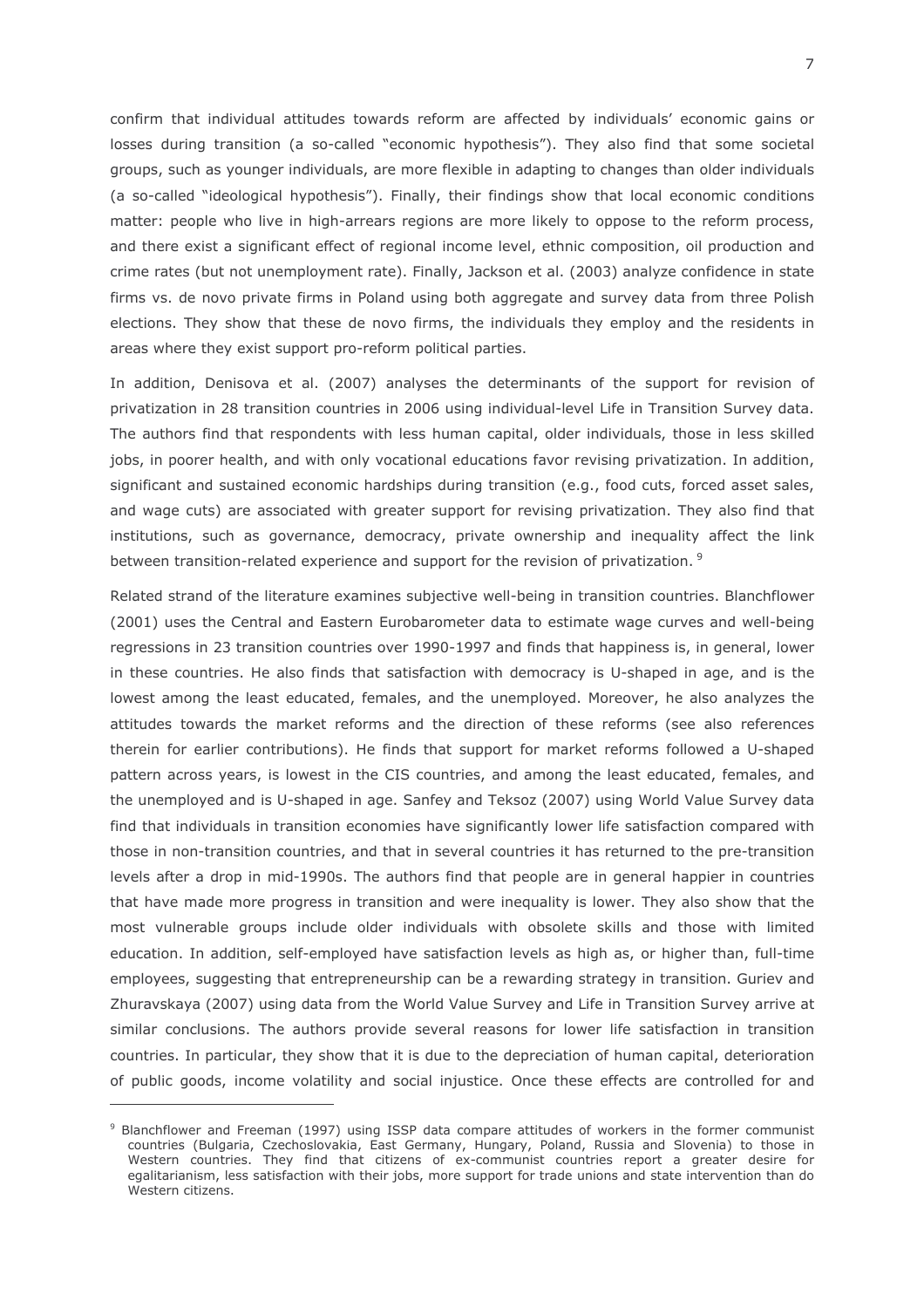confirm that individual attitudes towards reform are affected by individuals' economic gains or losses during transition (a so-called "economic hypothesis"). They also find that some societal groups, such as younger individuals, are more flexible in adapting to changes than older individuals (a so-called "ideological hypothesis"). Finally, their findings show that local economic conditions matter: people who live in high-arrears regions are more likely to oppose to the reform process, and there exist a significant effect of regional income level, ethnic composition, oil production and crime rates (but not unemployment rate). Finally, Jackson et al. (2003) analyze confidence in state firms vs. de novo private firms in Poland using both aggregate and survey data from three Polish elections. They show that these de novo firms, the individuals they employ and the residents in areas where they exist support pro-reform political parties.

In addition, Denisova et al. (2007) analyses the determinants of the support for revision of privatization in 28 transition countries in 2006 using individual-level Life in Transition Survey data. The authors find that respondents with less human capital, older individuals, those in less skilled jobs, in poorer health, and with only vocational educations favor revising privatization. In addition, significant and sustained economic hardships during transition (e.g., food cuts, forced asset sales, and wage cuts) are associated with greater support for revising privatization. They also find that institutions, such as governance, democracy, private ownership and inequality affect the link between transition-related experience and support for the revision of privatization.<sup>9</sup>

Related strand of the literature examines subjective well-being in transition countries. Blanchflower (2001) uses the Central and Eastern Eurobarometer data to estimate wage curves and well-being regressions in 23 transition countries over 1990-1997 and finds that happiness is, in general, lower in these countries. He also finds that satisfaction with democracy is U-shaped in age, and is the lowest among the least educated, females, and the unemployed. Moreover, he also analyzes the attitudes towards the market reforms and the direction of these reforms (see also references therein for earlier contributions). He finds that support for market reforms followed a U-shaped pattern across years, is lowest in the CIS countries, and among the least educated, females, and the unemployed and is U-shaped in age. Sanfey and Teksoz (2007) using World Value Survey data find that individuals in transition economies have significantly lower life satisfaction compared with those in non-transition countries, and that in several countries it has returned to the pre-transition levels after a drop in mid-1990s. The authors find that people are in general happier in countries that have made more progress in transition and were inequality is lower. They also show that the most vulnerable groups include older individuals with obsolete skills and those with limited education. In addition, self-employed have satisfaction levels as high as, or higher than, full-time employees, suggesting that entrepreneurship can be a rewarding strategy in transition. Guriev and Zhuravskaya (2007) using data from the World Value Survey and Life in Transition Survey arrive at similar conclusions. The authors provide several reasons for lower life satisfaction in transition countries. In particular, they show that it is due to the depreciation of human capital, deterioration of public goods, income volatility and social injustice. Once these effects are controlled for and

<sup>&</sup>lt;sup>9</sup> Blanchflower and Freeman (1997) using ISSP data compare attitudes of workers in the former communist countries (Bulgaria, Czechoslovakia, East Germany, Hungary, Poland, Russia and Slovenia) to those in Western countries. They find that citizens of ex-communist countries report a greater desire for egalitarianism, less satisfaction with their jobs, more support for trade unions and state intervention than do Western citizens.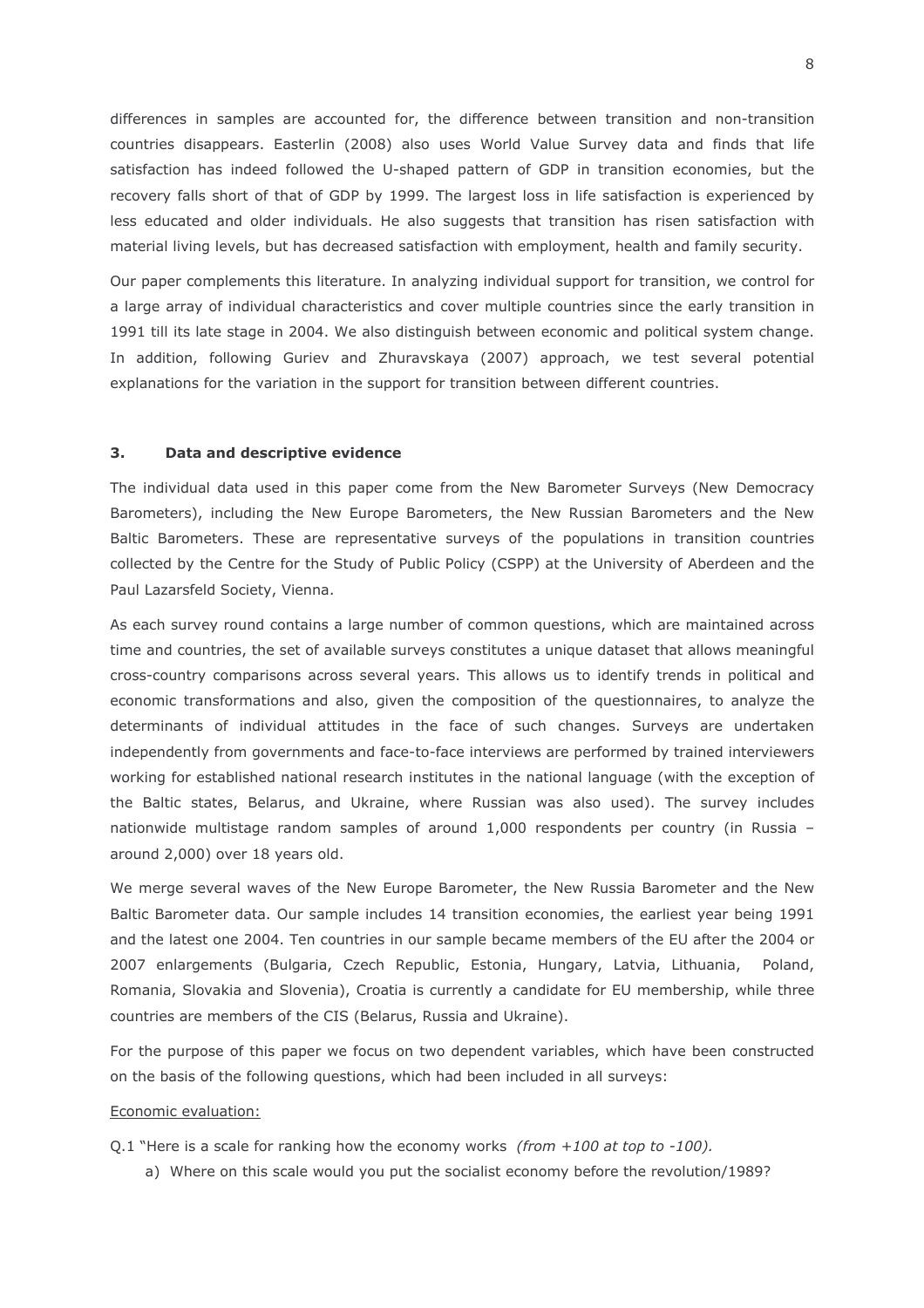differences in samples are accounted for, the difference between transition and non-transition countries disappears. Easterlin (2008) also uses World Value Survey data and finds that life satisfaction has indeed followed the U-shaped pattern of GDP in transition economies, but the recovery falls short of that of GDP by 1999. The largest loss in life satisfaction is experienced by less educated and older individuals. He also suggests that transition has risen satisfaction with material living levels, but has decreased satisfaction with employment, health and family security.

Our paper complements this literature. In analyzing individual support for transition, we control for a large array of individual characteristics and cover multiple countries since the early transition in 1991 till its late stage in 2004. We also distinguish between economic and political system change. In addition, following Guriev and Zhuravskaya (2007) approach, we test several potential explanations for the variation in the support for transition between different countries.

#### $3.$ Data and descriptive evidence

The individual data used in this paper come from the New Barometer Surveys (New Democracy Barometers), including the New Europe Barometers, the New Russian Barometers and the New Baltic Barometers. These are representative surveys of the populations in transition countries collected by the Centre for the Study of Public Policy (CSPP) at the University of Aberdeen and the Paul Lazarsfeld Society, Vienna.

As each survey round contains a large number of common questions, which are maintained across time and countries, the set of available surveys constitutes a unique dataset that allows meaningful cross-country comparisons across several years. This allows us to identify trends in political and economic transformations and also, given the composition of the questionnaires, to analyze the determinants of individual attitudes in the face of such changes. Surveys are undertaken independently from governments and face-to-face interviews are performed by trained interviewers working for established national research institutes in the national language (with the exception of the Baltic states, Belarus, and Ukraine, where Russian was also used). The survey includes nationwide multistage random samples of around 1,000 respondents per country (in Russia around 2,000) over 18 years old.

We merge several waves of the New Europe Barometer, the New Russia Barometer and the New Baltic Barometer data. Our sample includes 14 transition economies, the earliest year being 1991 and the latest one 2004. Ten countries in our sample became members of the EU after the 2004 or 2007 enlargements (Bulgaria, Czech Republic, Estonia, Hungary, Latvia, Lithuania, Poland. Romania, Slovakia and Slovenia), Croatia is currently a candidate for EU membership, while three countries are members of the CIS (Belarus, Russia and Ukraine).

For the purpose of this paper we focus on two dependent variables, which have been constructed on the basis of the following questions, which had been included in all surveys:

### Economic evaluation:

Q.1 "Here is a scale for ranking how the economy works (from  $+100$  at top to -100).

a) Where on this scale would you put the socialist economy before the revolution/1989?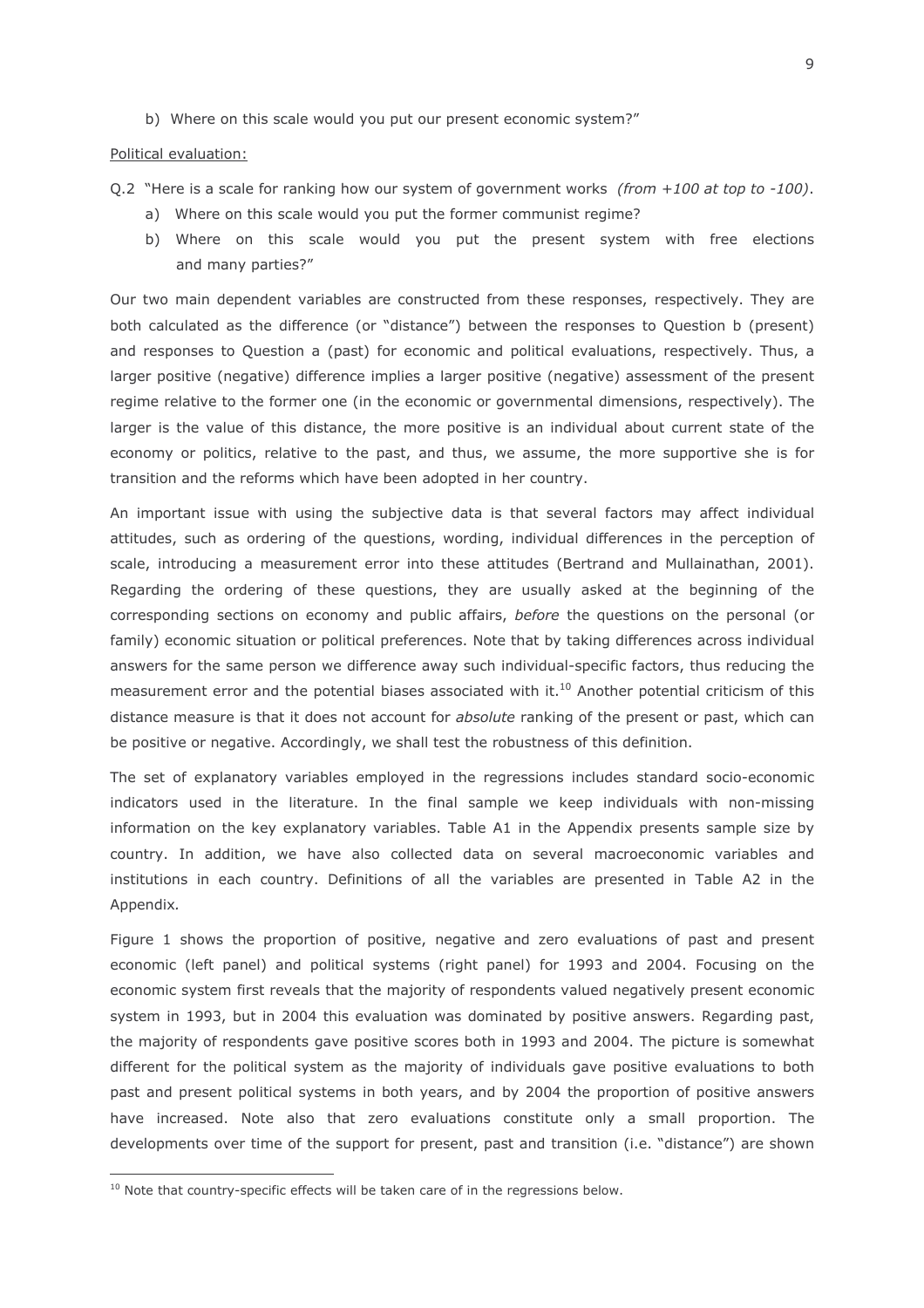b) Where on this scale would you put our present economic system?"

Political evaluation:

- Q.2 "Here is a scale for ranking how our system of government works (from  $+100$  at top to -100).
	- a) Where on this scale would you put the former communist regime?
	- b) Where on this scale would you put the present system with free elections and many parties?"

Our two main dependent variables are constructed from these responses, respectively. They are both calculated as the difference (or "distance") between the responses to Question b (present) and responses to Question a (past) for economic and political evaluations, respectively. Thus, a larger positive (negative) difference implies a larger positive (negative) assessment of the present regime relative to the former one (in the economic or governmental dimensions, respectively). The larger is the value of this distance, the more positive is an individual about current state of the economy or politics, relative to the past, and thus, we assume, the more supportive she is for transition and the reforms which have been adopted in her country.

An important issue with using the subjective data is that several factors may affect individual attitudes, such as ordering of the questions, wording, individual differences in the perception of scale, introducing a measurement error into these attitudes (Bertrand and Mullainathan, 2001). Regarding the ordering of these questions, they are usually asked at the beginning of the corresponding sections on economy and public affairs, before the questions on the personal (or family) economic situation or political preferences. Note that by taking differences across individual answers for the same person we difference away such individual-specific factors, thus reducing the measurement error and the potential biases associated with it.<sup>10</sup> Another potential criticism of this distance measure is that it does not account for absolute ranking of the present or past, which can be positive or negative. Accordingly, we shall test the robustness of this definition.

The set of explanatory variables employed in the regressions includes standard socio-economic indicators used in the literature. In the final sample we keep individuals with non-missing information on the key explanatory variables. Table A1 in the Appendix presents sample size by country. In addition, we have also collected data on several macroeconomic variables and institutions in each country. Definitions of all the variables are presented in Table A2 in the Appendix.

Figure 1 shows the proportion of positive, negative and zero evaluations of past and present economic (left panel) and political systems (right panel) for 1993 and 2004. Focusing on the economic system first reveals that the majority of respondents valued negatively present economic system in 1993, but in 2004 this evaluation was dominated by positive answers. Regarding past, the majority of respondents gave positive scores both in 1993 and 2004. The picture is somewhat different for the political system as the majority of individuals gave positive evaluations to both past and present political systems in both years, and by 2004 the proportion of positive answers have increased. Note also that zero evaluations constitute only a small proportion. The developments over time of the support for present, past and transition (i.e. "distance") are shown

<sup>&</sup>lt;sup>10</sup> Note that country-specific effects will be taken care of in the regressions below.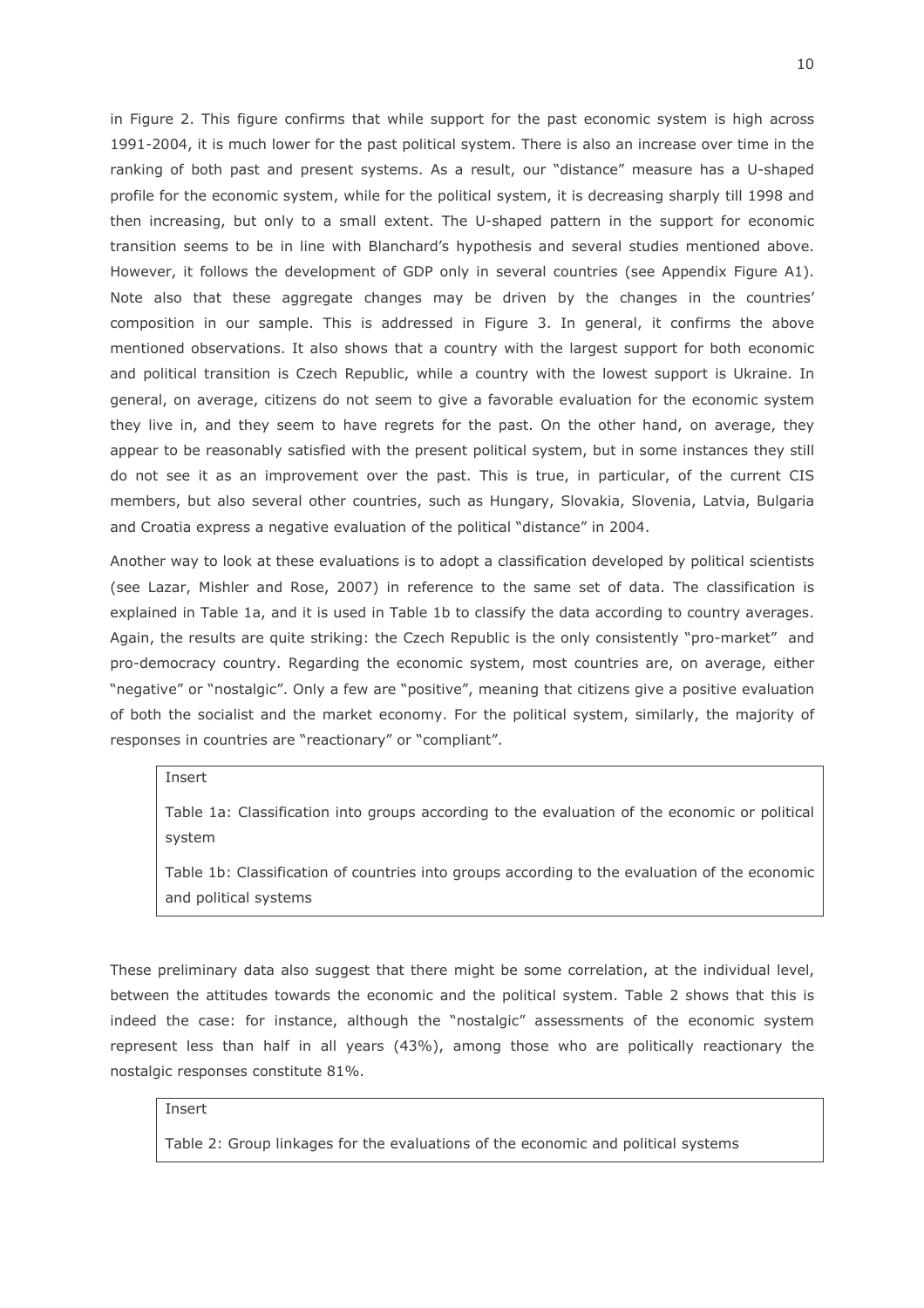in Figure 2. This figure confirms that while support for the past economic system is high across 1991-2004, it is much lower for the past political system. There is also an increase over time in the ranking of both past and present systems. As a result, our "distance" measure has a U-shaped profile for the economic system, while for the political system, it is decreasing sharply till 1998 and then increasing, but only to a small extent. The U-shaped pattern in the support for economic transition seems to be in line with Blanchard's hypothesis and several studies mentioned above. However, it follows the development of GDP only in several countries (see Appendix Figure A1). Note also that these aggregate changes may be driven by the changes in the countries' composition in our sample. This is addressed in Figure 3. In general, it confirms the above mentioned observations. It also shows that a country with the largest support for both economic and political transition is Czech Republic, while a country with the lowest support is Ukraine. In general, on average, citizens do not seem to give a favorable evaluation for the economic system they live in, and they seem to have regrets for the past. On the other hand, on average, they appear to be reasonably satisfied with the present political system, but in some instances they still do not see it as an improvement over the past. This is true, in particular, of the current CIS members, but also several other countries, such as Hungary, Slovakia, Slovenia, Latvia, Bulgaria and Croatia express a negative evaluation of the political "distance" in 2004.

Another way to look at these evaluations is to adopt a classification developed by political scientists (see Lazar, Mishler and Rose, 2007) in reference to the same set of data. The classification is explained in Table 1a, and it is used in Table 1b to classify the data according to country averages. Again, the results are quite striking: the Czech Republic is the only consistently "pro-market" and pro-democracy country. Regarding the economic system, most countries are, on average, either "negative" or "nostalgic". Only a few are "positive", meaning that citizens give a positive evaluation of both the socialist and the market economy. For the political system, similarly, the majority of responses in countries are "reactionary" or "compliant".

**Insert** 

Table 1a: Classification into groups according to the evaluation of the economic or political system

Table 1b: Classification of countries into groups according to the evaluation of the economic and political systems

These preliminary data also suggest that there might be some correlation, at the individual level, between the attitudes towards the economic and the political system. Table 2 shows that this is indeed the case: for instance, although the "nostalgic" assessments of the economic system represent less than half in all years (43%), among those who are politically reactionary the nostalgic responses constitute 81%.

## **Insert**

Table 2: Group linkages for the evaluations of the economic and political systems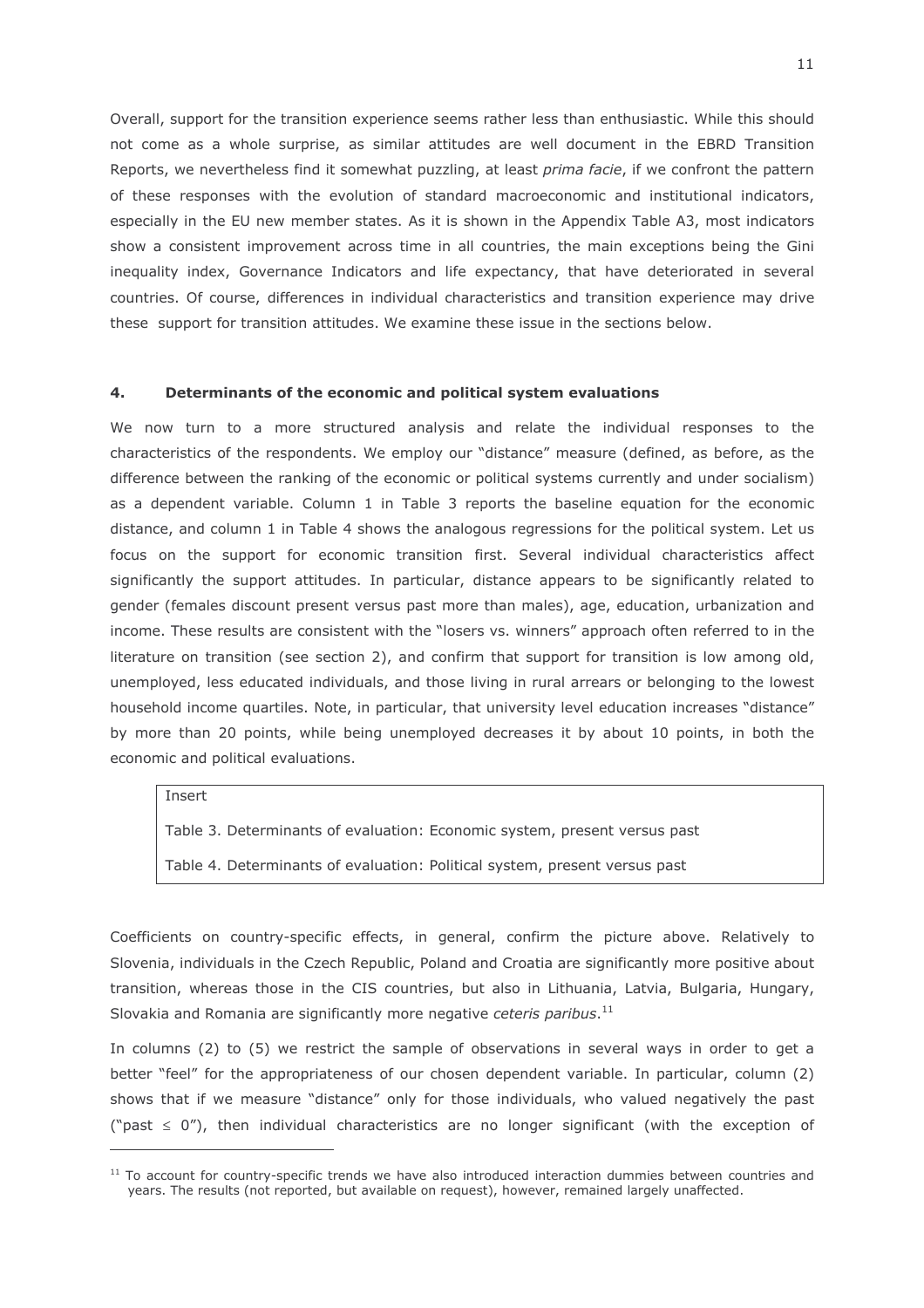Overall, support for the transition experience seems rather less than enthusiastic. While this should not come as a whole surprise, as similar attitudes are well document in the EBRD Transition Reports, we nevertheless find it somewhat puzzling, at least prima facie, if we confront the pattern of these responses with the evolution of standard macroeconomic and institutional indicators, especially in the EU new member states. As it is shown in the Appendix Table A3, most indicators show a consistent improvement across time in all countries, the main exceptions being the Gini inequality index, Governance Indicators and life expectancy, that have deteriorated in several countries. Of course, differences in individual characteristics and transition experience may drive these support for transition attitudes. We examine these issue in the sections below.

#### $4.$ Determinants of the economic and political system evaluations

We now turn to a more structured analysis and relate the individual responses to the characteristics of the respondents. We employ our "distance" measure (defined, as before, as the difference between the ranking of the economic or political systems currently and under socialism) as a dependent variable. Column 1 in Table 3 reports the baseline equation for the economic distance, and column 1 in Table 4 shows the analogous regressions for the political system. Let us focus on the support for economic transition first. Several individual characteristics affect significantly the support attitudes. In particular, distance appears to be significantly related to gender (females discount present versus past more than males), age, education, urbanization and income. These results are consistent with the "losers vs. winners" approach often referred to in the literature on transition (see section 2), and confirm that support for transition is low among old, unemployed, less educated individuals, and those living in rural arrears or belonging to the lowest household income quartiles. Note, in particular, that university level education increases "distance" by more than 20 points, while being unemployed decreases it by about 10 points, in both the economic and political evaluations.

### Insert

Table 3. Determinants of evaluation: Economic system, present versus past

Table 4. Determinants of evaluation: Political system, present versus past

Coefficients on country-specific effects, in general, confirm the picture above. Relatively to Slovenia, individuals in the Czech Republic, Poland and Croatia are significantly more positive about transition, whereas those in the CIS countries, but also in Lithuania, Latvia, Bulgaria, Hungary, Slovakia and Romania are significantly more negative ceteris paribus.<sup>11</sup>

In columns (2) to (5) we restrict the sample of observations in several ways in order to get a better "feel" for the appropriateness of our chosen dependent variable. In particular, column (2) shows that if we measure "distance" only for those individuals, who valued negatively the past ("past  $\leq$  0"), then individual characteristics are no longer significant (with the exception of

<sup>&</sup>lt;sup>11</sup> To account for country-specific trends we have also introduced interaction dummies between countries and years. The results (not reported, but available on request), however, remained largely unaffected.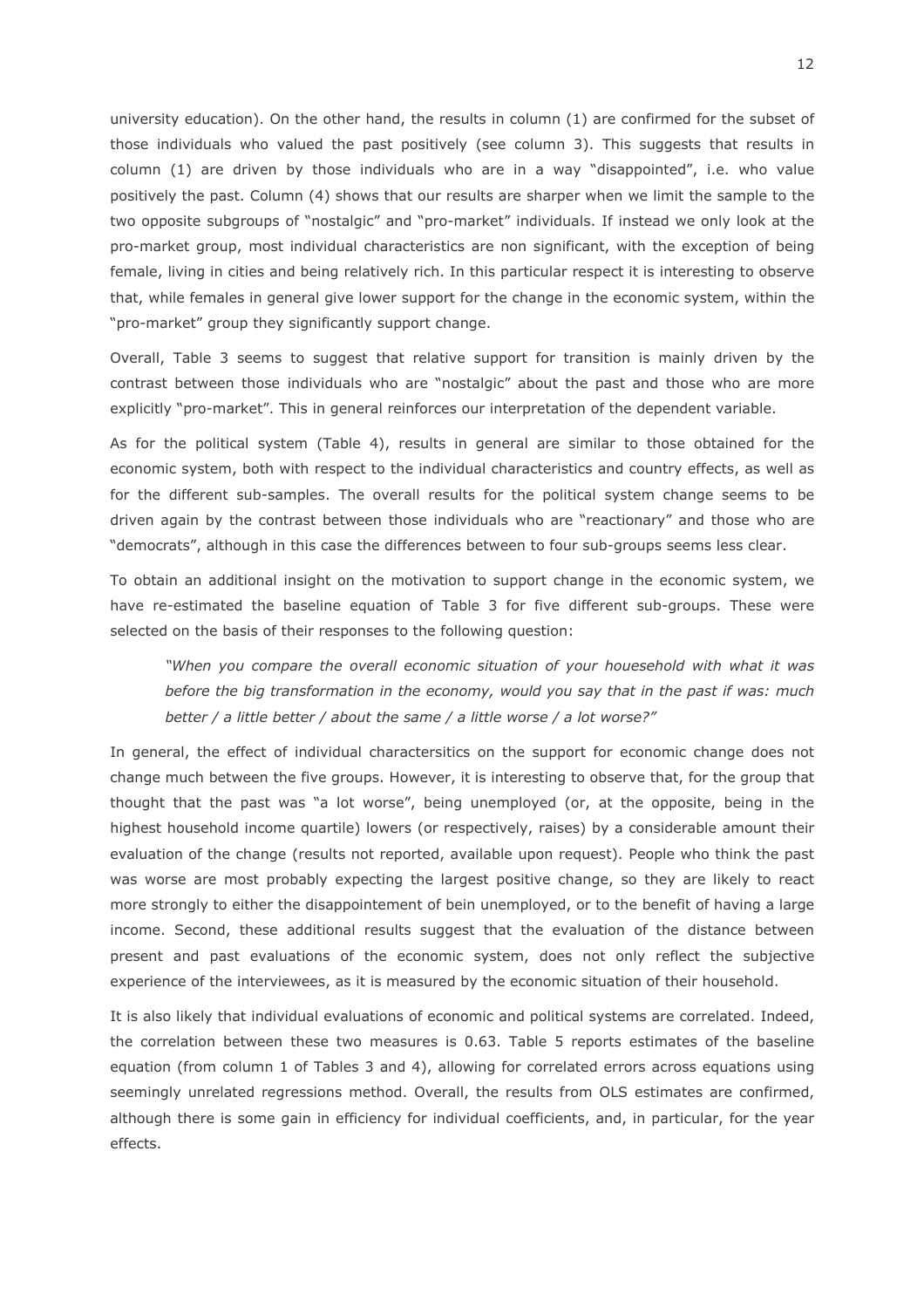university education). On the other hand, the results in column (1) are confirmed for the subset of those individuals who valued the past positively (see column 3). This suggests that results in column (1) are driven by those individuals who are in a way "disappointed", i.e. who value positively the past. Column (4) shows that our results are sharper when we limit the sample to the two opposite subgroups of "nostalgic" and "pro-market" individuals. If instead we only look at the pro-market group, most individual characteristics are non significant, with the exception of being female, living in cities and being relatively rich. In this particular respect it is interesting to observe that, while females in general give lower support for the change in the economic system, within the "pro-market" group they significantly support change.

Overall, Table 3 seems to suggest that relative support for transition is mainly driven by the contrast between those individuals who are "nostalgic" about the past and those who are more explicitly "pro-market". This in general reinforces our interpretation of the dependent variable.

As for the political system (Table 4), results in general are similar to those obtained for the economic system, both with respect to the individual characteristics and country effects, as well as for the different sub-samples. The overall results for the political system change seems to be driven again by the contrast between those individuals who are "reactionary" and those who are "democrats", although in this case the differences between to four sub-groups seems less clear.

To obtain an additional insight on the motivation to support change in the economic system, we have re-estimated the baseline equation of Table 3 for five different sub-groups. These were selected on the basis of their responses to the following question:

"When you compare the overall economic situation of your houesehold with what it was before the big transformation in the economy, would you say that in the past if was: much better / a little better / about the same / a little worse / a lot worse?"

In general, the effect of individual charactersitics on the support for economic change does not change much between the five groups. However, it is interesting to observe that, for the group that thought that the past was "a lot worse", being unemployed (or, at the opposite, being in the highest household income quartile) lowers (or respectively, raises) by a considerable amount their evaluation of the change (results not reported, available upon request). People who think the past was worse are most probably expecting the largest positive change, so they are likely to react more strongly to either the disappointement of bein unemployed, or to the benefit of having a large income. Second, these additional results suggest that the evaluation of the distance between present and past evaluations of the economic system, does not only reflect the subjective experience of the interviewees, as it is measured by the economic situation of their household.

It is also likely that individual evaluations of economic and political systems are correlated. Indeed, the correlation between these two measures is 0.63. Table 5 reports estimates of the baseline equation (from column 1 of Tables 3 and 4), allowing for correlated errors across equations using seemingly unrelated regressions method. Overall, the results from OLS estimates are confirmed, although there is some gain in efficiency for individual coefficients, and, in particular, for the year effects.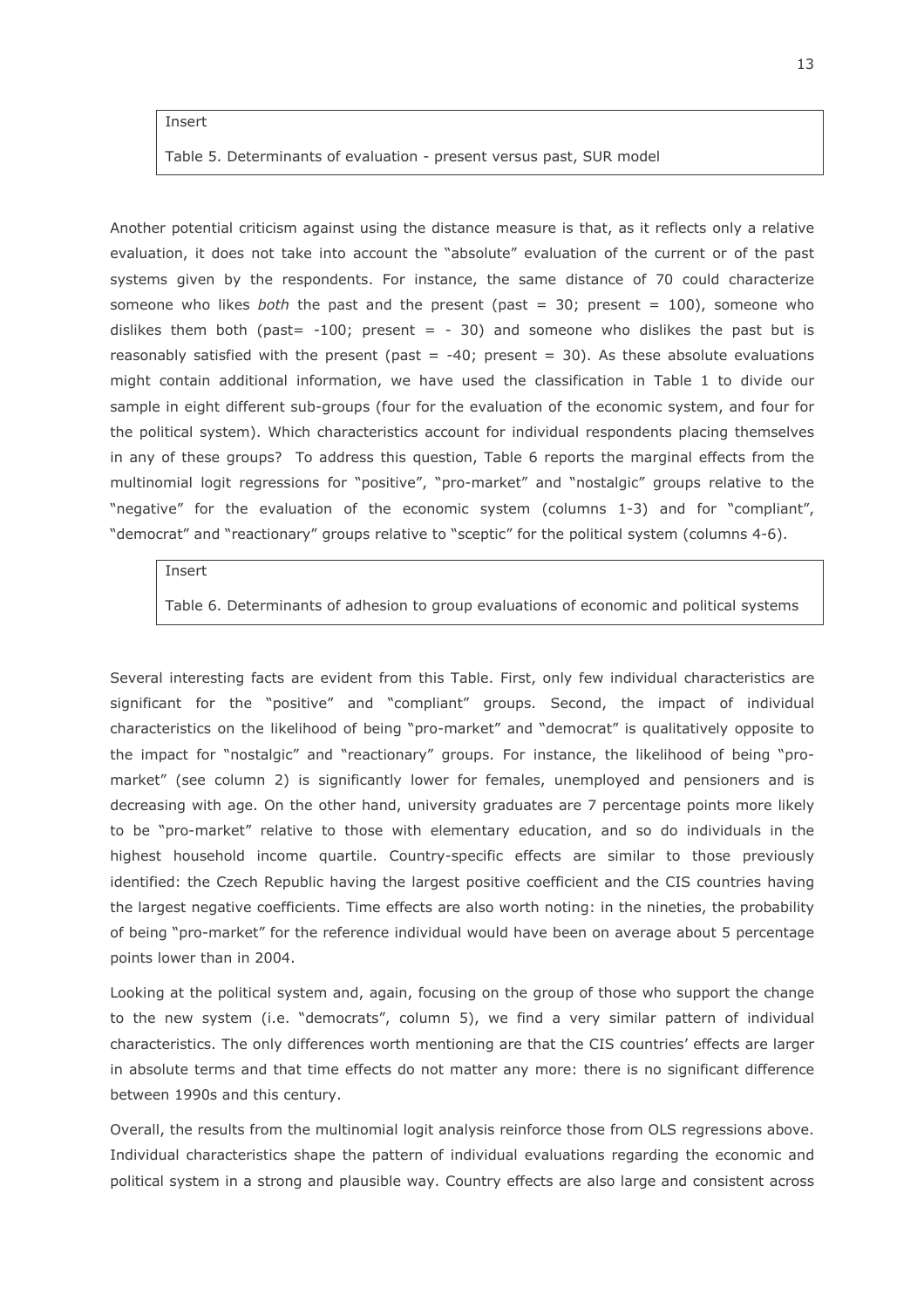### Insert

Table 5. Determinants of evaluation - present versus past, SUR model

Another potential criticism against using the distance measure is that, as it reflects only a relative evaluation, it does not take into account the "absolute" evaluation of the current or of the past systems given by the respondents. For instance, the same distance of 70 could characterize someone who likes both the past and the present (past = 30; present =  $100$ ), someone who dislikes them both (past=  $-100$ ; present =  $-30$ ) and someone who dislikes the past but is reasonably satisfied with the present (past =  $-40$ ; present = 30). As these absolute evaluations might contain additional information, we have used the classification in Table 1 to divide our sample in eight different sub-groups (four for the evaluation of the economic system, and four for the political system). Which characteristics account for individual respondents placing themselves in any of these groups? To address this question, Table 6 reports the marginal effects from the multinomial logit regressions for "positive", "pro-market" and "nostalgic" groups relative to the "negative" for the evaluation of the economic system (columns 1-3) and for "compliant", "democrat" and "reactionary" groups relative to "sceptic" for the political system (columns 4-6).

Insert

Table 6. Determinants of adhesion to group evaluations of economic and political systems

Several interesting facts are evident from this Table. First, only few individual characteristics are significant for the "positive" and "compliant" groups. Second, the impact of individual characteristics on the likelihood of being "pro-market" and "democrat" is qualitatively opposite to the impact for "nostalgic" and "reactionary" groups. For instance, the likelihood of being "promarket" (see column 2) is significantly lower for females, unemployed and pensioners and is decreasing with age. On the other hand, university graduates are 7 percentage points more likely to be "pro-market" relative to those with elementary education, and so do individuals in the highest household income quartile. Country-specific effects are similar to those previously identified: the Czech Republic having the largest positive coefficient and the CIS countries having the largest negative coefficients. Time effects are also worth noting: in the nineties, the probability of being "pro-market" for the reference individual would have been on average about 5 percentage points lower than in 2004.

Looking at the political system and, again, focusing on the group of those who support the change to the new system (i.e. "democrats", column 5), we find a very similar pattern of individual characteristics. The only differences worth mentioning are that the CIS countries' effects are larger in absolute terms and that time effects do not matter any more: there is no significant difference between 1990s and this century.

Overall, the results from the multinomial logit analysis reinforce those from OLS regressions above. Individual characteristics shape the pattern of individual evaluations regarding the economic and political system in a strong and plausible way. Country effects are also large and consistent across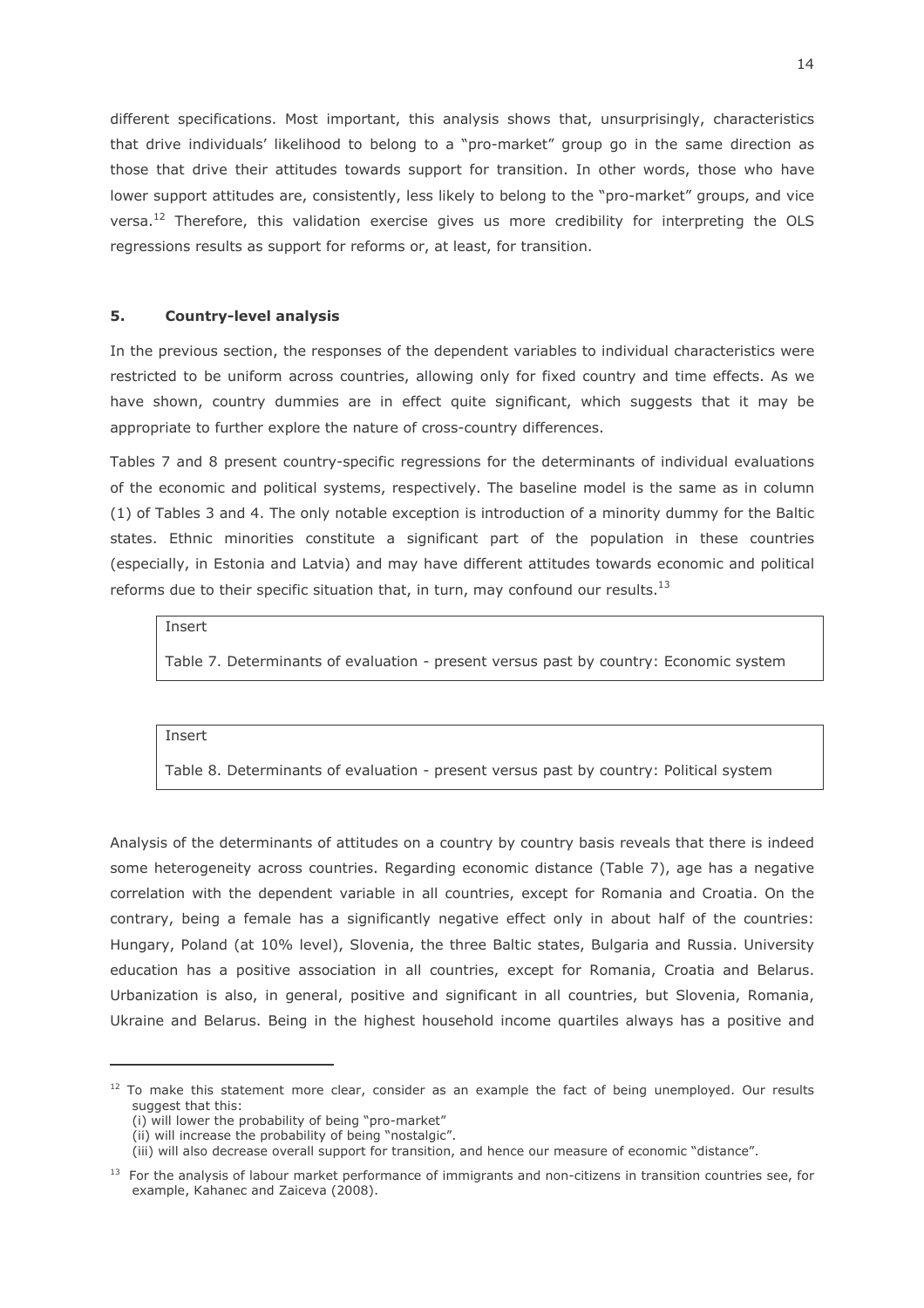different specifications. Most important, this analysis shows that, unsurprisingly, characteristics that drive individuals' likelihood to belong to a "pro-market" group go in the same direction as those that drive their attitudes towards support for transition. In other words, those who have lower support attitudes are, consistently, less likely to belong to the "pro-market" groups, and vice versa.<sup>12</sup> Therefore, this validation exercise gives us more credibility for interpreting the OLS regressions results as support for reforms or, at least, for transition.

#### 5. **Country-level analysis**

In the previous section, the responses of the dependent variables to individual characteristics were restricted to be uniform across countries, allowing only for fixed country and time effects. As we have shown, country dummies are in effect quite significant, which suggests that it may be appropriate to further explore the nature of cross-country differences.

Tables 7 and 8 present country-specific regressions for the determinants of individual evaluations of the economic and political systems, respectively. The baseline model is the same as in column (1) of Tables 3 and 4. The only notable exception is introduction of a minority dummy for the Baltic states. Ethnic minorities constitute a significant part of the population in these countries (especially, in Estonia and Latvia) and may have different attitudes towards economic and political reforms due to their specific situation that, in turn, may confound our results.<sup>13</sup>

Insert

Table 7. Determinants of evaluation - present versus past by country: Economic system

Insert

Table 8. Determinants of evaluation - present versus past by country: Political system

Analysis of the determinants of attitudes on a country by country basis reveals that there is indeed some heterogeneity across countries. Regarding economic distance (Table 7), age has a negative correlation with the dependent variable in all countries, except for Romania and Croatia. On the contrary, being a female has a significantly negative effect only in about half of the countries: Hungary, Poland (at 10% level), Slovenia, the three Baltic states, Bulgaria and Russia. University education has a positive association in all countries, except for Romania, Croatia and Belarus. Urbanization is also, in general, positive and significant in all countries, but Slovenia, Romania, Ukraine and Belarus. Being in the highest household income quartiles always has a positive and

<sup>&</sup>lt;sup>12</sup> To make this statement more clear, consider as an example the fact of being unemployed. Our results suggest that this:

<sup>(</sup>i) will lower the probability of being "pro-market"

<sup>(</sup>ii) will increase the probability of being "nostalgic".

<sup>(</sup>iii) will also decrease overall support for transition, and hence our measure of economic "distance".

<sup>&</sup>lt;sup>13</sup> For the analysis of labour market performance of immigrants and non-citizens in transition countries see, for example, Kahanec and Zaiceva (2008).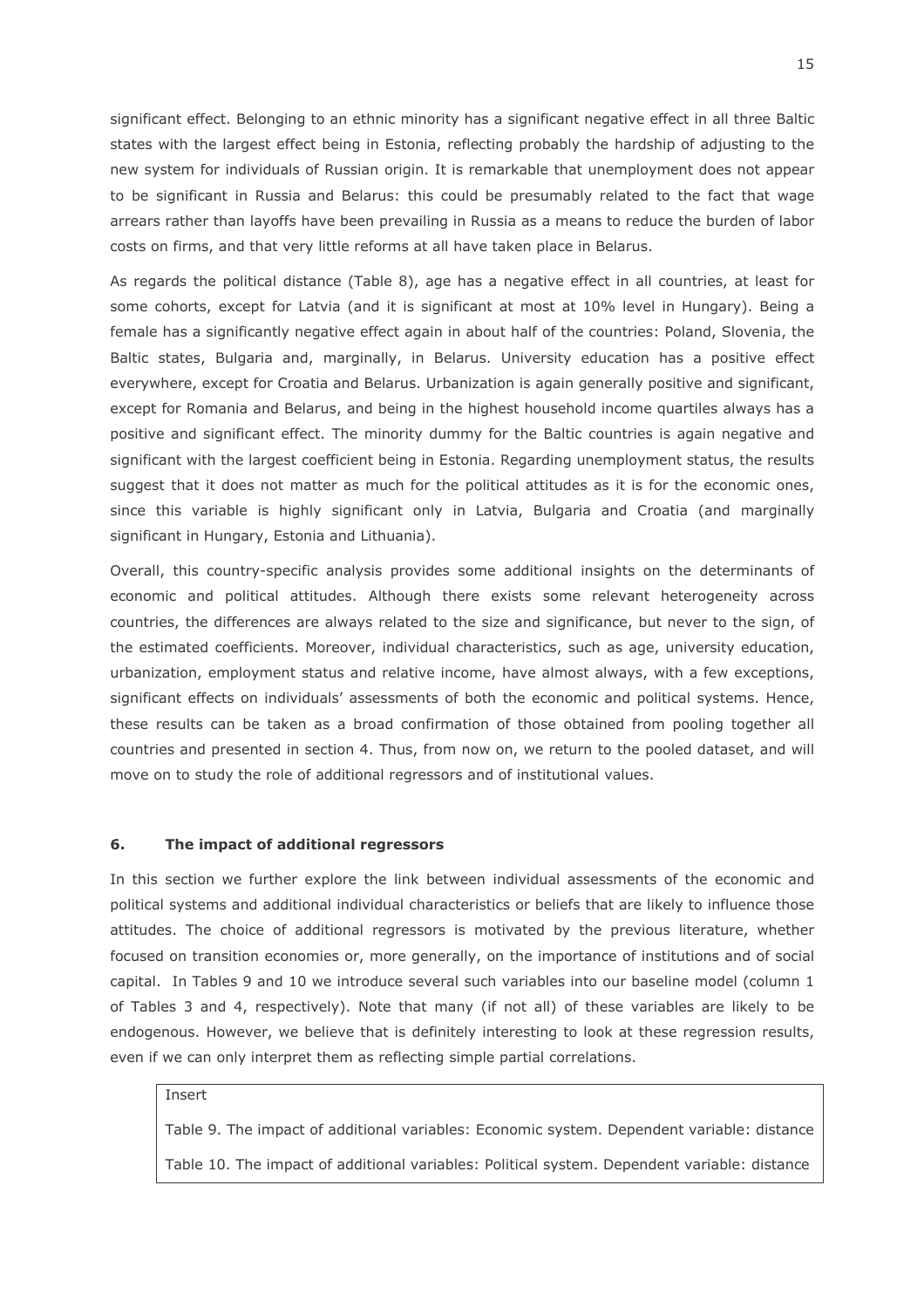significant effect. Belonging to an ethnic minority has a significant negative effect in all three Baltic states with the largest effect being in Estonia, reflecting probably the hardship of adjusting to the new system for individuals of Russian origin. It is remarkable that unemployment does not appear to be significant in Russia and Belarus: this could be presumably related to the fact that wage arrears rather than layoffs have been prevailing in Russia as a means to reduce the burden of labor costs on firms, and that very little reforms at all have taken place in Belarus.

As regards the political distance (Table 8), age has a negative effect in all countries, at least for some cohorts, except for Latvia (and it is significant at most at 10% level in Hungary). Being a female has a significantly negative effect again in about half of the countries: Poland, Slovenia, the Baltic states, Bulgaria and, marginally, in Belarus. University education has a positive effect everywhere, except for Croatia and Belarus. Urbanization is again generally positive and significant, except for Romania and Belarus, and being in the highest household income quartiles always has a positive and significant effect. The minority dummy for the Baltic countries is again negative and significant with the largest coefficient being in Estonia. Regarding unemployment status, the results suggest that it does not matter as much for the political attitudes as it is for the economic ones, since this variable is highly significant only in Latvia, Bulgaria and Croatia (and marginally significant in Hungary, Estonia and Lithuania).

Overall, this country-specific analysis provides some additional insights on the determinants of economic and political attitudes. Although there exists some relevant heterogeneity across countries, the differences are always related to the size and significance, but never to the sign, of the estimated coefficients. Moreover, individual characteristics, such as age, university education, urbanization, employment status and relative income, have almost always, with a few exceptions, significant effects on individuals' assessments of both the economic and political systems. Hence, these results can be taken as a broad confirmation of those obtained from pooling together all countries and presented in section 4. Thus, from now on, we return to the pooled dataset, and will move on to study the role of additional regressors and of institutional values.

#### 6. The impact of additional regressors

In this section we further explore the link between individual assessments of the economic and political systems and additional individual characteristics or beliefs that are likely to influence those attitudes. The choice of additional regressors is motivated by the previous literature, whether focused on transition economies or, more generally, on the importance of institutions and of social capital. In Tables 9 and 10 we introduce several such variables into our baseline model (column 1 of Tables 3 and 4, respectively). Note that many (if not all) of these variables are likely to be endogenous. However, we believe that is definitely interesting to look at these regression results, even if we can only interpret them as reflecting simple partial correlations.

## Insert

Table 9. The impact of additional variables: Economic system. Dependent variable: distance Table 10. The impact of additional variables: Political system. Dependent variable: distance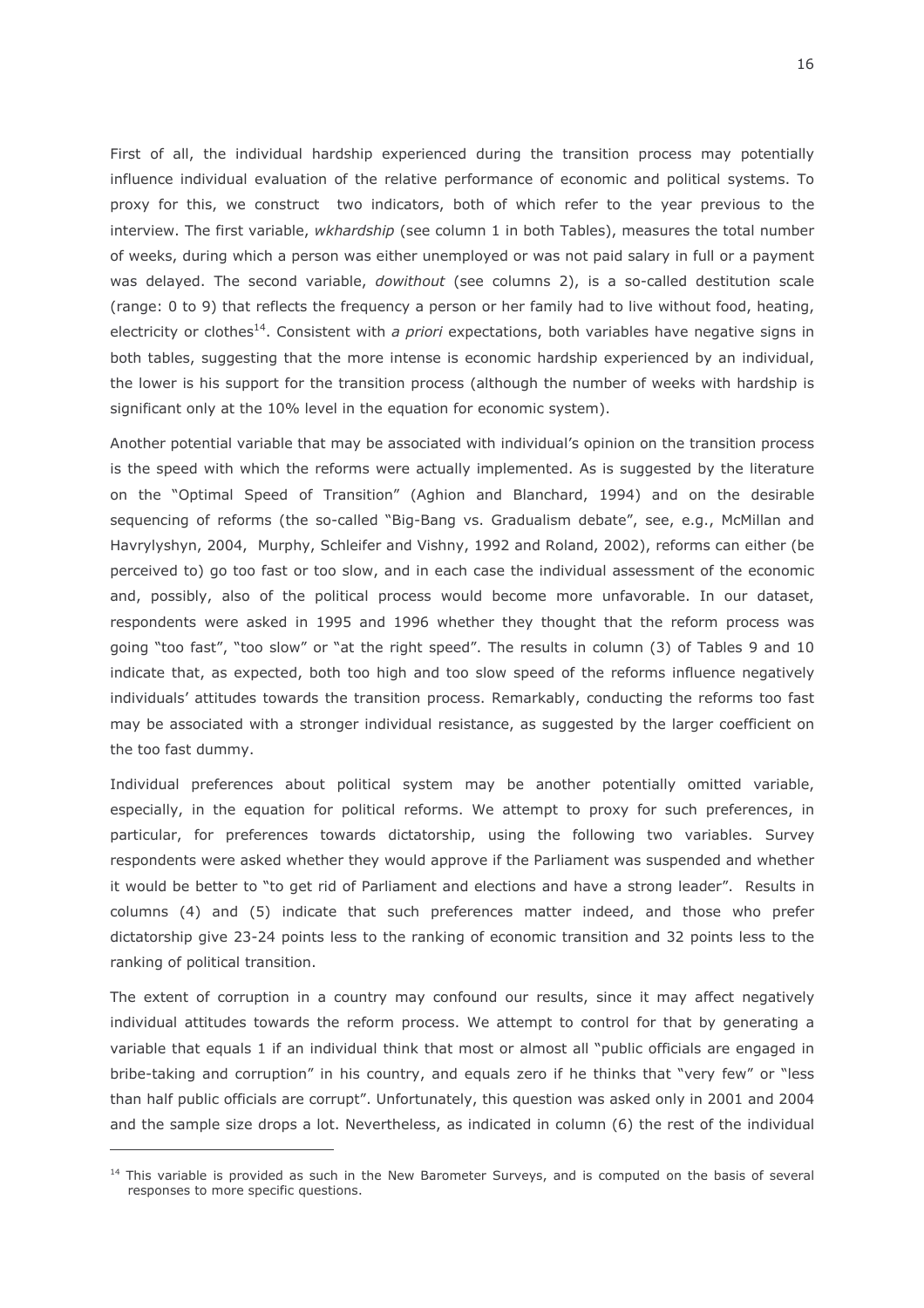First of all, the individual hardship experienced during the transition process may potentially influence individual evaluation of the relative performance of economic and political systems. To proxy for this, we construct two indicators, both of which refer to the year previous to the interview. The first variable, wkhardship (see column 1 in both Tables), measures the total number of weeks, during which a person was either unemployed or was not paid salary in full or a payment was delayed. The second variable, *dowithout* (see columns 2), is a so-called destitution scale (range: 0 to 9) that reflects the frequency a person or her family had to live without food, heating, electricity or clothes<sup>14</sup>. Consistent with a priori expectations, both variables have negative signs in both tables, suggesting that the more intense is economic hardship experienced by an individual, the lower is his support for the transition process (although the number of weeks with hardship is significant only at the 10% level in the equation for economic system).

Another potential variable that may be associated with individual's opinion on the transition process is the speed with which the reforms were actually implemented. As is suggested by the literature on the "Optimal Speed of Transition" (Aghion and Blanchard, 1994) and on the desirable sequencing of reforms (the so-called "Big-Bang vs. Gradualism debate", see, e.g., McMillan and Havrylyshyn, 2004, Murphy, Schleifer and Vishny, 1992 and Roland, 2002), reforms can either (be perceived to) go too fast or too slow, and in each case the individual assessment of the economic and, possibly, also of the political process would become more unfavorable. In our dataset, respondents were asked in 1995 and 1996 whether they thought that the reform process was going "too fast", "too slow" or "at the right speed". The results in column (3) of Tables 9 and 10 indicate that, as expected, both too high and too slow speed of the reforms influence negatively individuals' attitudes towards the transition process. Remarkably, conducting the reforms too fast may be associated with a stronger individual resistance, as suggested by the larger coefficient on the too fast dummy.

Individual preferences about political system may be another potentially omitted variable, especially, in the equation for political reforms. We attempt to proxy for such preferences, in particular, for preferences towards dictatorship, using the following two variables. Survey respondents were asked whether they would approve if the Parliament was suspended and whether it would be better to "to get rid of Parliament and elections and have a strong leader". Results in columns (4) and (5) indicate that such preferences matter indeed, and those who prefer dictatorship give 23-24 points less to the ranking of economic transition and 32 points less to the ranking of political transition.

The extent of corruption in a country may confound our results, since it may affect negatively individual attitudes towards the reform process. We attempt to control for that by generating a variable that equals 1 if an individual think that most or almost all "public officials are engaged in bribe-taking and corruption" in his country, and equals zero if he thinks that "very few" or "less than half public officials are corrupt". Unfortunately, this question was asked only in 2001 and 2004 and the sample size drops a lot. Nevertheless, as indicated in column (6) the rest of the individual

<sup>&</sup>lt;sup>14</sup> This variable is provided as such in the New Barometer Surveys, and is computed on the basis of several responses to more specific questions.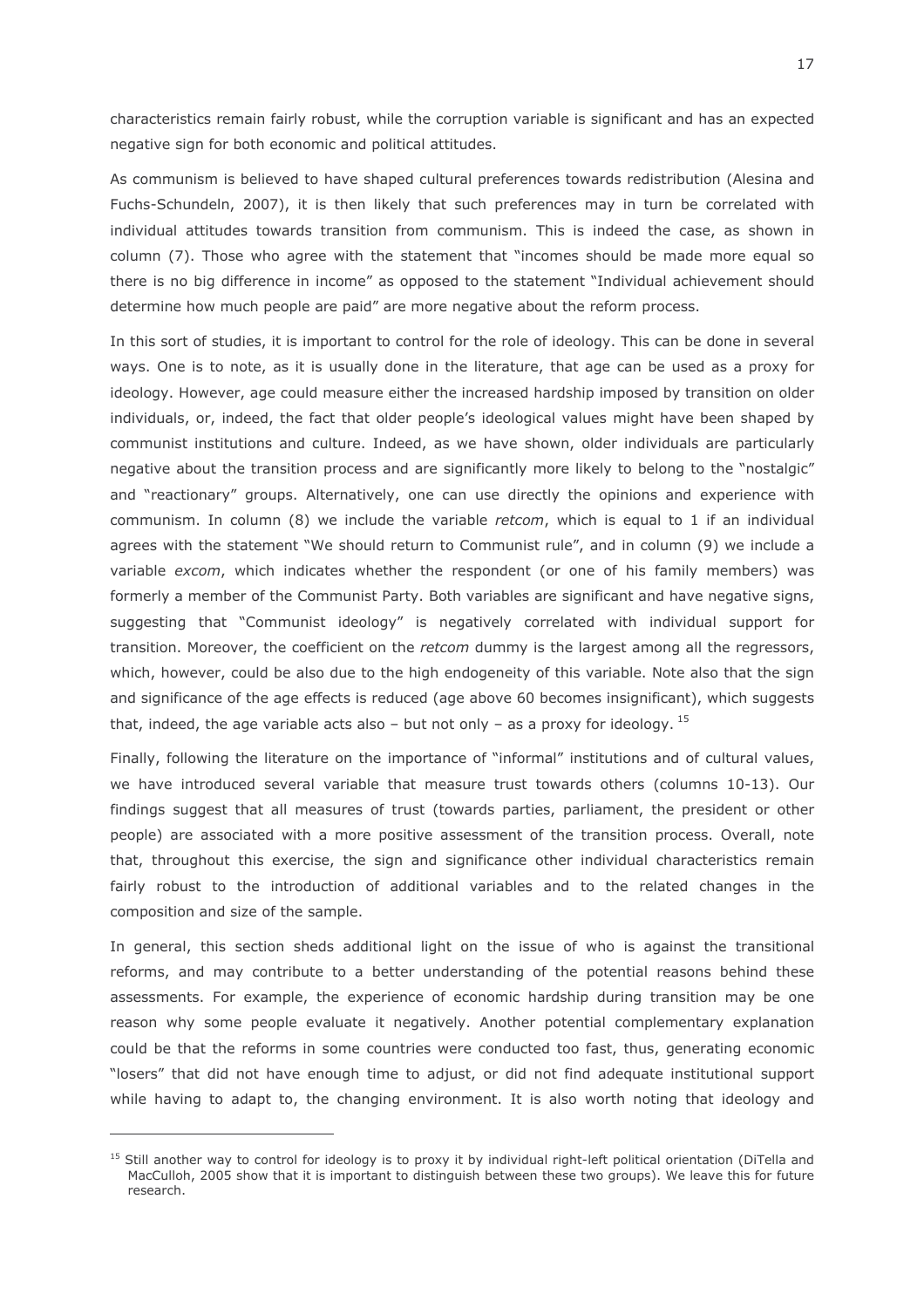characteristics remain fairly robust, while the corruption variable is significant and has an expected negative sign for both economic and political attitudes.

As communism is believed to have shaped cultural preferences towards redistribution (Alesina and Fuchs-Schundeln, 2007), it is then likely that such preferences may in turn be correlated with individual attitudes towards transition from communism. This is indeed the case, as shown in column (7). Those who agree with the statement that "incomes should be made more equal so there is no big difference in income" as opposed to the statement "Individual achievement should determine how much people are paid" are more negative about the reform process.

In this sort of studies, it is important to control for the role of ideology. This can be done in several ways. One is to note, as it is usually done in the literature, that age can be used as a proxy for ideology. However, age could measure either the increased hardship imposed by transition on older individuals, or, indeed, the fact that older people's ideological values might have been shaped by communist institutions and culture. Indeed, as we have shown, older individuals are particularly negative about the transition process and are significantly more likely to belong to the "nostalgic" and "reactionary" groups. Alternatively, one can use directly the opinions and experience with communism. In column (8) we include the variable retcom, which is equal to 1 if an individual agrees with the statement "We should return to Communist rule", and in column (9) we include a variable excom, which indicates whether the respondent (or one of his family members) was formerly a member of the Communist Party. Both variables are significant and have negative signs, suggesting that "Communist ideology" is negatively correlated with individual support for transition. Moreover, the coefficient on the retcom dummy is the largest among all the regressors, which, however, could be also due to the high endogeneity of this variable. Note also that the sign and significance of the age effects is reduced (age above 60 becomes insignificant), which suggests that, indeed, the age variable acts also – but not only – as a proxy for ideology.  $^{15}$ 

Finally, following the literature on the importance of "informal" institutions and of cultural values, we have introduced several variable that measure trust towards others (columns 10-13). Our findings suggest that all measures of trust (towards parties, parliament, the president or other people) are associated with a more positive assessment of the transition process. Overall, note that, throughout this exercise, the sign and significance other individual characteristics remain fairly robust to the introduction of additional variables and to the related changes in the composition and size of the sample.

In general, this section sheds additional light on the issue of who is against the transitional reforms, and may contribute to a better understanding of the potential reasons behind these assessments. For example, the experience of economic hardship during transition may be one reason why some people evaluate it negatively. Another potential complementary explanation could be that the reforms in some countries were conducted too fast, thus, generating economic "losers" that did not have enough time to adjust, or did not find adequate institutional support while having to adapt to, the changing environment. It is also worth noting that ideology and

<sup>&</sup>lt;sup>15</sup> Still another way to control for ideology is to proxy it by individual right-left political orientation (DiTella and MacCulloh, 2005 show that it is important to distinguish between these two groups). We leave this for future research.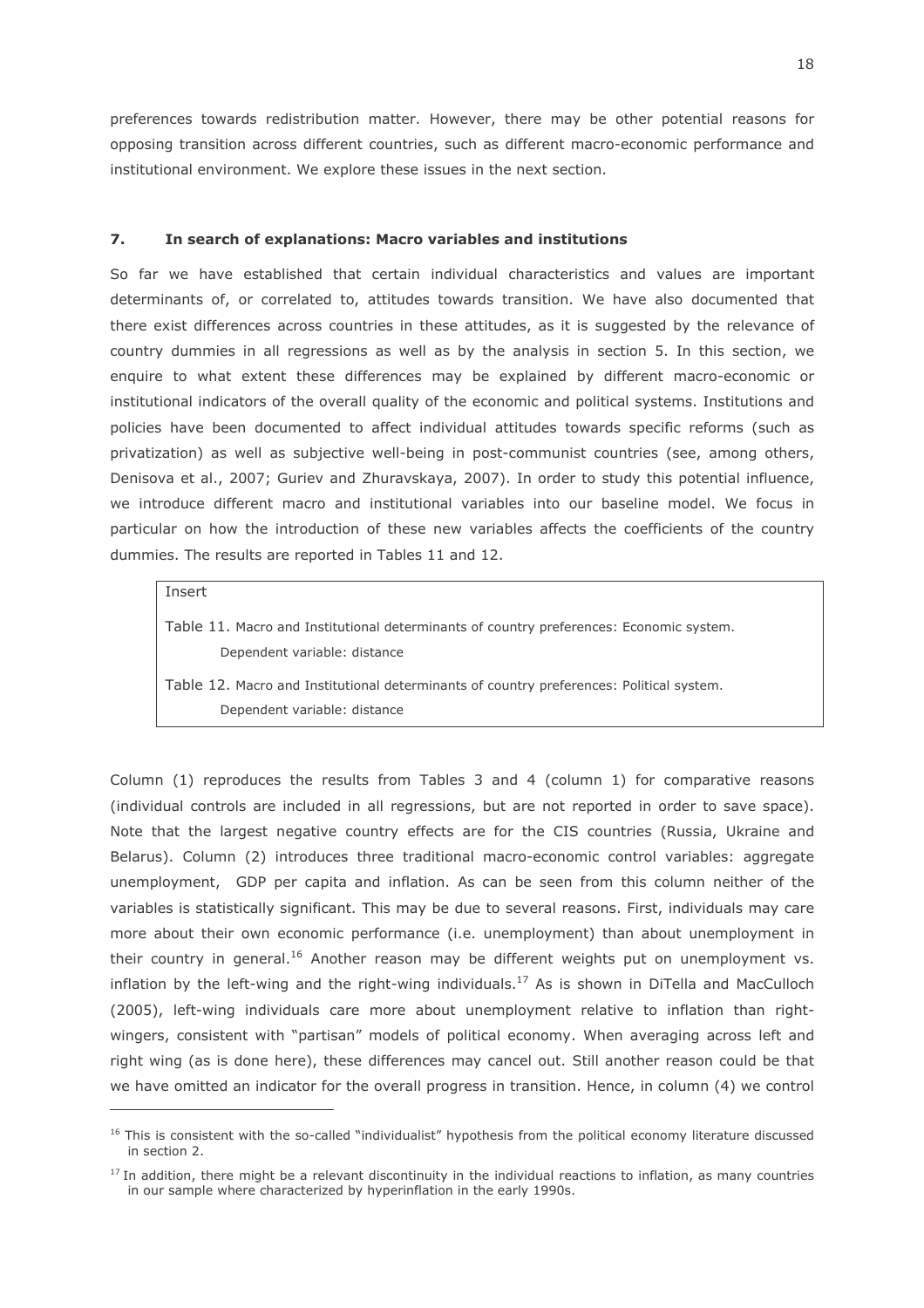preferences towards redistribution matter. However, there may be other potential reasons for opposing transition across different countries, such as different macro-economic performance and institutional environment. We explore these issues in the next section.

#### $\overline{7}$ . In search of explanations: Macro variables and institutions

So far we have established that certain individual characteristics and values are important determinants of, or correlated to, attitudes towards transition. We have also documented that there exist differences across countries in these attitudes, as it is suggested by the relevance of country dummies in all regressions as well as by the analysis in section 5. In this section, we enquire to what extent these differences may be explained by different macro-economic or institutional indicators of the overall quality of the economic and political systems. Institutions and policies have been documented to affect individual attitudes towards specific reforms (such as privatization) as well as subjective well-being in post-communist countries (see, among others, Denisova et al., 2007; Guriev and Zhuravskaya, 2007). In order to study this potential influence, we introduce different macro and institutional variables into our baseline model. We focus in particular on how the introduction of these new variables affects the coefficients of the country dummies. The results are reported in Tables 11 and 12.

### Insert

Table 11. Macro and Institutional determinants of country preferences: Economic system. Dependent variable: distance

Table 12. Macro and Institutional determinants of country preferences: Political system. Dependent variable: distance

Column (1) reproduces the results from Tables 3 and 4 (column 1) for comparative reasons (individual controls are included in all regressions, but are not reported in order to save space). Note that the largest negative country effects are for the CIS countries (Russia, Ukraine and Belarus). Column (2) introduces three traditional macro-economic control variables: aggregate unemployment, GDP per capita and inflation. As can be seen from this column neither of the variables is statistically significant. This may be due to several reasons. First, individuals may care more about their own economic performance (i.e. unemployment) than about unemployment in their country in general.<sup>16</sup> Another reason may be different weights put on unemployment vs. inflation by the left-wing and the right-wing individuals.<sup>17</sup> As is shown in DiTella and MacCulloch (2005), left-wing individuals care more about unemployment relative to inflation than rightwingers, consistent with "partisan" models of political economy. When averaging across left and right wing (as is done here), these differences may cancel out. Still another reason could be that we have omitted an indicator for the overall progress in transition. Hence, in column (4) we control

<sup>&</sup>lt;sup>16</sup> This is consistent with the so-called "individualist" hypothesis from the political economy literature discussed in section 2.

<sup>&</sup>lt;sup>17</sup> In addition, there might be a relevant discontinuity in the individual reactions to inflation, as many countries in our sample where characterized by hyperinflation in the early 1990s.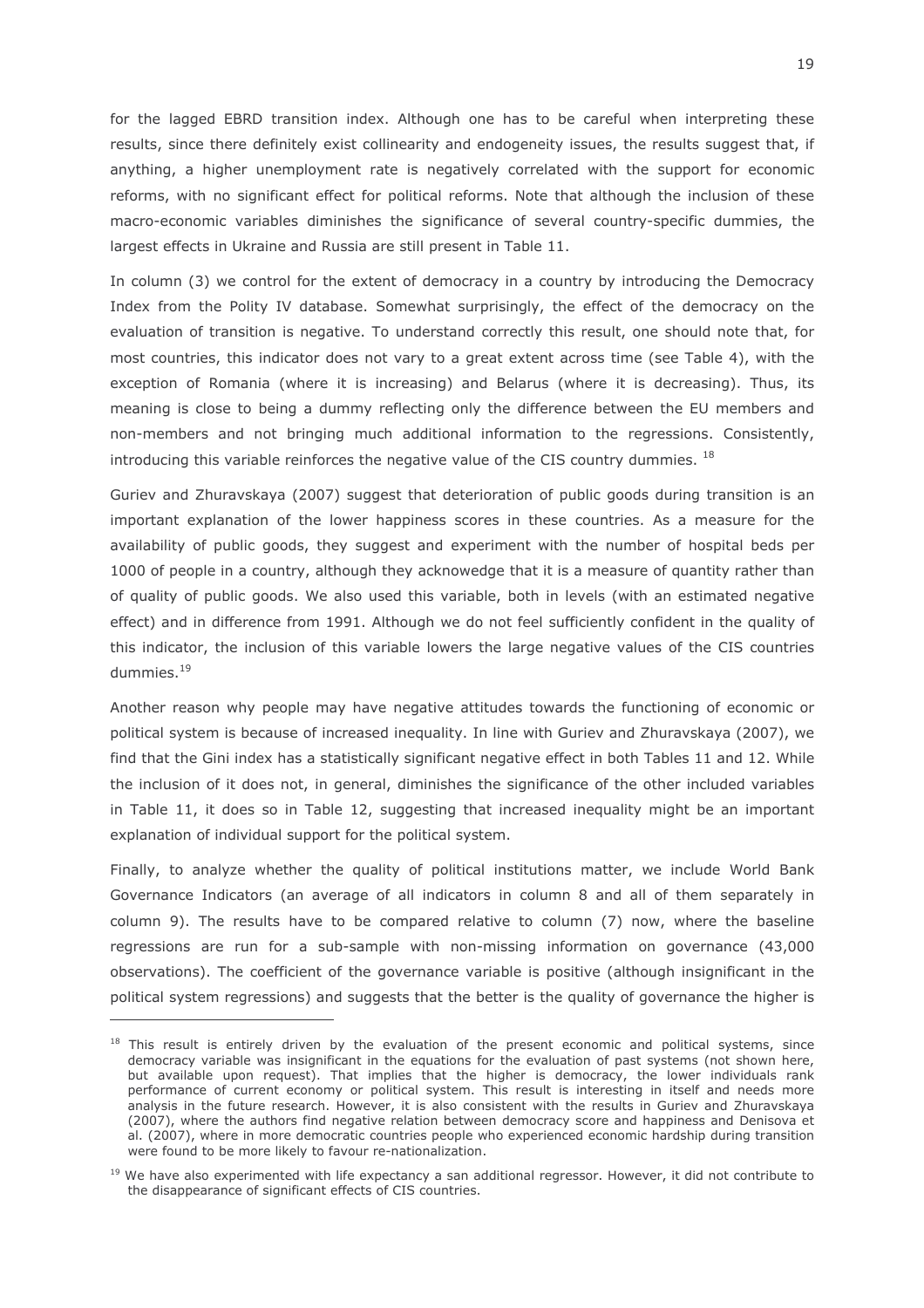for the lagged EBRD transition index. Although one has to be careful when interpreting these results, since there definitely exist collinearity and endogeneity issues, the results suggest that, if anything, a higher unemployment rate is negatively correlated with the support for economic reforms, with no significant effect for political reforms. Note that although the inclusion of these macro-economic variables diminishes the significance of several country-specific dummies, the largest effects in Ukraine and Russia are still present in Table 11.

In column (3) we control for the extent of democracy in a country by introducing the Democracy Index from the Polity IV database. Somewhat surprisingly, the effect of the democracy on the evaluation of transition is negative. To understand correctly this result, one should note that, for most countries, this indicator does not vary to a great extent across time (see Table 4), with the exception of Romania (where it is increasing) and Belarus (where it is decreasing). Thus, its meaning is close to being a dummy reflecting only the difference between the EU members and non-members and not bringing much additional information to the regressions. Consistently, introducing this variable reinforces the negative value of the CIS country dummies. 18

Guriev and Zhuravskaya (2007) suggest that deterioration of public goods during transition is an important explanation of the lower happiness scores in these countries. As a measure for the availability of public goods, they suggest and experiment with the number of hospital beds per 1000 of people in a country, although they acknowedge that it is a measure of quantity rather than of quality of public goods. We also used this variable, both in levels (with an estimated negative effect) and in difference from 1991. Although we do not feel sufficiently confident in the quality of this indicator, the inclusion of this variable lowers the large negative values of the CIS countries dummies. $19$ 

Another reason why people may have negative attitudes towards the functioning of economic or political system is because of increased inequality. In line with Guriev and Zhuravskaya (2007), we find that the Gini index has a statistically significant negative effect in both Tables 11 and 12. While the inclusion of it does not, in general, diminishes the significance of the other included variables in Table 11, it does so in Table 12, suggesting that increased inequality might be an important explanation of individual support for the political system.

Finally, to analyze whether the quality of political institutions matter, we include World Bank Governance Indicators (an average of all indicators in column 8 and all of them separately in column 9). The results have to be compared relative to column (7) now, where the baseline regressions are run for a sub-sample with non-missing information on governance (43,000 observations). The coefficient of the governance variable is positive (although insignificant in the political system regressions) and suggests that the better is the guality of governance the higher is

<sup>&</sup>lt;sup>18</sup> This result is entirely driven by the evaluation of the present economic and political systems, since democracy variable was insignificant in the equations for the evaluation of past systems (not shown here. but available upon request). That implies that the higher is democracy, the lower individuals rank performance of current economy or political system. This result is interesting in itself and needs more analysis in the future research. However, it is also consistent with the results in Guriev and Zhuravskaya (2007), where the authors find negative relation between democracy score and happiness and Denisova et al. (2007), where in more democratic countries people who experienced economic hardship during transition were found to be more likely to favour re-nationalization.

<sup>&</sup>lt;sup>19</sup> We have also experimented with life expectancy a san additional regressor. However, it did not contribute to the disappearance of significant effects of CIS countries.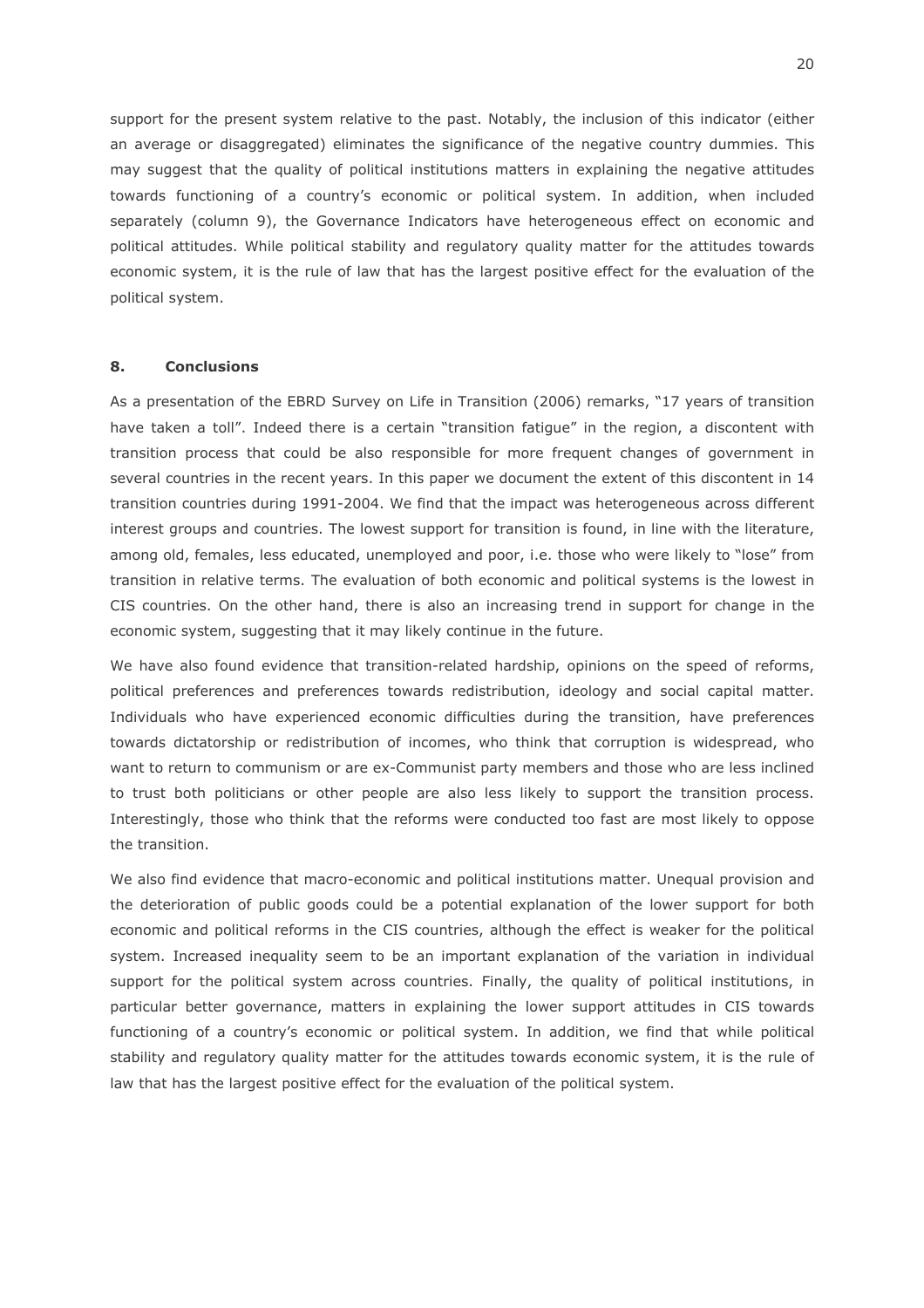support for the present system relative to the past. Notably, the inclusion of this indicator (either an average or disaggregated) eliminates the significance of the negative country dummies. This may suggest that the quality of political institutions matters in explaining the negative attitudes towards functioning of a country's economic or political system. In addition, when included separately (column 9), the Governance Indicators have heterogeneous effect on economic and political attitudes. While political stability and regulatory quality matter for the attitudes towards economic system, it is the rule of law that has the largest positive effect for the evaluation of the political system.

#### 8. **Conclusions**

As a presentation of the EBRD Survey on Life in Transition (2006) remarks, "17 years of transition have taken a toll". Indeed there is a certain "transition fatigue" in the region, a discontent with transition process that could be also responsible for more frequent changes of government in several countries in the recent years. In this paper we document the extent of this discontent in 14 transition countries during 1991-2004. We find that the impact was heterogeneous across different interest groups and countries. The lowest support for transition is found, in line with the literature, among old, females, less educated, unemployed and poor, i.e. those who were likely to "lose" from transition in relative terms. The evaluation of both economic and political systems is the lowest in CIS countries. On the other hand, there is also an increasing trend in support for change in the economic system, suggesting that it may likely continue in the future.

We have also found evidence that transition-related hardship, opinions on the speed of reforms, political preferences and preferences towards redistribution, ideology and social capital matter. Individuals who have experienced economic difficulties during the transition, have preferences towards dictatorship or redistribution of incomes, who think that corruption is widespread, who want to return to communism or are ex-Communist party members and those who are less inclined to trust both politicians or other people are also less likely to support the transition process. Interestingly, those who think that the reforms were conducted too fast are most likely to oppose the transition.

We also find evidence that macro-economic and political institutions matter. Unequal provision and the deterioration of public goods could be a potential explanation of the lower support for both economic and political reforms in the CIS countries, although the effect is weaker for the political system. Increased inequality seem to be an important explanation of the variation in individual support for the political system across countries. Finally, the quality of political institutions, in particular better governance, matters in explaining the lower support attitudes in CIS towards functioning of a country's economic or political system. In addition, we find that while political stability and regulatory quality matter for the attitudes towards economic system, it is the rule of law that has the largest positive effect for the evaluation of the political system.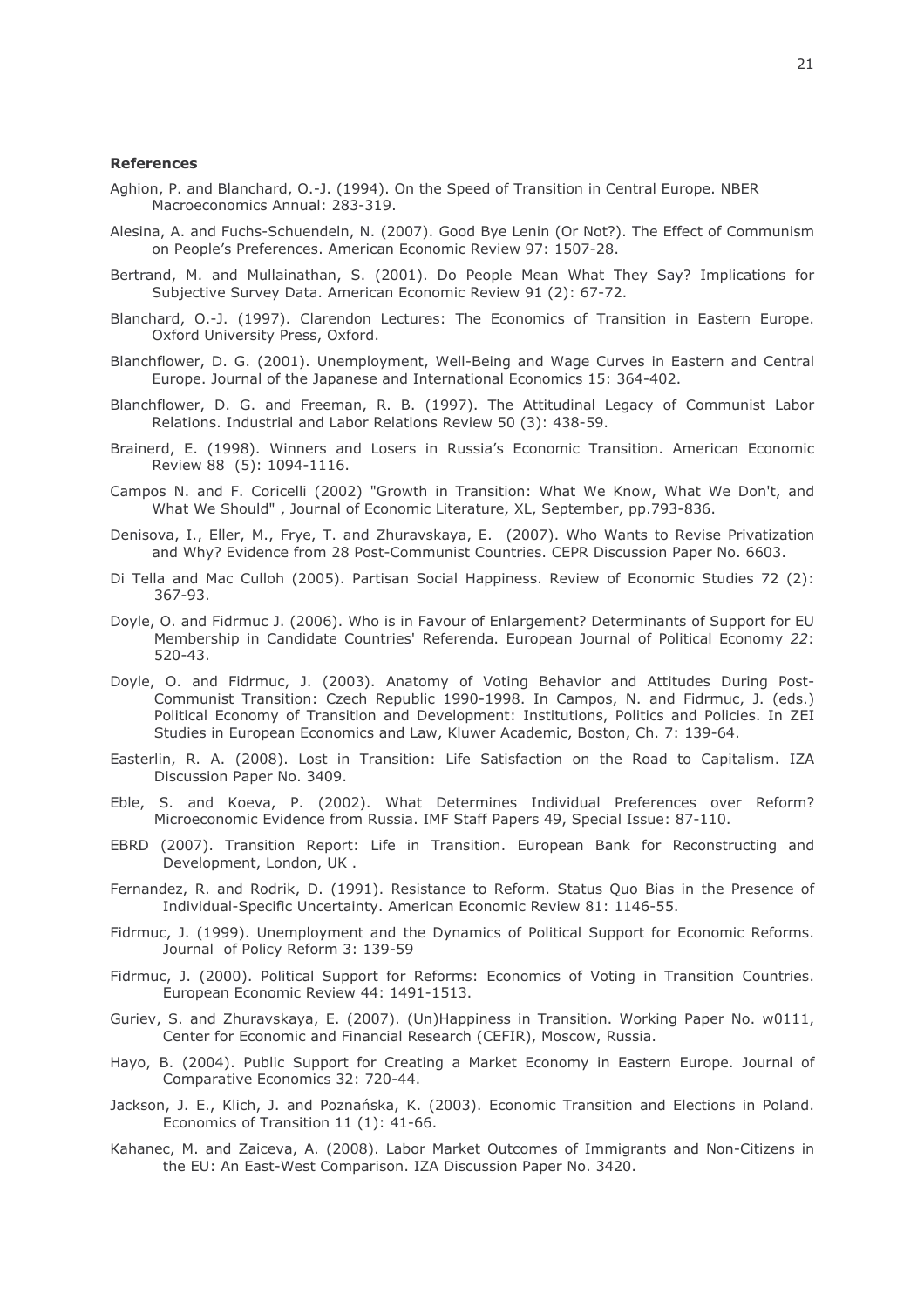### **References**

- Aghion, P. and Blanchard, O.-J. (1994). On the Speed of Transition in Central Europe. NBER Macroeconomics Annual: 283-319.
- Alesina, A. and Fuchs-Schuendeln, N. (2007). Good Bye Lenin (Or Not?). The Effect of Communism on People's Preferences, American Economic Review 97: 1507-28.
- Bertrand, M. and Mullainathan, S. (2001). Do People Mean What They Say? Implications for Subjective Survey Data, American Economic Review 91 (2): 67-72.
- Blanchard, O.-J. (1997). Clarendon Lectures: The Economics of Transition in Eastern Europe. Oxford University Press, Oxford.
- Blanchflower, D. G. (2001). Unemployment, Well-Being and Wage Curves in Eastern and Central Europe. Journal of the Japanese and International Economics 15: 364-402.
- Blanchflower, D. G. and Freeman, R. B. (1997). The Attitudinal Legacy of Communist Labor Relations. Industrial and Labor Relations Review 50 (3): 438-59.
- Brainerd, E. (1998). Winners and Losers in Russia's Economic Transition. American Economic Review 88 (5): 1094-1116.
- Campos N. and F. Coricelli (2002) "Growth in Transition: What We Know, What We Don't, and What We Should", Journal of Economic Literature, XL, September, pp.793-836.
- Denisova, I., Eller, M., Frye, T. and Zhuravskaya, E. (2007). Who Wants to Revise Privatization and Why? Evidence from 28 Post-Communist Countries. CEPR Discussion Paper No. 6603.
- Di Tella and Mac Culloh (2005). Partisan Social Happiness. Review of Economic Studies 72 (2): 367-93.
- Doyle, O. and Fidrmuc J. (2006). Who is in Favour of Enlargement? Determinants of Support for EU Membership in Candidate Countries' Referenda. European Journal of Political Economy 22:  $520 - 43.$
- Doyle, O. and Fidrmuc, J. (2003). Anatomy of Voting Behavior and Attitudes During Post-Communist Transition: Czech Republic 1990-1998. In Campos, N. and Fidrmuc, J. (eds.) Political Economy of Transition and Development: Institutions, Politics and Policies. In ZEI Studies in European Economics and Law, Kluwer Academic, Boston, Ch. 7: 139-64.
- Easterlin, R. A. (2008). Lost in Transition: Life Satisfaction on the Road to Capitalism. IZA Discussion Paper No. 3409.
- Eble, S. and Koeva, P. (2002). What Determines Individual Preferences over Reform? Microeconomic Evidence from Russia. IMF Staff Papers 49, Special Issue: 87-110.
- EBRD (2007). Transition Report: Life in Transition. European Bank for Reconstructing and Development, London, UK.
- Fernandez, R. and Rodrik, D. (1991). Resistance to Reform. Status Ouo Bias in the Presence of Individual-Specific Uncertainty. American Economic Review 81: 1146-55.
- Fidrmuc, J. (1999). Unemployment and the Dynamics of Political Support for Economic Reforms. Journal of Policy Reform 3: 139-59
- Fidrmuc, J. (2000). Political Support for Reforms: Economics of Voting in Transition Countries. European Economic Review 44: 1491-1513.
- Guriev, S. and Zhuravskaya, E. (2007). (Un)Happiness in Transition. Working Paper No. w0111, Center for Economic and Financial Research (CEFIR), Moscow, Russia.
- Hayo, B. (2004). Public Support for Creating a Market Economy in Eastern Europe. Journal of Comparative Economics 32: 720-44.
- Jackson, J. E., Klich, J. and Poznańska, K. (2003). Economic Transition and Elections in Poland. Economics of Transition 11 (1): 41-66.
- Kahanec, M. and Zaiceva, A. (2008). Labor Market Outcomes of Immigrants and Non-Citizens in the EU: An East-West Comparison, IZA Discussion Paper No. 3420.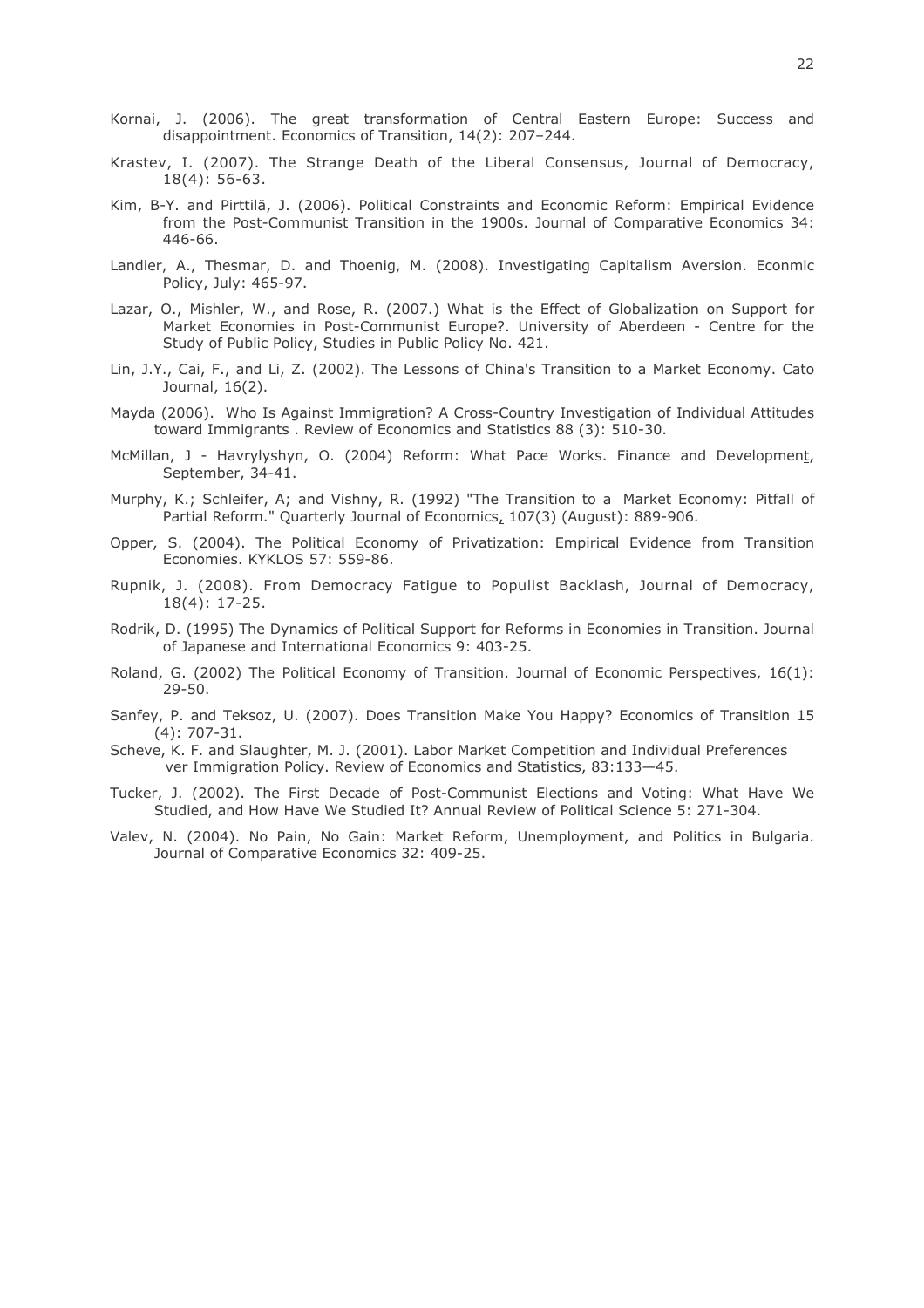- Kornai, J. (2006). The great transformation of Central Eastern Europe: Success and disappointment. Economics of Transition, 14(2): 207-244.
- Krastev, I. (2007). The Strange Death of the Liberal Consensus, Journal of Democracy,  $18(4)$ : 56-63.
- Kim, B-Y. and Pirttilä, J. (2006). Political Constraints and Economic Reform: Empirical Evidence from the Post-Communist Transition in the 1900s. Journal of Comparative Economics 34: 446-66.
- Landier, A., Thesmar, D. and Thoenig, M. (2008). Investigating Capitalism Aversion. Econmic Policy, July: 465-97.
- Lazar, O., Mishler, W., and Rose, R. (2007.) What is the Effect of Globalization on Support for Market Economies in Post-Communist Europe?. University of Aberdeen - Centre for the Study of Public Policy, Studies in Public Policy No. 421.
- Lin, J.Y., Cai, F., and Li, Z. (2002). The Lessons of China's Transition to a Market Economy. Cato Journal, 16(2).
- Mayda (2006). Who Is Against Immigration? A Cross-Country Investigation of Individual Attitudes toward Immigrants . Review of Economics and Statistics 88 (3): 510-30.
- McMillan, J Havrylyshyn, O. (2004) Reform: What Pace Works. Finance and Development, September, 34-41.
- Murphy, K.; Schleifer, A; and Vishny, R. (1992) "The Transition to a Market Economy: Pitfall of Partial Reform." Quarterly Journal of Economics, 107(3) (August): 889-906.
- Opper, S. (2004). The Political Economy of Privatization: Empirical Evidence from Transition Economies. KYKLOS 57: 559-86.
- Rupnik, J. (2008). From Democracy Fatigue to Populist Backlash, Journal of Democracy,  $18(4): 17-25.$
- Rodrik, D. (1995) The Dynamics of Political Support for Reforms in Economies in Transition. Journal of Japanese and International Economics 9: 403-25.
- Roland, G. (2002) The Political Economy of Transition. Journal of Economic Perspectives, 16(1):  $29 - 50.$
- Sanfey, P. and Teksoz, U. (2007). Does Transition Make You Happy? Economics of Transition 15  $(4): 707 - 31.$
- Scheve, K. F. and Slaughter, M. J. (2001). Labor Market Competition and Individual Preferences ver Immigration Policy. Review of Economics and Statistics, 83:133-45.
- Tucker, J. (2002). The First Decade of Post-Communist Elections and Voting: What Have We Studied, and How Have We Studied It? Annual Review of Political Science 5: 271-304.
- Valev, N. (2004). No Pain, No Gain: Market Reform, Unemployment, and Politics in Bulgaria. Journal of Comparative Economics 32: 409-25.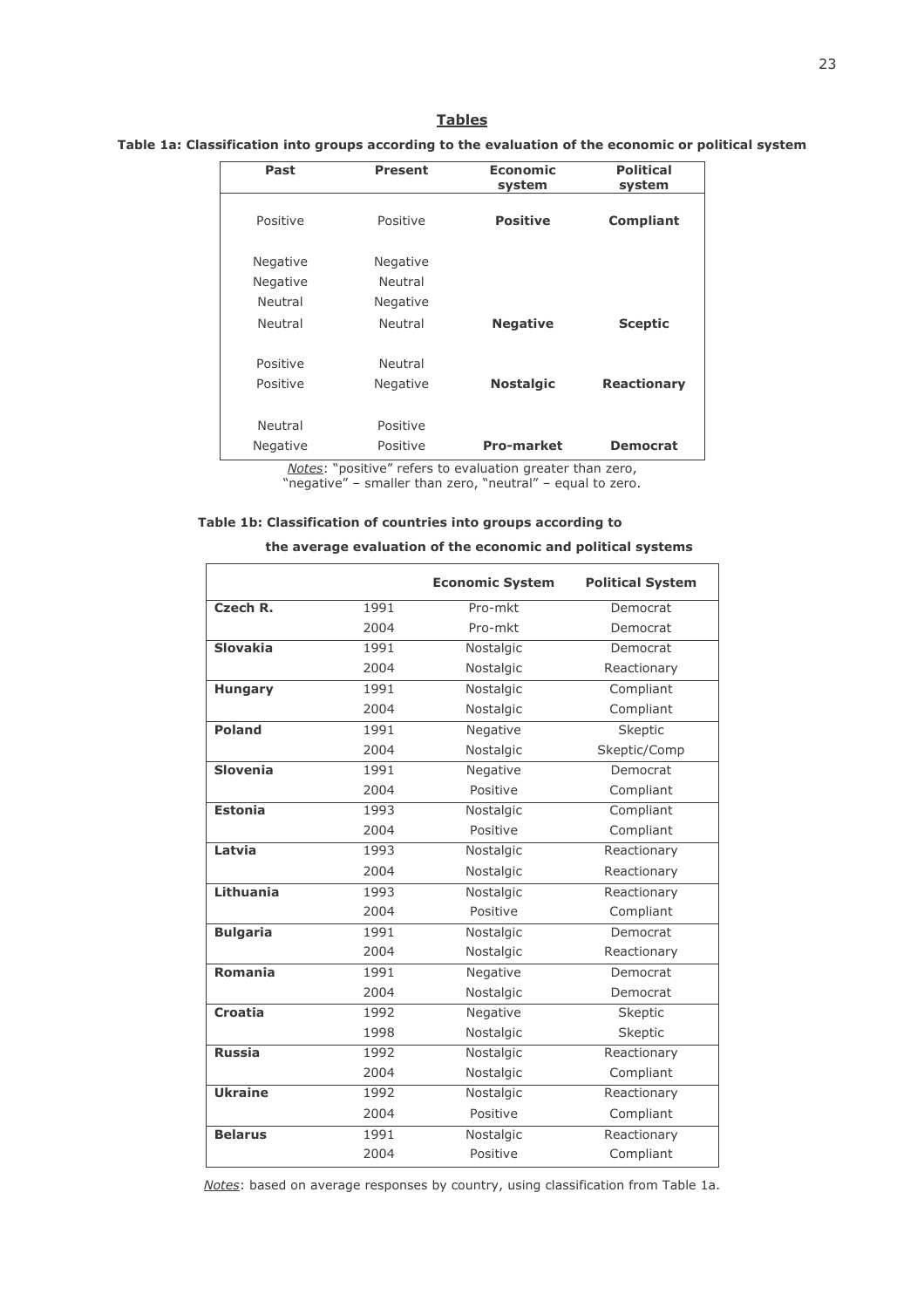# **Tables**

## Table 1a: Classification into groups according to the evaluation of the economic or political system

| Past            | <b>Present</b>  | Economic<br>system | <b>Political</b><br>system |
|-----------------|-----------------|--------------------|----------------------------|
| Positive        | Positive        | <b>Positive</b>    | <b>Compliant</b>           |
| <b>Negative</b> | <b>Negative</b> |                    |                            |
| Negative        | Neutral         |                    |                            |
| Neutral         | Negative        |                    |                            |
| Neutral         | Neutral         | <b>Negative</b>    | <b>Sceptic</b>             |
| Positive        | Neutral         |                    |                            |
| Positive        | Negative        | <b>Nostalgic</b>   | <b>Reactionary</b>         |
| Neutral         | Positive        |                    |                            |
| Negative        | Positive        | <b>Pro-market</b>  | <b>Democrat</b>            |

Notes: "positive" refers to evaluation greater than zero, "negative" - smaller than zero, "neutral" - equal to zero.

### Table 1b: Classification of countries into groups according to

the average evaluation of the economic and political systems

|                 |      | <b>Economic System</b> | <b>Political System</b> |
|-----------------|------|------------------------|-------------------------|
| Czech R.        | 1991 | Pro-mkt                | Democrat                |
|                 | 2004 | Pro-mkt                | Democrat                |
| <b>Slovakia</b> | 1991 | Nostalgic              | Democrat                |
|                 | 2004 | Nostalgic              | Reactionary             |
| <b>Hungary</b>  | 1991 | Nostalgic              | Compliant               |
|                 | 2004 | Nostalgic              | Compliant               |
| <b>Poland</b>   | 1991 | Negative               | Skeptic                 |
|                 | 2004 | Nostalgic              | Skeptic/Comp            |
| <b>Slovenia</b> | 1991 | Negative               | Democrat                |
|                 | 2004 | Positive               | Compliant               |
| <b>Estonia</b>  | 1993 | Nostalgic              | Compliant               |
|                 | 2004 | Positive               | Compliant               |
| Latvia          | 1993 | Nostalgic              | Reactionary             |
|                 | 2004 | Nostalgic              | Reactionary             |
| Lithuania       | 1993 | Nostalgic              | Reactionary             |
|                 | 2004 | Positive               | Compliant               |
| <b>Bulgaria</b> | 1991 | Nostalgic              | Democrat                |
|                 | 2004 | Nostalgic              | Reactionary             |
| <b>Romania</b>  | 1991 | Negative               | Democrat                |
|                 | 2004 | Nostalgic              | Democrat                |
| Croatia         | 1992 | Negative               | Skeptic                 |
|                 | 1998 | Nostalgic              | Skeptic                 |
| <b>Russia</b>   | 1992 | Nostalgic              | Reactionary             |
|                 | 2004 | Nostalgic              | Compliant               |
| <b>Ukraine</b>  | 1992 | Nostalgic              | Reactionary             |
|                 | 2004 | Positive               | Compliant               |
| <b>Belarus</b>  | 1991 | Nostalgic              | Reactionary             |
|                 | 2004 | Positive               | Compliant               |

Notes: based on average responses by country, using classification from Table 1a.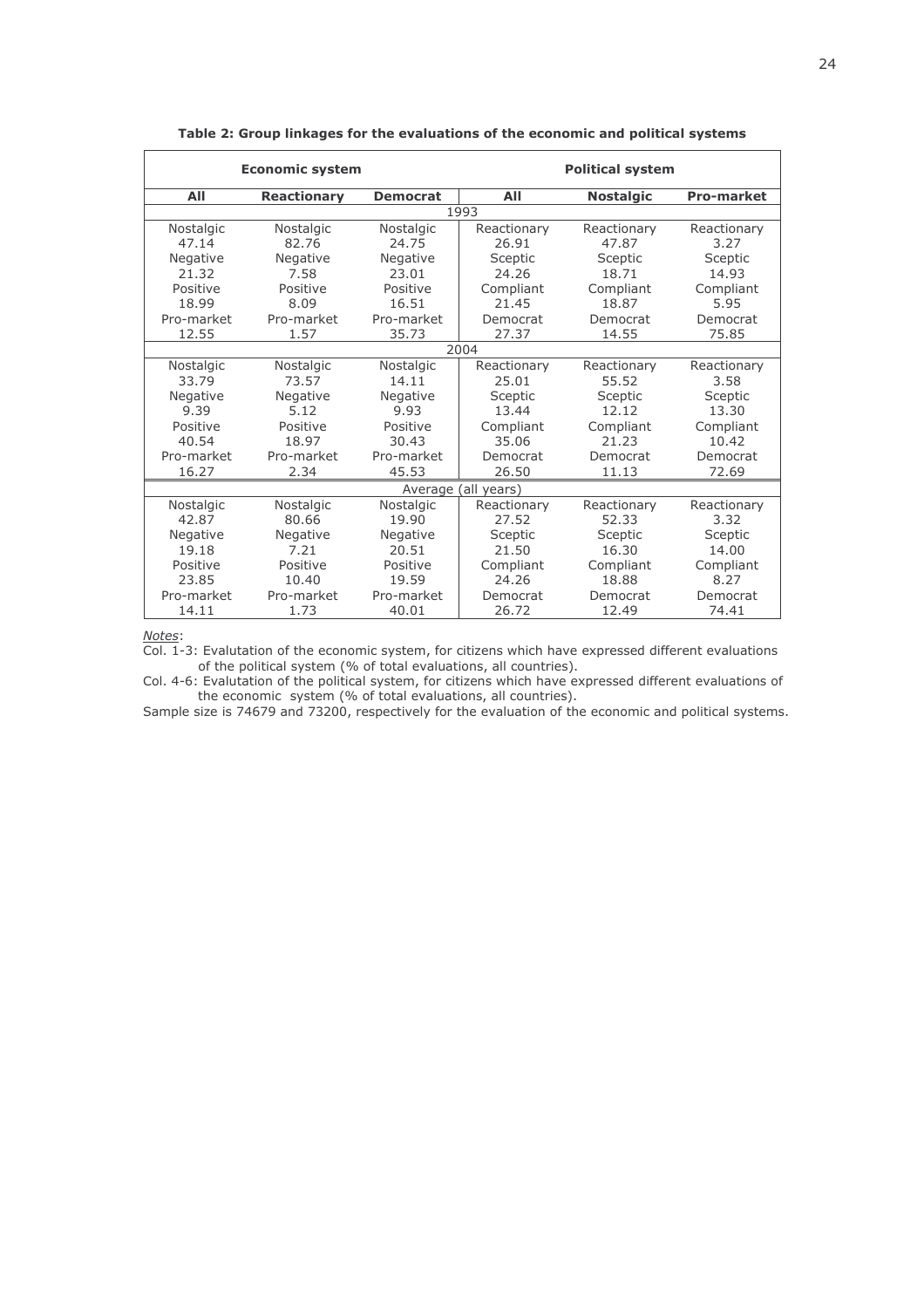| <b>Economic system</b> |                    |                 | <b>Political system</b> |                  |                   |  |
|------------------------|--------------------|-----------------|-------------------------|------------------|-------------------|--|
| All                    | <b>Reactionary</b> | <b>Democrat</b> | AII                     | <b>Nostalgic</b> | <b>Pro-market</b> |  |
|                        |                    |                 | 1993                    |                  |                   |  |
| Nostalgic              | Nostalgic          | Nostalgic       | Reactionary             | Reactionary      | Reactionary       |  |
| 47.14                  | 82.76              | 24.75           | 26.91                   | 47.87            | 3.27              |  |
| Negative               | Negative           | Negative        | Sceptic                 | Sceptic          | Sceptic           |  |
| 21.32                  | 7.58               | 23.01           | 24.26                   | 18.71            | 14.93             |  |
| Positive               | Positive           | Positive        | Compliant               | Compliant        | Compliant         |  |
| 18.99                  | 8.09               | 16.51           | 21.45                   | 18.87            | 5.95              |  |
| Pro-market             | Pro-market         | Pro-market      | Democrat                | Democrat         | Democrat          |  |
| 12.55                  | 1.57               | 35.73           | 27.37                   | 14.55            | 75.85             |  |
|                        |                    |                 | 2004                    |                  |                   |  |
| Nostalgic              | Nostalgic          | Nostalgic       | Reactionary             | Reactionary      | Reactionary       |  |
| 33.79                  | 73.57              | 14.11           | 25.01                   | 55.52            | 3.58              |  |
| <b>Negative</b>        | Negative           | Negative        | Sceptic                 | Sceptic          | Sceptic           |  |
| 9.39                   | 5.12               | 9.93            | 13.44                   | 12.12            | 13.30             |  |
| Positive               | Positive           | Positive        | Compliant               | Compliant        | Compliant         |  |
| 40.54                  | 18.97              | 30.43           | 35.06                   | 21.23            | 10.42             |  |
| Pro-market             | Pro-market         | Pro-market      | Democrat                | Democrat         | Democrat          |  |
| 16.27                  | 2.34               | 45.53           | 26.50                   | 11.13            | 72.69             |  |
|                        |                    |                 | Average (all years)     |                  |                   |  |
| Nostalgic              | Nostalgic          | Nostalgic       | Reactionary             | Reactionary      | Reactionary       |  |
| 42.87                  | 80.66              | 19.90           | 27.52                   | 52.33            | 3.32              |  |
| Negative               | Negative           | Negative        | Sceptic                 | Sceptic          | Sceptic           |  |
| 19.18                  | 7.21               | 20.51           | 21.50                   | 16.30            | 14.00             |  |
| Positive               | Positive           | Positive        | Compliant               | Compliant        | Compliant         |  |
| 23.85                  | 10.40              | 19.59           | 24.26                   | 18.88            | 8.27              |  |
| Pro-market             | Pro-market         | Pro-market      | Democrat                | Democrat         | Democrat          |  |
| 14.11                  | 1.73               | 40.01           | 26.72                   | 12.49            | 74.41             |  |

Table 2: Group linkages for the evaluations of the economic and political systems

Notes:<br>Col. 1-3: Evalutation of the economic system, for citizens which have expressed different evaluations<br>Col. 1-3: Evalutation of the conomic system, for citizens all countries).

Col. 4-6: Evalutation of the political system, for citizens which have expressed different evaluations of the economic system (% of total evaluations, all countries).

Sample size is 74679 and 73200, respectively for the evaluation of the economic and political systems.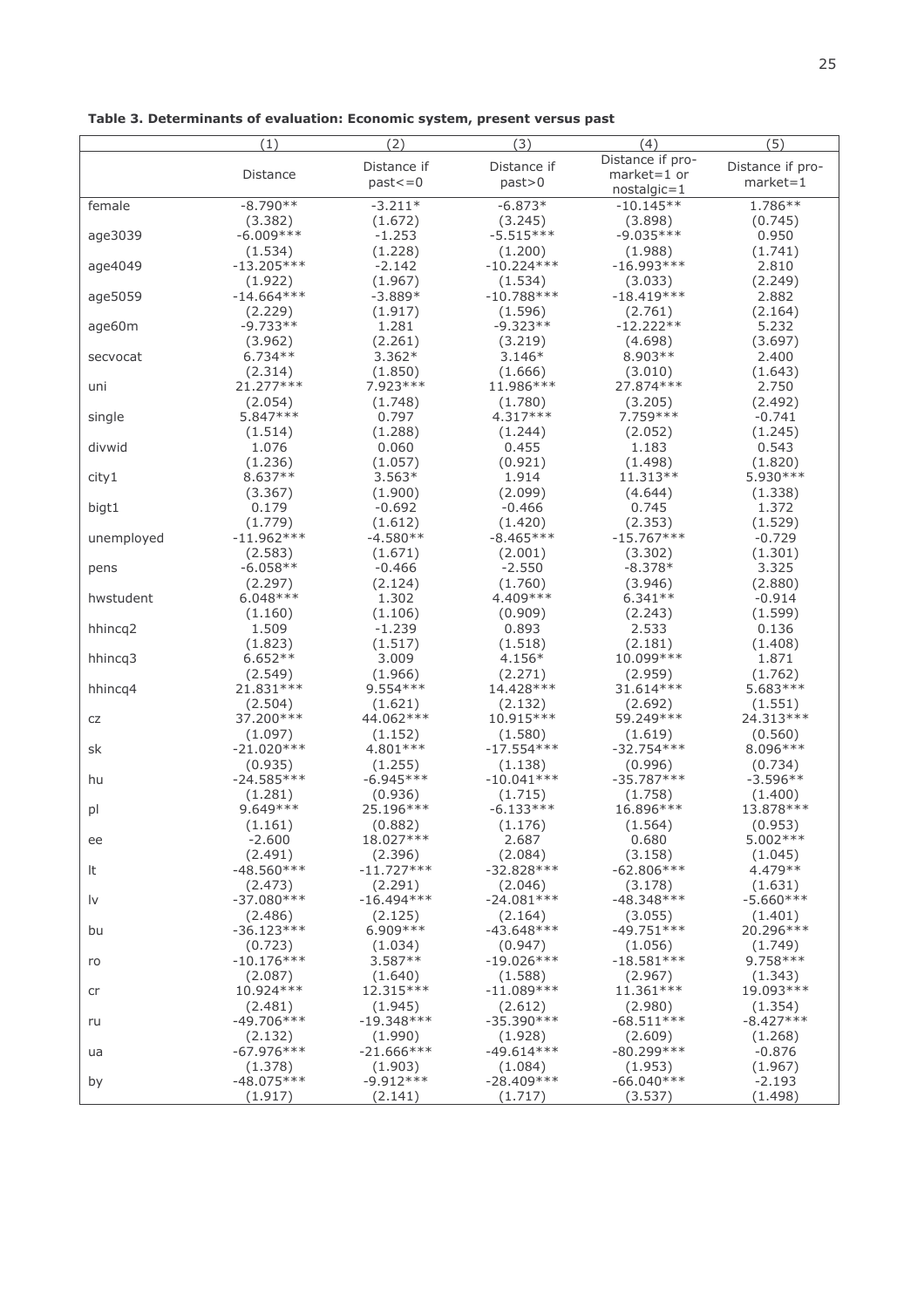| Table 3. Determinants of evaluation: Economic system, present versus past |  |  |  |  |
|---------------------------------------------------------------------------|--|--|--|--|
|---------------------------------------------------------------------------|--|--|--|--|

|            | (1)                     | (2)                   | (3)                     | (4)                     | (5)                   |
|------------|-------------------------|-----------------------|-------------------------|-------------------------|-----------------------|
|            |                         | Distance if           | Distance if             | Distance if pro-        | Distance if pro-      |
|            | Distance                | $past < = 0$          | past>0                  | $market = 1$ or         | $market = 1$          |
|            |                         |                       |                         | $nostalgic = 1$         |                       |
| female     | $-8.790**$              | $-3.211*$             | $-6.873*$               | $-10.145**$             | $1.786**$             |
|            | (3.382)                 | (1.672)               | (3.245)                 | (3.898)                 | (0.745)               |
| age3039    | $-6.009***$             | $-1.253$              | $-5.515***$             | $-9.035***$             | 0.950                 |
|            | (1.534)                 | (1.228)               | (1.200)                 | (1.988)                 | (1.741)               |
| age4049    | $-13.205***$            | $-2.142$              | $-10.224***$            | $-16.993***$            | 2.810                 |
|            | (1.922)<br>$-14.664***$ | (1.967)<br>$-3.889*$  | (1.534)<br>$-10.788***$ | (3.033)<br>$-18.419***$ | (2.249)<br>2.882      |
| age5059    | (2.229)                 | (1.917)               | (1.596)                 | (2.761)                 | (2.164)               |
| age60m     | $-9.733**$              | 1.281                 | $-9.323**$              | $-12.222**$             | 5.232                 |
|            | (3.962)                 | (2.261)               | (3.219)                 | (4.698)                 | (3.697)               |
| secvocat   | $6.734**$               | $3.362*$              | $3.146*$                | 8.903 **                | 2.400                 |
|            | (2.314)                 | (1.850)               | (1.666)                 | (3.010)                 | (1.643)               |
| uni        | 21.277***               | 7.923 ***             | 11.986 ***              | 27.874 ***              | 2.750                 |
|            | (2.054)                 | (1.748)               | (1.780)                 | (3.205)                 | (2.492)               |
| single     | 5.847 ***               | 0.797                 | 4.317 ***               | 7.759 ***               | $-0.741$              |
|            | (1.514)                 | (1.288)               | (1.244)                 | (2.052)                 | (1.245)               |
| divwid     | 1.076                   | 0.060                 | 0.455                   | 1.183                   | 0.543                 |
|            | (1.236)                 | (1.057)               | (0.921)                 | (1.498)                 | (1.820)               |
| city1      | 8.637**                 | $3.563*$              | 1.914                   | 11.313**                | 5.930 ***             |
|            | (3.367)                 | (1.900)               | (2.099)                 | (4.644)                 | (1.338)               |
| bigt1      | 0.179                   | $-0.692$              | $-0.466$                | 0.745                   | 1.372                 |
|            | (1.779)<br>$-11.962***$ | (1.612)<br>$-4.580**$ | (1.420)<br>$-8.465***$  | (2.353)<br>$-15.767***$ | (1.529)<br>$-0.729$   |
| unemployed | (2.583)                 | (1.671)               | (2.001)                 | (3.302)                 | (1.301)               |
| pens       | $-6.058**$              | $-0.466$              | $-2.550$                | $-8.378*$               | 3.325                 |
|            | (2.297)                 | (2.124)               | (1.760)                 | (3.946)                 | (2.880)               |
| hwstudent  | $6.048***$              | 1.302                 | 4.409 ***               | $6.341**$               | $-0.914$              |
|            | (1.160)                 | (1.106)               | (0.909)                 | (2.243)                 | (1.599)               |
| hhincq2    | 1.509                   | $-1.239$              | 0.893                   | 2.533                   | 0.136                 |
|            | (1.823)                 | (1.517)               | (1.518)                 | (2.181)                 | (1.408)               |
| hhincq3    | $6.652**$               | 3.009                 | 4.156*                  | 10.099***               | 1.871                 |
|            | (2.549)                 | (1.966)               | (2.271)                 | (2.959)                 | (1.762)               |
| hhincq4    | 21.831 ***              | 9.554 ***             | 14.428 ***              | 31.614 ***              | 5.683 ***             |
|            | (2.504)<br>37.200 ***   | (1.621)<br>44.062 *** | (2.132)<br>10.915 ***   | (2.692)<br>59.249 ***   | (1.551)<br>24.313 *** |
| CZ         | (1.097)                 | (1.152)               | (1.580)                 | (1.619)                 | (0.560)               |
| sk         | $-21.020***$            | 4.801 ***             | $-17.554***$            | $-32.754***$            | 8.096 ***             |
|            | (0.935)                 | (1.255)               | (1.138)                 | (0.996)                 | (0.734)               |
| hu         | $-24.585***$            | $-6.945***$           | $-10.041***$            | $-35.787***$            | $-3.596**$            |
|            | (1.281)                 | (0.936)               | (1.715)                 | (1.758)                 | (1.400)               |
| pl         | 9.649 ***               | 25.196***             | $-6.133***$             | 16.896 ***              | 13.878 ***            |
|            | (1.161)                 | (0.882)               | (1.176)                 | (1.564)                 | (0.953)               |
| ee         | $-2.600$                | 18.027***             | 2.687                   | 0.680                   | 5.002 ***             |
|            | (2.491)                 | (2.396)               | (2.084)                 | (3.158)                 | (1.045)               |
| It         | $-48.560***$            | $-11.727***$          | $-32.828***$            | $-62.806***$            | 4.479 **              |
|            | (2.473)                 | (2.291)               | (2.046)                 | (3.178)                 | (1.631)               |
| l٧         | $-37.080***$            | $-16.494***$          | $-24.081***$            | $-48.348***$            | $-5.660***$           |
| bu         | (2.486)<br>$-36.123***$ | (2.125)<br>6.909 ***  | (2.164)<br>$-43.648***$ | (3.055)<br>$-49.751***$ | (1.401)<br>20.296 *** |
|            | (0.723)                 | (1.034)               | (0.947)                 | (1.056)                 | (1.749)               |
| ro         | $-10.176***$            | $3.587**$             | $-19.026***$            | $-18.581***$            | 9.758 ***             |
|            | (2.087)                 | (1.640)               | (1.588)                 | (2.967)                 | (1.343)               |
| cr         | $10.924***$             | 12.315***             | $-11.089***$            | 11.361***               | 19.093 ***            |
|            | (2.481)                 | (1.945)               | (2.612)                 | (2.980)                 | (1.354)               |
| ru         | $-49.706***$            | $-19.348***$          | $-35.390***$            | $-68.511***$            | $-8.427***$           |
|            | (2.132)                 | (1.990)               | (1.928)                 | (2.609)                 | (1.268)               |
| ua         | $-67.976***$            | $-21.666***$          | $-49.614***$            | $-80.299***$            | $-0.876$              |
|            | (1.378)                 | (1.903)               | (1.084)                 | (1.953)                 | (1.967)               |
| by         | $-48.075***$            | $-9.912***$           | $-28.409***$            | $-66.040***$            | $-2.193$              |
|            | (1.917)                 | (2.141)               | (1.717)                 | (3.537)                 | (1.498)               |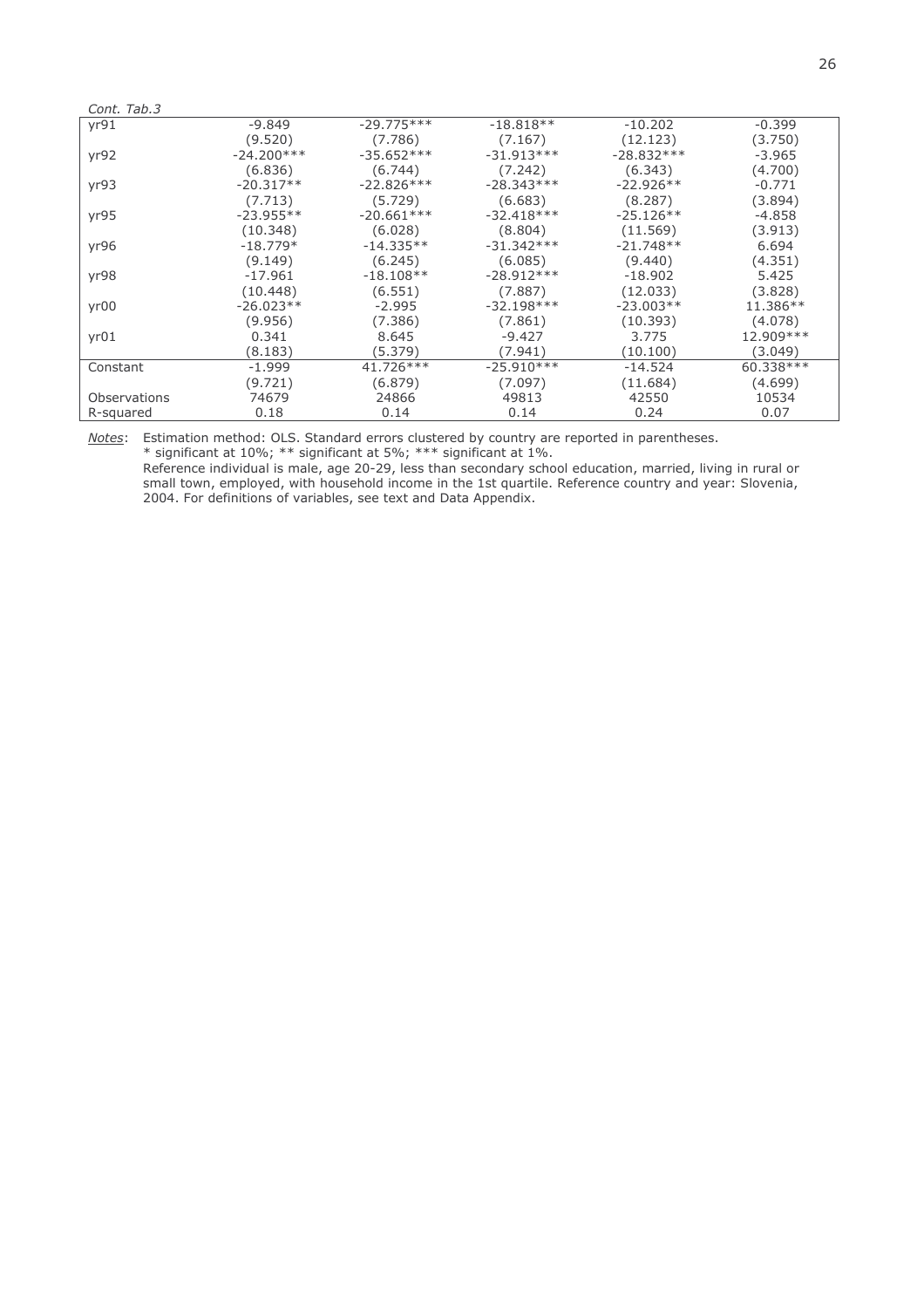| Cont. Tab.3  |              |              |              |              |            |
|--------------|--------------|--------------|--------------|--------------|------------|
| yr91         | -9.849       | $-29.775***$ | $-18.818**$  | $-10.202$    | $-0.399$   |
|              | (9.520)      | (7.786)      | (7.167)      | (12.123)     | (3.750)    |
| yr92         | $-24.200***$ | $-35.652***$ | $-31.913***$ | $-28.832***$ | $-3.965$   |
|              | (6.836)      | (6.744)      | (7.242)      | (6.343)      | (4.700)    |
| yr93         | $-20.317**$  | $-22.826***$ | $-28.343***$ | $-22.926**$  | $-0.771$   |
|              | (7.713)      | (5.729)      | (6.683)      | (8.287)      | (3.894)    |
| yr95         | $-23.955**$  | $-20.661***$ | $-32.418***$ | $-25.126**$  | -4.858     |
|              | (10.348)     | (6.028)      | (8.804)      | (11.569)     | (3.913)    |
| yr96         | $-18.779*$   | $-14.335**$  | $-31.342***$ | $-21.748**$  | 6.694      |
|              | (9.149)      | (6.245)      | (6.085)      | (9.440)      | (4.351)    |
| yr98         | $-17.961$    | $-18.108**$  | $-28.912***$ | $-18.902$    | 5.425      |
|              | (10.448)     | (6.551)      | (7.887)      | (12.033)     | (3.828)    |
| yr00         | $-26.023**$  | $-2.995$     | $-32.198***$ | $-23.003**$  | 11.386**   |
|              | (9.956)      | (7.386)      | (7.861)      | (10.393)     | (4.078)    |
| yr01         | 0.341        | 8.645        | -9.427       | 3.775        | 12.909 *** |
|              | (8.183)      | (5.379)      | (7.941)      | (10.100)     | (3.049)    |
| Constant     | $-1.999$     | 41.726 ***   | $-25.910***$ | $-14.524$    | 60.338 *** |
|              | (9.721)      | (6.879)      | (7.097)      | (11.684)     | (4.699)    |
| Observations | 74679        | 24866        | 49813        | 42550        | 10534      |
| R-squared    | 0.18         | 0.14         | 0.14         | 0.24         | 0.07       |

Notes: Estimation method: OLS. Standard errors clustered by country are reported in parentheses.<br>\* significant at 10%; \*\* significant at 5%; \*\*\* significant at 1%.<br>Reference individual is male, age 20-29, less than seconda small town, employed, with household income in the 1st quartile. Reference country and year: Slovenia, 2004. For definitions of variables, see text and Data Appendix.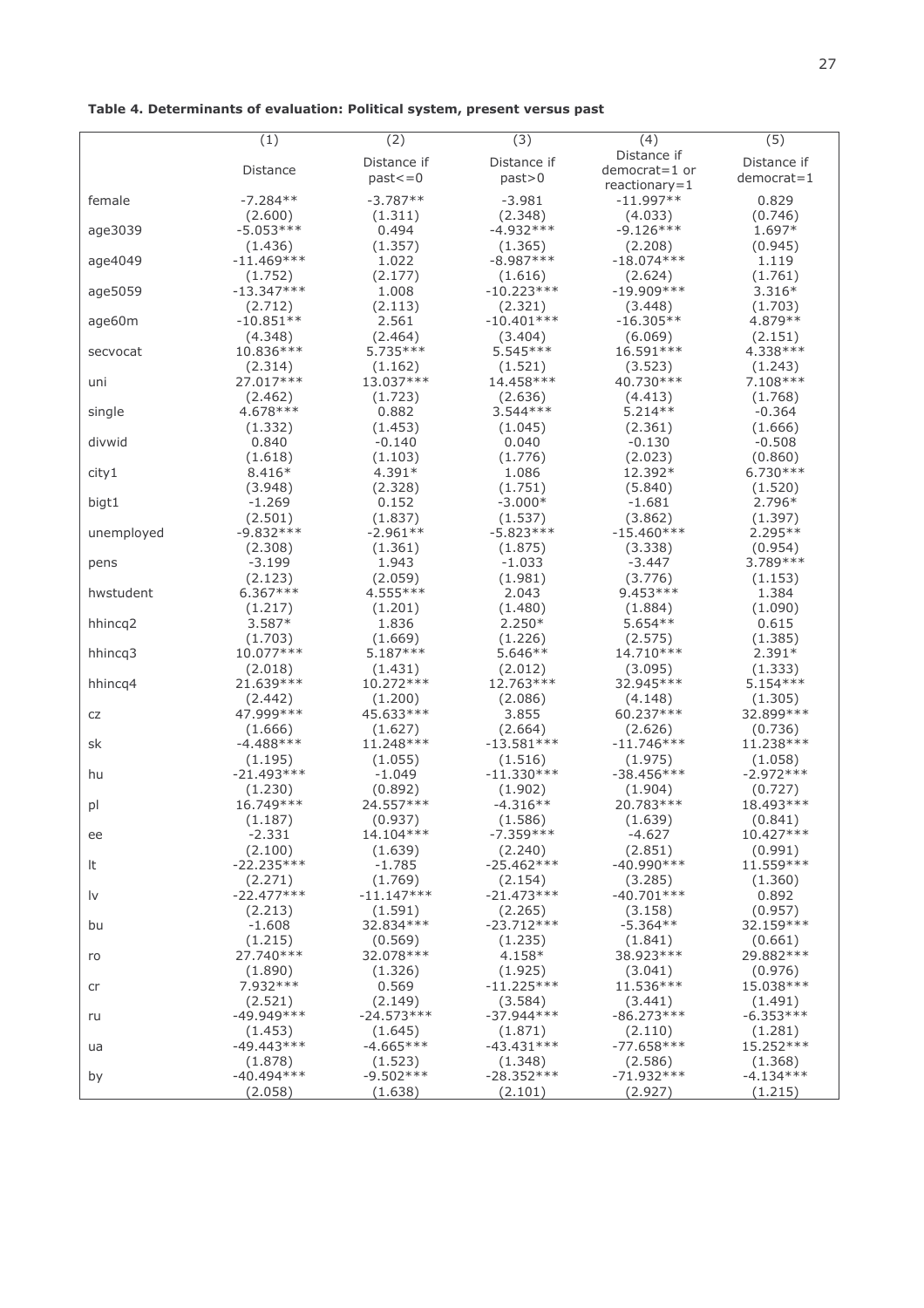| Table 4. Determinants of evaluation: Political system, present versus past |  |  |  |  |
|----------------------------------------------------------------------------|--|--|--|--|
|----------------------------------------------------------------------------|--|--|--|--|

|            | (1)                     | (2)                     | (3)          | (4)             | (5)           |
|------------|-------------------------|-------------------------|--------------|-----------------|---------------|
|            |                         | Distance if             | Distance if  | Distance if     | Distance if   |
|            | Distance                | $past < = 0$            | past>0       | democrat=1 or   | $d$ emocrat=1 |
|            |                         |                         |              | $reactionary=1$ |               |
| female     | $-7.284**$              | $-3.787**$              | $-3.981$     | $-11.997**$     | 0.829         |
|            | (2.600)                 | (1.311)                 | (2.348)      | (4.033)         | (0.746)       |
| age3039    | $-5.053***$             | 0.494                   | $-4.932***$  | $-9.126***$     | 1.697*        |
|            | (1.436)                 | (1.357)                 | (1.365)      | (2.208)         | (0.945)       |
| age4049    | $-11.469***$            | 1.022                   | $-8.987***$  | $-18.074***$    | 1.119         |
|            | (1.752)                 | (2.177)                 | (1.616)      | (2.624)         | (1.761)       |
| age5059    | $-13.347***$            | 1.008                   | $-10.223***$ | $-19.909***$    | $3.316*$      |
|            | (2.712)                 | (2.113)                 | (2.321)      | (3.448)         | (1.703)       |
| age60m     | $-10.851**$             | 2.561                   | $-10.401***$ | $-16.305**$     | 4.879 **      |
|            | (4.348)                 | (2.464)                 | (3.404)      | (6.069)         | (2.151)       |
| secvocat   | 10.836 ***              | 5.735 ***               | $5.545***$   | 16.591 ***      | 4.338 ***     |
|            | (2.314)                 | (1.162)                 | (1.521)      | (3.523)         | (1.243)       |
| uni        | 27.017***               | 13.037***               | 14.458 ***   | 40.730 ***      | $7.108***$    |
|            | (2.462)                 | (1.723)                 | (2.636)      | (4.413)         | (1.768)       |
|            | 4.678 ***               | 0.882                   | $3.544***$   | $5.214**$       | $-0.364$      |
| single     |                         |                         |              |                 |               |
|            | (1.332)                 | (1.453)                 | (1.045)      | (2.361)         | (1.666)       |
| divwid     | 0.840                   | $-0.140$                | 0.040        | $-0.130$        | $-0.508$      |
|            | (1.618)                 | (1.103)                 | (1.776)      | (2.023)         | (0.860)       |
| city1      | $8.416*$                | $4.391*$                | 1.086        | 12.392*         | $6.730***$    |
|            | (3.948)                 | (2.328)                 | (1.751)      | (5.840)         | (1.520)       |
| bigt1      | $-1.269$                | 0.152                   | $-3.000*$    | $-1.681$        | 2.796*        |
|            | (2.501)                 | (1.837)                 | (1.537)      | (3.862)         | (1.397)       |
| unemployed | $-9.832***$             | $-2.961**$              | $-5.823***$  | $-15.460***$    | $2.295**$     |
|            | (2.308)                 | (1.361)                 | (1.875)      | (3.338)         | (0.954)       |
| pens       | $-3.199$                | 1.943                   | $-1.033$     | $-3.447$        | 3.789 ***     |
|            | (2.123)                 | (2.059)                 | (1.981)      | (3.776)         | (1.153)       |
| hwstudent  | $6.367***$              | 4.555 ***               | 2.043        | $9.453***$      | 1.384         |
|            | (1.217)                 | (1.201)                 | (1.480)      | (1.884)         | (1.090)       |
| hhincq2    | $3.587*$                | 1.836                   | $2.250*$     | $5.654**$       | 0.615         |
|            | (1.703)                 | (1.669)                 | (1.226)      | (2.575)         | (1.385)       |
| hhincq3    | 10.077***               | $5.187***$              | $5.646**$    | 14.710 ***      | $2.391*$      |
|            | (2.018)                 | (1.431)                 | (2.012)      | (3.095)         | (1.333)       |
| hhincq4    | 21.639 ***              | 10.272 ***              | 12.763 ***   | 32.945 ***      | $5.154***$    |
|            | (2.442)                 | (1.200)                 | (2.086)      | (4.148)         | (1.305)       |
| CZ         | 47.999 ***              | 45.633***               | 3.855        | 60.237***       | 32.899 ***    |
|            | (1.666)                 | (1.627)                 | (2.664)      | (2.626)         | (0.736)       |
| sk         | $-4.488***$             | 11.248 ***              | $-13.581***$ | $-11.746***$    | 11.238 ***    |
|            | (1.195)                 | (1.055)                 | (1.516)      | (1.975)         | (1.058)       |
| hu         | $-21.493***$            | $-1.049$                | $-11.330***$ | -38.456***      | $-2.972***$   |
|            | (1.230)                 | (0.892)                 | (1.902)      | (1.904)         | (0.727)       |
| pl         | 16.749 ***              | 24.557***               | $-4.316**$   | 20.783 ***      | 18.493 ***    |
|            | (1.187)                 | (0.937)                 | (1.586)      | (1.639)         | (0.841)       |
| ee         | $-2.331$                | 14.104***               | $-7.359***$  | -4.627          | 10.427 ***    |
|            | (2.100)                 | (1.639)                 | (2.240)      | (2.851)         | (0.991)       |
| It         | $-22.235***$            | $-1.785$                | $-25.462***$ | $-40.990***$    | 11.559 ***    |
|            | (2.271)                 | (1.769)                 | (2.154)      | (3.285)         | (1.360)       |
| l٧         | $-22.477***$            | $-11.147***$            | $-21.473***$ | $-40.701***$    | 0.892         |
|            | (2.213)                 | (1.591)                 | (2.265)      | (3.158)         | (0.957)       |
| bu         | $-1.608$                | 32.834 ***              | $-23.712***$ | $-5.364**$      | 32.159***     |
|            | (1.215)                 | (0.569)                 | (1.235)      | (1.841)         | (0.661)       |
| ro         | 27.740 ***              | 32.078 ***              | 4.158*       | 38.923 ***      | 29.882 ***    |
|            | (1.890)                 | (1.326)                 | (1.925)      | (3.041)         | (0.976)       |
|            | 7.932 ***               | 0.569                   | $-11.225***$ | 11.536 ***      | 15.038 ***    |
| cr         |                         |                         |              |                 | (1.491)       |
|            | (2.521)<br>$-49.949***$ | (2.149)<br>$-24.573***$ | (3.584)      | (3.441)         | $-6.353***$   |
| ru         |                         |                         | -37.944***   | $-86.273***$    |               |
|            | (1.453)                 | (1.645)                 | (1.871)      | (2.110)         | (1.281)       |
| ua         | $-49.443***$            | $-4.665***$             | $-43.431***$ | $-77.658***$    | 15.252***     |
|            | (1.878)<br>$-40.494***$ | (1.523)                 | (1.348)      | (2.586)         | (1.368)       |
| by         |                         | $-9.502***$             | $-28.352***$ | $-71.932***$    | $-4.134***$   |
|            | (2.058)                 | (1.638)                 | (2.101)      | (2.927)         | (1.215)       |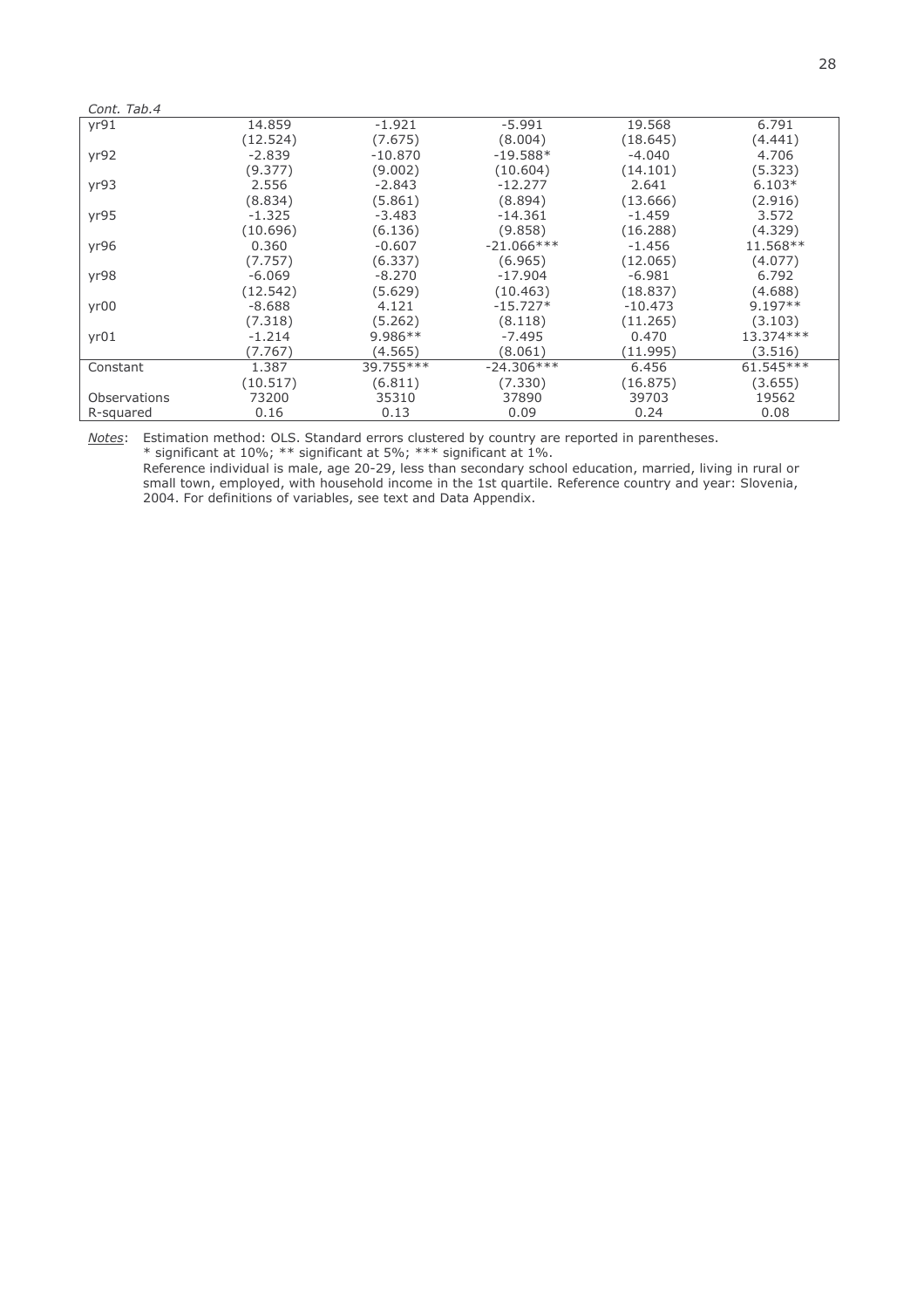| Cont. Tab.4  |          |            |              |           |             |
|--------------|----------|------------|--------------|-----------|-------------|
| yr91         | 14.859   | $-1.921$   | $-5.991$     | 19.568    | 6.791       |
|              | (12.524) | (7.675)    | (8.004)      | (18.645)  | (4.441)     |
| yr92         | $-2.839$ | $-10.870$  | $-19.588*$   | $-4.040$  | 4.706       |
|              | (9.377)  | (9.002)    | (10.604)     | (14.101)  | (5.323)     |
| yr93         | 2.556    | $-2.843$   | $-12.277$    | 2.641     | $6.103*$    |
|              | (8.834)  | (5.861)    | (8.894)      | (13.666)  | (2.916)     |
| yr95         | $-1.325$ | $-3.483$   | $-14.361$    | $-1.459$  | 3.572       |
|              | (10.696) | (6.136)    | (9.858)      | (16.288)  | (4.329)     |
| yr96         | 0.360    | $-0.607$   | $-21.066***$ | $-1.456$  | 11.568**    |
|              | (7.757)  | (6.337)    | (6.965)      | (12.065)  | (4.077)     |
| yr98         | $-6.069$ | $-8.270$   | $-17.904$    | $-6.981$  | 6.792       |
|              | (12.542) | (5.629)    | (10.463)     | (18.837)  | (4.688)     |
| yr00         | $-8.688$ | 4.121      | $-15.727*$   | $-10.473$ | $9.197**$   |
|              | (7.318)  | (5.262)    | (8.118)      | (11.265)  | (3.103)     |
| yr01         | $-1.214$ | $9.986**$  | $-7.495$     | 0.470     | 13.374 ***  |
|              | (7.767)  | (4.565)    | (8.061)      | (11.995)  | (3.516)     |
| Constant     | 1.387    | 39.755 *** | $-24.306***$ | 6.456     | $61.545***$ |
|              | (10.517) | (6.811)    | (7.330)      | (16.875)  | (3.655)     |
| Observations | 73200    | 35310      | 37890        | 39703     | 19562       |
| R-squared    | 0.16     | 0.13       | 0.09         | 0.24      | 0.08        |

Notes: Estimation method: OLS. Standard errors clustered by country are reported in parentheses.<br>\* significant at 10%; \*\* significant at 5%; \*\*\* significant at 1%.<br>Reference individual is male, age 20-29, less than seconda

small town, employed, with household income in the 1st quartile. Reference country and year: Slovenia, 2004. For definitions of variables, see text and Data Appendix.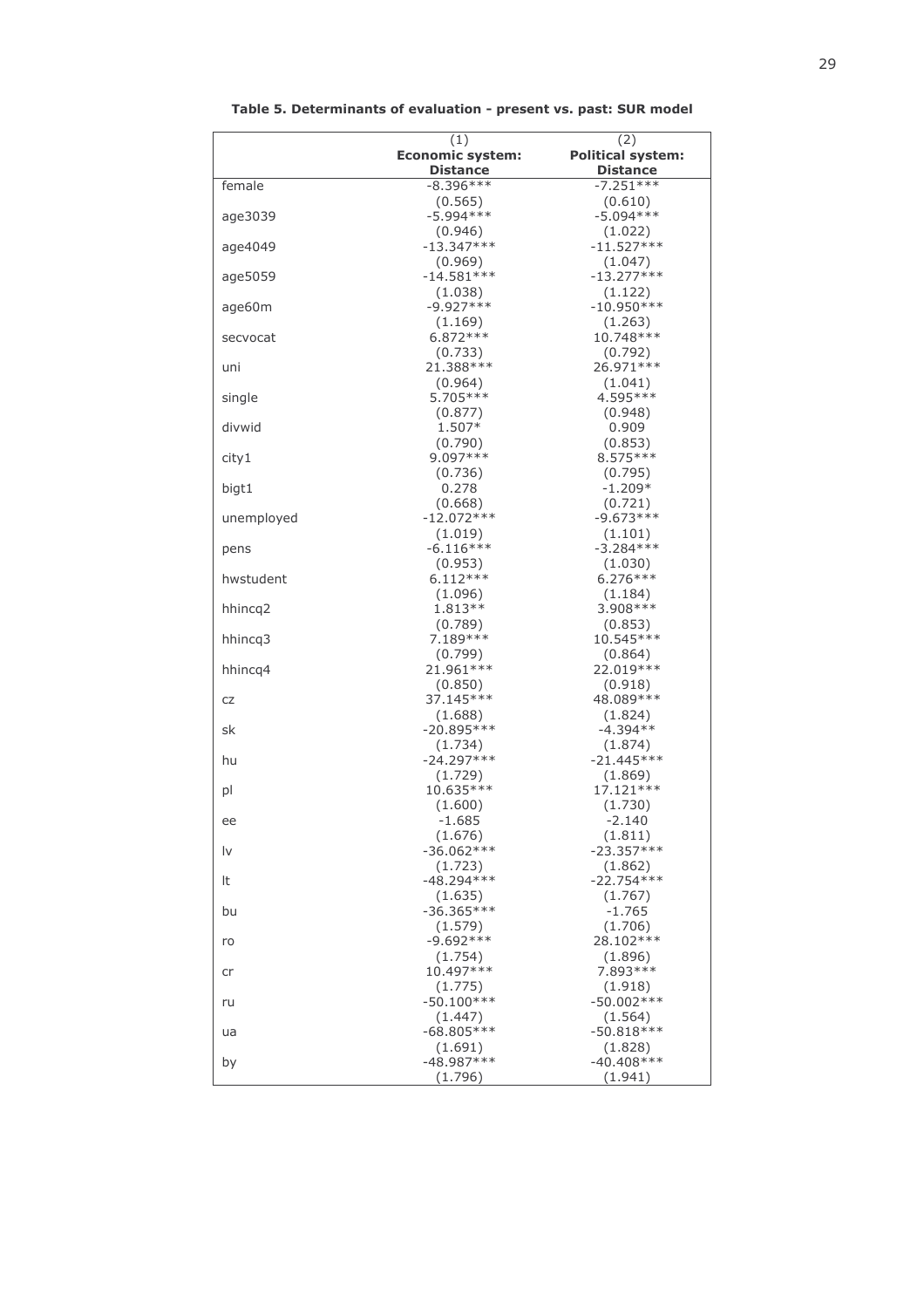|            | (1)<br><b>Economic system:</b> | (2)<br><b>Political system:</b> |
|------------|--------------------------------|---------------------------------|
|            | <b>Distance</b>                | <b>Distance</b>                 |
| female     | $-8.396***$                    | $-7.251***$                     |
|            | (0.565)                        | (0.610)                         |
| age3039    | $-5.994***$                    | $-5.094***$                     |
|            | (0.946)                        | (1.022)                         |
| age4049    | $-13.347***$                   | $-11.527***$                    |
|            | (0.969)                        | (1.047)                         |
| age5059    | $-14.581***$                   | $-13.277***$                    |
|            | (1.038)                        | (1.122)                         |
| age60m     | $-9.927***$                    | $-10.950***$                    |
|            | (1.169)<br>$6.872***$          | (1.263)<br>10.748 ***           |
| secvocat   | (0.733)                        | (0.792)                         |
| uni        | 21.388***                      | 26.971 ***                      |
|            | (0.964)                        | (1.041)                         |
| single     | 5.705***                       | 4.595 ***                       |
|            | (0.877)                        | (0.948)                         |
| divwid     | 1.507*                         | 0.909                           |
|            | (0.790)                        | (0.853)                         |
| city1      | $9.097***$                     | $8.575***$                      |
|            | (0.736)<br>0.278               | (0.795)<br>$-1.209*$            |
| bigt1      | (0.668)                        | (0.721)                         |
| unemployed | $-12.072***$                   | $-9.673***$                     |
|            | (1.019)                        | (1.101)                         |
| pens       | $-6.116***$                    | $-3.284***$                     |
|            | (0.953)                        | (1.030)                         |
| hwstudent  | $6.112***$                     | $6.276***$                      |
|            | (1.096)                        | (1.184)                         |
| hhincq2    | 1.813**                        | $3.908***$                      |
|            | (0.789)<br>7.189 ***           | (0.853)<br>10.545 ***           |
| hhincq3    | (0.799)                        | (0.864)                         |
| hhincq4    | 21.961 ***                     | 22.019 ***                      |
|            | (0.850)                        | (0.918)                         |
| CZ         | 37.145***                      | 48.089 ***                      |
|            | (1.688)                        | (1.824)                         |
| sk         | $-20.895***$                   | $-4.394**$                      |
|            | (1.734)                        | (1.874)                         |
| hu         | $-24.297***$                   | $-21.445***$                    |
|            | (1.729)<br>10.635***           | (1.869)<br>17.121 ***           |
| pl         | (1.600)                        | (1.730)                         |
| ee         | $-1.685$                       | $-2.140$                        |
|            | (1.676)                        | (1.811)                         |
| Ιv         | $-36.062***$                   | $-23.357***$                    |
|            | (1.723)                        | (1.862)                         |
| It         | $-48.294***$                   | $-22.754***$                    |
|            | (1.635)                        | (1.767)                         |
| bu         | $-36.365***$                   | -1.765                          |
|            | (1.579)<br>$-9.692***$         | (1.706)<br>28.102***            |
| ro         | (1.754)                        | (1.896)                         |
| cr         | 10.497***                      | 7.893 ***                       |
|            | (1.775)                        | (1.918)                         |
| ru         | $-50.100***$                   | $-50.002***$                    |
|            | (1.447)                        | (1.564)                         |
| ua         | $-68.805***$                   | $-50.818***$                    |
|            | (1.691)                        | (1.828)                         |
| by         | $-48.987***$                   | $-40.408***$                    |
|            | (1.796)                        | (1.941)                         |

Table 5. Determinants of evaluation - present vs. past: SUR model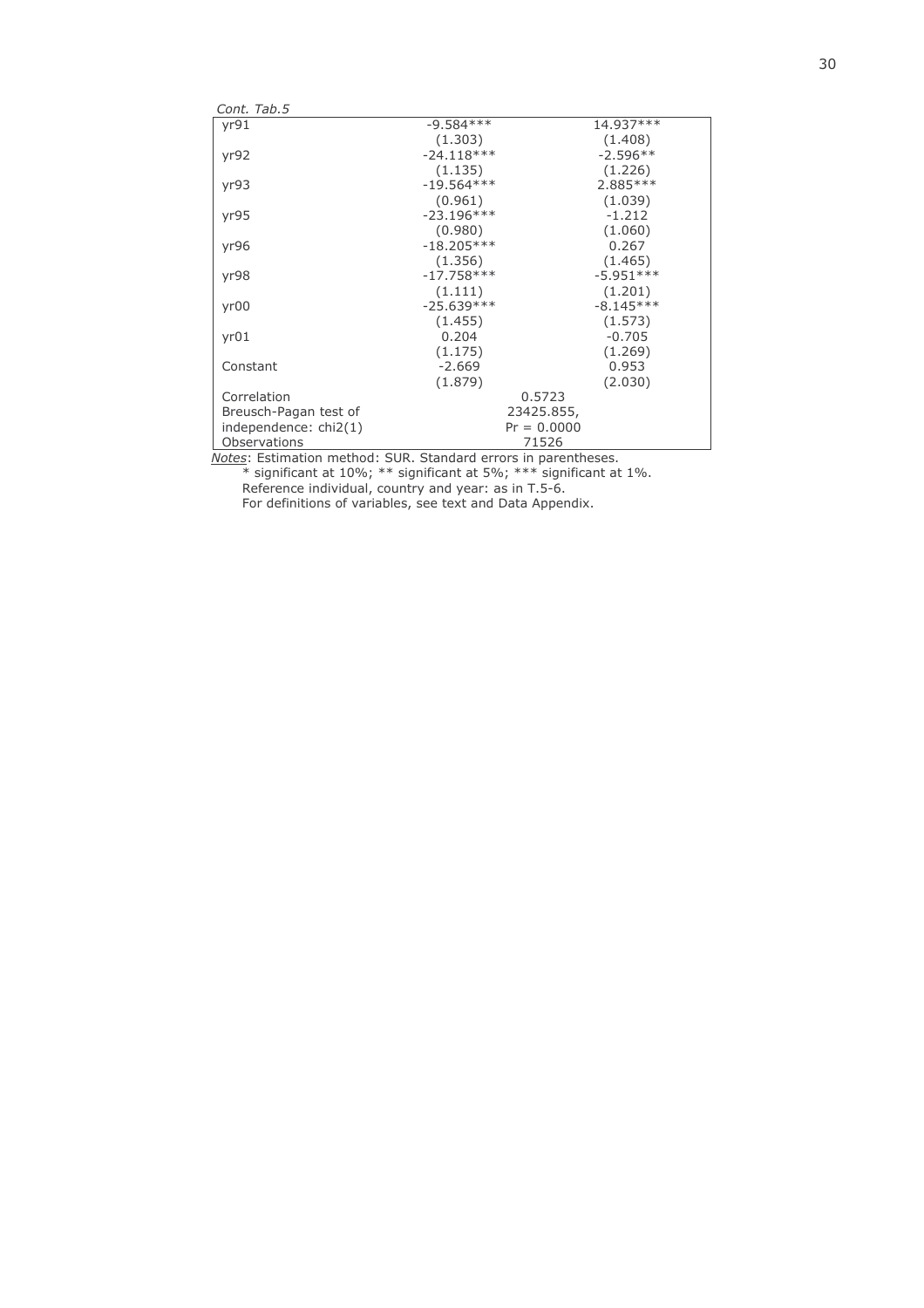| yr91<br>$-9.584***$<br>14.937***<br>(1.408)<br>(1.303)<br>$-24.118***$<br>$-2.596**$<br>yr92<br>(1.135)<br>(1.226)<br>$-19.564***$<br>$2.885***$<br>yr93<br>(0.961)<br>(1.039)<br>$-23.196***$<br>$-1.212$<br>yr95<br>(1.060)<br>(0.980)<br>$-18.205***$<br>0.267<br>yr96<br>(1.356)<br>(1.465)<br>$-17.758***$<br>$-5.951***$<br>yr98<br>(1.201)<br>(1.111)<br>$-25.639***$<br>$-8.145***$<br>yr00<br>(1.573)<br>(1.455)<br>0.204<br>$-0.705$<br>yr01<br>(1.269)<br>(1.175)<br>$-2.669$<br>0.953<br>Constant<br>(1.879)<br>(2.030)<br>0.5723<br>Correlation<br>23425.855,<br>Breusch-Pagan test of<br>$Pr = 0.0000$<br>independence: chi2(1)<br>71526<br>Observations<br>$\mathbf{1}$ $\mathbf{1}$ $\mathbf{2}$ $\mathbf{1}$<br>$\sim$ $\sim$ $\sim$ $\sim$ | Cont. Tab.5 |  |  |
|--------------------------------------------------------------------------------------------------------------------------------------------------------------------------------------------------------------------------------------------------------------------------------------------------------------------------------------------------------------------------------------------------------------------------------------------------------------------------------------------------------------------------------------------------------------------------------------------------------------------------------------------------------------------------------------------------------------------------------------------------------------|-------------|--|--|
|                                                                                                                                                                                                                                                                                                                                                                                                                                                                                                                                                                                                                                                                                                                                                              |             |  |  |
|                                                                                                                                                                                                                                                                                                                                                                                                                                                                                                                                                                                                                                                                                                                                                              |             |  |  |
|                                                                                                                                                                                                                                                                                                                                                                                                                                                                                                                                                                                                                                                                                                                                                              |             |  |  |
|                                                                                                                                                                                                                                                                                                                                                                                                                                                                                                                                                                                                                                                                                                                                                              |             |  |  |
|                                                                                                                                                                                                                                                                                                                                                                                                                                                                                                                                                                                                                                                                                                                                                              |             |  |  |
|                                                                                                                                                                                                                                                                                                                                                                                                                                                                                                                                                                                                                                                                                                                                                              |             |  |  |
|                                                                                                                                                                                                                                                                                                                                                                                                                                                                                                                                                                                                                                                                                                                                                              |             |  |  |
|                                                                                                                                                                                                                                                                                                                                                                                                                                                                                                                                                                                                                                                                                                                                                              |             |  |  |
|                                                                                                                                                                                                                                                                                                                                                                                                                                                                                                                                                                                                                                                                                                                                                              |             |  |  |
|                                                                                                                                                                                                                                                                                                                                                                                                                                                                                                                                                                                                                                                                                                                                                              |             |  |  |
|                                                                                                                                                                                                                                                                                                                                                                                                                                                                                                                                                                                                                                                                                                                                                              |             |  |  |
|                                                                                                                                                                                                                                                                                                                                                                                                                                                                                                                                                                                                                                                                                                                                                              |             |  |  |
|                                                                                                                                                                                                                                                                                                                                                                                                                                                                                                                                                                                                                                                                                                                                                              |             |  |  |
|                                                                                                                                                                                                                                                                                                                                                                                                                                                                                                                                                                                                                                                                                                                                                              |             |  |  |
|                                                                                                                                                                                                                                                                                                                                                                                                                                                                                                                                                                                                                                                                                                                                                              |             |  |  |
|                                                                                                                                                                                                                                                                                                                                                                                                                                                                                                                                                                                                                                                                                                                                                              |             |  |  |
|                                                                                                                                                                                                                                                                                                                                                                                                                                                                                                                                                                                                                                                                                                                                                              |             |  |  |
|                                                                                                                                                                                                                                                                                                                                                                                                                                                                                                                                                                                                                                                                                                                                                              |             |  |  |
|                                                                                                                                                                                                                                                                                                                                                                                                                                                                                                                                                                                                                                                                                                                                                              |             |  |  |
|                                                                                                                                                                                                                                                                                                                                                                                                                                                                                                                                                                                                                                                                                                                                                              |             |  |  |
|                                                                                                                                                                                                                                                                                                                                                                                                                                                                                                                                                                                                                                                                                                                                                              |             |  |  |
|                                                                                                                                                                                                                                                                                                                                                                                                                                                                                                                                                                                                                                                                                                                                                              |             |  |  |

Notes: Estimation method: SUR. Standard errors in parentheses.<br>
\* significant at 10%; \*\* significant at 5%; \*\*\* significant at 1%.<br>
Reference individual, country and year: as in T.5-6.<br>
For definitions of variables, see te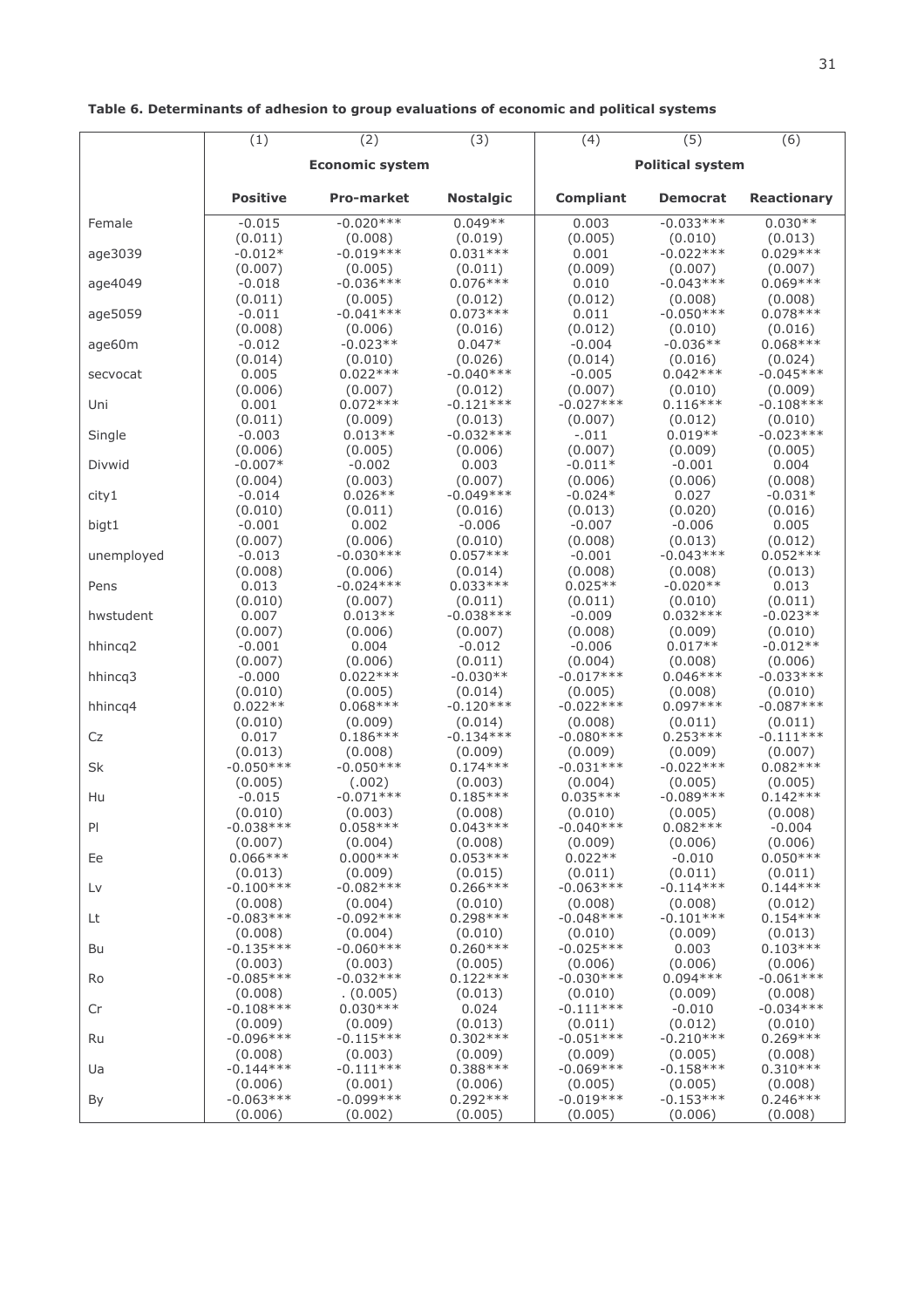|            | (1)                 | (2)                    | (3)                 | (4)              | (5)                     | (6)                   |  |
|------------|---------------------|------------------------|---------------------|------------------|-------------------------|-----------------------|--|
|            |                     | <b>Economic system</b> |                     |                  | <b>Political system</b> |                       |  |
|            | <b>Positive</b>     | <b>Pro-market</b>      | <b>Nostalgic</b>    | <b>Compliant</b> | <b>Democrat</b>         | <b>Reactionary</b>    |  |
| Female     | $-0.015$            | $-0.020***$            | $0.049**$           | 0.003            | $-0.033***$             | $0.030**$             |  |
|            | (0.011)             | (0.008)                | (0.019)             | (0.005)          | (0.010)                 | (0.013)               |  |
| age3039    | $-0.012*$           | $-0.019***$            | $0.031***$          | 0.001            | $-0.022***$             | $0.029***$            |  |
|            | (0.007)             | (0.005)                | (0.011)             | (0.009)          | (0.007)                 | (0.007)               |  |
| age4049    | $-0.018$            | $-0.036***$            | $0.076***$          | 0.010            | $-0.043***$             | $0.069***$            |  |
|            | (0.011)             | (0.005)                | (0.012)             | (0.012)          | (0.008)                 | (0.008)               |  |
| age5059    | $-0.011$            | $-0.041***$<br>(0.006) | $0.073***$          | 0.011<br>(0.012) | $-0.050***$             | $0.078***$<br>(0.016) |  |
| age60m     | (0.008)<br>$-0.012$ | $-0.023**$             | (0.016)<br>$0.047*$ | $-0.004$         | (0.010)<br>$-0.036**$   | $0.068***$            |  |
| secvocat   | (0.014)             | (0.010)                | (0.026)             | (0.014)          | (0.016)                 | (0.024)               |  |
|            | 0.005               | $0.022***$             | $-0.040***$         | $-0.005$         | $0.042***$              | $-0.045***$           |  |
| Uni        | (0.006)             | (0.007)                | (0.012)             | (0.007)          | (0.010)                 | (0.009)               |  |
|            | 0.001               | $0.072***$             | $-0.121***$         | $-0.027***$      | $0.116***$              | $-0.108***$           |  |
| Single     | (0.011)             | (0.009)                | (0.013)             | (0.007)          | (0.012)                 | (0.010)               |  |
|            | $-0.003$            | $0.013**$              | $-0.032***$         | $-.011$          | $0.019**$               | $-0.023***$           |  |
| Divwid     | (0.006)             | (0.005)                | (0.006)             | (0.007)          | (0.009)                 | (0.005)               |  |
|            | $-0.007*$           | $-0.002$               | 0.003               | $-0.011*$        | $-0.001$                | 0.004                 |  |
| city1      | (0.004)             | (0.003)                | (0.007)             | (0.006)          | (0.006)                 | (0.008)               |  |
|            | $-0.014$            | $0.026**$              | $-0.049***$         | $-0.024*$        | 0.027                   | $-0.031*$             |  |
| bigt1      | (0.010)             | (0.011)                | (0.016)             | (0.013)          | (0.020)                 | (0.016)               |  |
|            | $-0.001$            | 0.002                  | $-0.006$            | $-0.007$         | $-0.006$                | 0.005                 |  |
| unemployed | (0.007)             | (0.006)                | (0.010)             | (0.008)          | (0.013)                 | (0.012)               |  |
|            | $-0.013$            | $-0.030***$            | $0.057***$          | $-0.001$         | $-0.043***$             | $0.052***$            |  |
| Pens       | (0.008)             | (0.006)                | (0.014)             | (0.008)          | (0.008)                 | (0.013)               |  |
|            | 0.013               | $-0.024***$            | $0.033***$          | $0.025**$        | $-0.020**$              | 0.013                 |  |
| hwstudent  | (0.010)             | (0.007)                | (0.011)             | (0.011)          | (0.010)                 | (0.011)               |  |
|            | 0.007               | $0.013**$              | $-0.038***$         | $-0.009$         | $0.032***$              | $-0.023**$            |  |
| hhincq2    | (0.007)             | (0.006)                | (0.007)             | (0.008)          | (0.009)                 | (0.010)               |  |
|            | $-0.001$            | 0.004                  | $-0.012$            | $-0.006$         | $0.017**$               | $-0.012**$            |  |
| hhincq3    | (0.007)             | (0.006)                | (0.011)             | (0.004)          | (0.008)                 | (0.006)               |  |
|            | $-0.000$            | $0.022***$             | $-0.030**$          | $-0.017***$      | $0.046***$              | $-0.033***$           |  |
| hhincq4    | (0.010)             | (0.005)                | (0.014)             | (0.005)          | (0.008)                 | (0.010)               |  |
|            | $0.022**$           | $0.068***$             | $-0.120***$         | $-0.022***$      | $0.097***$              | $-0.087***$           |  |
| Cz         | (0.010)             | (0.009)                | (0.014)             | (0.008)          | (0.011)                 | (0.011)               |  |
|            | 0.017               | $0.186***$             | $-0.134***$         | $-0.080***$      | $0.253***$              | $-0.111***$           |  |
| Sk         | (0.013)             | (0.008)                | (0.009)             | (0.009)          | (0.009)                 | (0.007)               |  |
|            | $-0.050***$         | $-0.050***$            | $0.174***$          | $-0.031***$      | $-0.022***$             | $0.082***$            |  |
| Hu         | (0.005)             | (.002)                 | (0.003)             | (0.004)          | (0.005)                 | (0.005)               |  |
|            | $-0.015$            | $-0.071***$            | $0.185***$          | $0.035***$       | $-0.089***$             | $0.142***$            |  |
| PI         | (0.010)             | (0.003)                | (0.008)             | (0.010)          | (0.005)                 | (0.008)               |  |
|            | $-0.038***$         | $0.058***$             | $0.043***$          | $-0.040***$      | $0.082***$              | $-0.004$              |  |
| Ee         | (0.007)             | (0.004)                | (0.008)             | (0.009)          | (0.006)                 | (0.006)               |  |
|            | $0.066***$          | $0.000***$             | $0.053***$          | $0.022**$        | $-0.010$                | $0.050***$            |  |
| Lv         | (0.013)             | (0.009)                | (0.015)             | (0.011)          | (0.011)                 | (0.011)               |  |
|            | $-0.100***$         | $-0.082***$            | $0.266***$          | $-0.063***$      | $-0.114***$             | $0.144***$            |  |
| Lt         | (0.008)             | (0.004)                | (0.010)             | (0.008)          | (0.008)                 | (0.012)               |  |
|            | $-0.083***$         | $-0.092***$            | $0.298***$          | $-0.048***$      | $-0.101***$             | $0.154***$            |  |
| Bu         | (0.008)             | (0.004)                | (0.010)             | (0.010)          | (0.009)                 | (0.013)               |  |
|            | $-0.135***$         | $-0.060***$            | $0.260***$          | $-0.025***$      | 0.003                   | $0.103***$            |  |
| Ro         | (0.003)             | (0.003)                | (0.005)             | (0.006)          | (0.006)                 | (0.006)               |  |
|            | $-0.085***$         | $-0.032***$            | $0.122***$          | $-0.030***$      | $0.094***$              | $-0.061***$           |  |
| Cr         | (0.008)             | (0.005)                | (0.013)             | (0.010)          | (0.009)                 | (0.008)               |  |
|            | $-0.108***$         | $0.030***$             | 0.024               | $-0.111***$      | $-0.010$                | $-0.034***$           |  |
| Ru         | (0.009)             | (0.009)                | (0.013)             | (0.011)          | (0.012)                 | (0.010)               |  |
|            | $-0.096***$         | $-0.115***$            | $0.302***$          | $-0.051***$      | $-0.210***$             | $0.269***$            |  |
| Ua         | (0.008)             | (0.003)                | (0.009)             | (0.009)          | (0.005)                 | (0.008)               |  |
|            | $-0.144***$         | $-0.111***$            | $0.388***$          | $-0.069***$      | $-0.158***$             | $0.310***$            |  |
| By         | (0.006)             | (0.001)                | (0.006)             | (0.005)          | (0.005)                 | (0.008)               |  |
|            | $-0.063***$         | $-0.099***$            | $0.292***$          | $-0.019***$      | $-0.153***$             | $0.246***$            |  |
|            | (0.006)             | (0.002)                | (0.005)             | (0.005)          | (0.006)                 | (0.008)               |  |

## Table 6. Determinants of adhesion to group evaluations of economic and political systems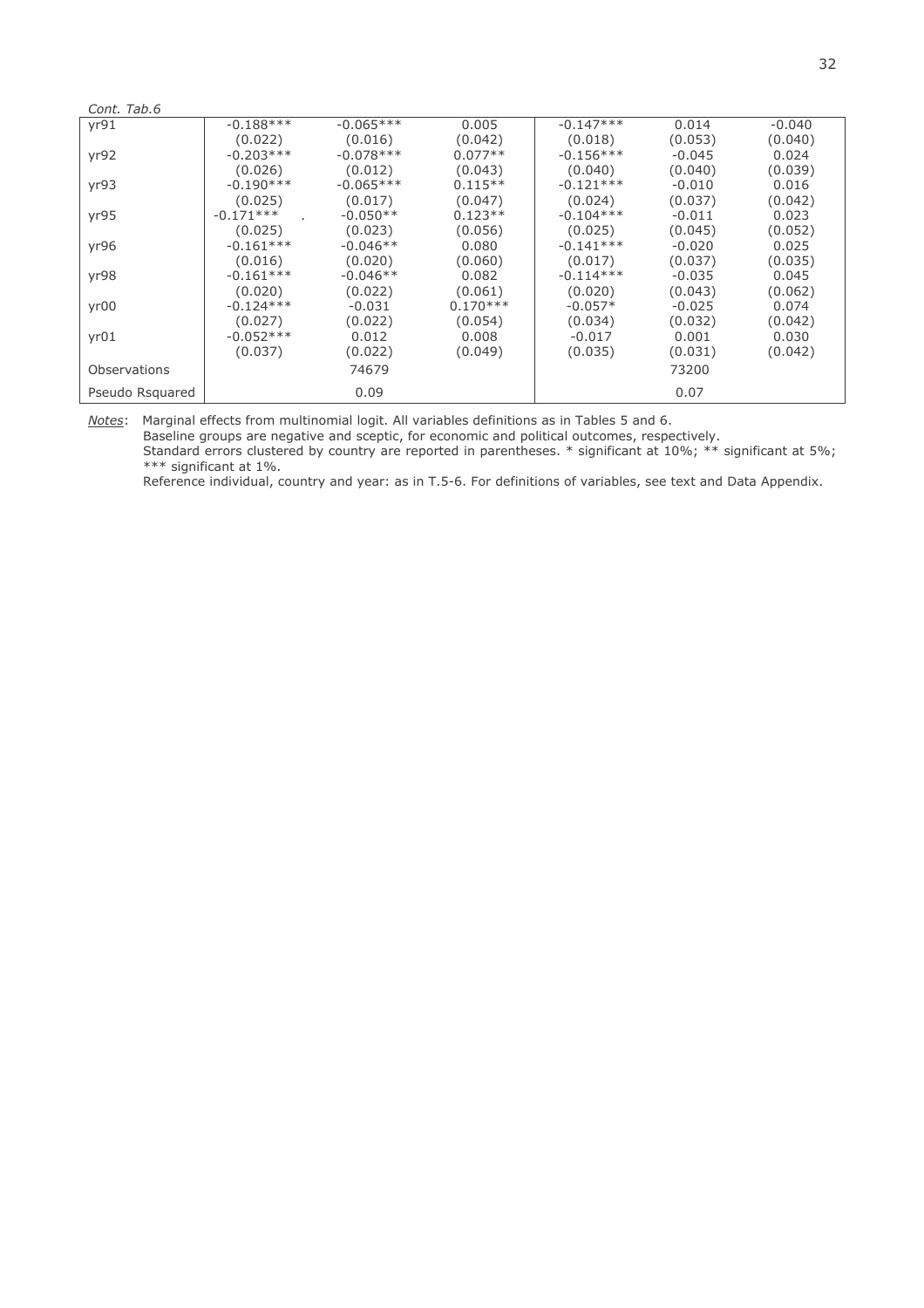| Cont. Tab.6         |             |             |            |             |          |          |
|---------------------|-------------|-------------|------------|-------------|----------|----------|
| yr91                | $-0.188***$ | $-0.065***$ | 0.005      | $-0.147***$ | 0.014    | $-0.040$ |
|                     | (0.022)     | (0.016)     | (0.042)    | (0.018)     | (0.053)  | (0.040)  |
| yr92                | $-0.203***$ | $-0.078***$ | $0.077**$  | $-0.156***$ | $-0.045$ | 0.024    |
|                     | (0.026)     | (0.012)     | (0.043)    | (0.040)     | (0.040)  | (0.039)  |
| yr93                | $-0.190***$ | $-0.065***$ | $0.115**$  | $-0.121***$ | $-0.010$ | 0.016    |
|                     | (0.025)     | (0.017)     | (0.047)    | (0.024)     | (0.037)  | (0.042)  |
| yr95                | $-0.171***$ | $-0.050**$  | $0.123**$  | $-0.104***$ | $-0.011$ | 0.023    |
|                     | (0.025)     | (0.023)     | (0.056)    | (0.025)     | (0.045)  | (0.052)  |
| yr96                | $-0.161***$ | $-0.046**$  | 0.080      | $-0.141***$ | $-0.020$ | 0.025    |
|                     | (0.016)     | (0.020)     | (0.060)    | (0.017)     | (0.037)  | (0.035)  |
| yr98                | $-0.161***$ | $-0.046**$  | 0.082      | $-0.114***$ | $-0.035$ | 0.045    |
|                     | (0.020)     | (0.022)     | (0.061)    | (0.020)     | (0.043)  | (0.062)  |
| yr00                | $-0.124***$ | $-0.031$    | $0.170***$ | $-0.057*$   | $-0.025$ | 0.074    |
|                     | (0.027)     | (0.022)     | (0.054)    | (0.034)     | (0.032)  | (0.042)  |
| yr01                | $-0.052***$ | 0.012       | 0.008      | $-0.017$    | 0.001    | 0.030    |
|                     | (0.037)     | (0.022)     | (0.049)    | (0.035)     | (0.031)  | (0.042)  |
| <b>Observations</b> |             | 74679       |            |             | 73200    |          |
| Pseudo Rsquared     |             | 0.09        |            |             | 0.07     |          |

Notes: Marginal effects from multinomial logit. All variables definitions as in Tables 5 and 6. Baseline groups are negative and sceptic, for economic and political outcomes, respectively.<br>Standard errors clustered by country are reported in parentheses. \* significant at 10%; \*\* significant at 5%; \*\*\* significant at 1%.

Reference individual, country and year: as in T.5-6. For definitions of variables, see text and Data Appendix.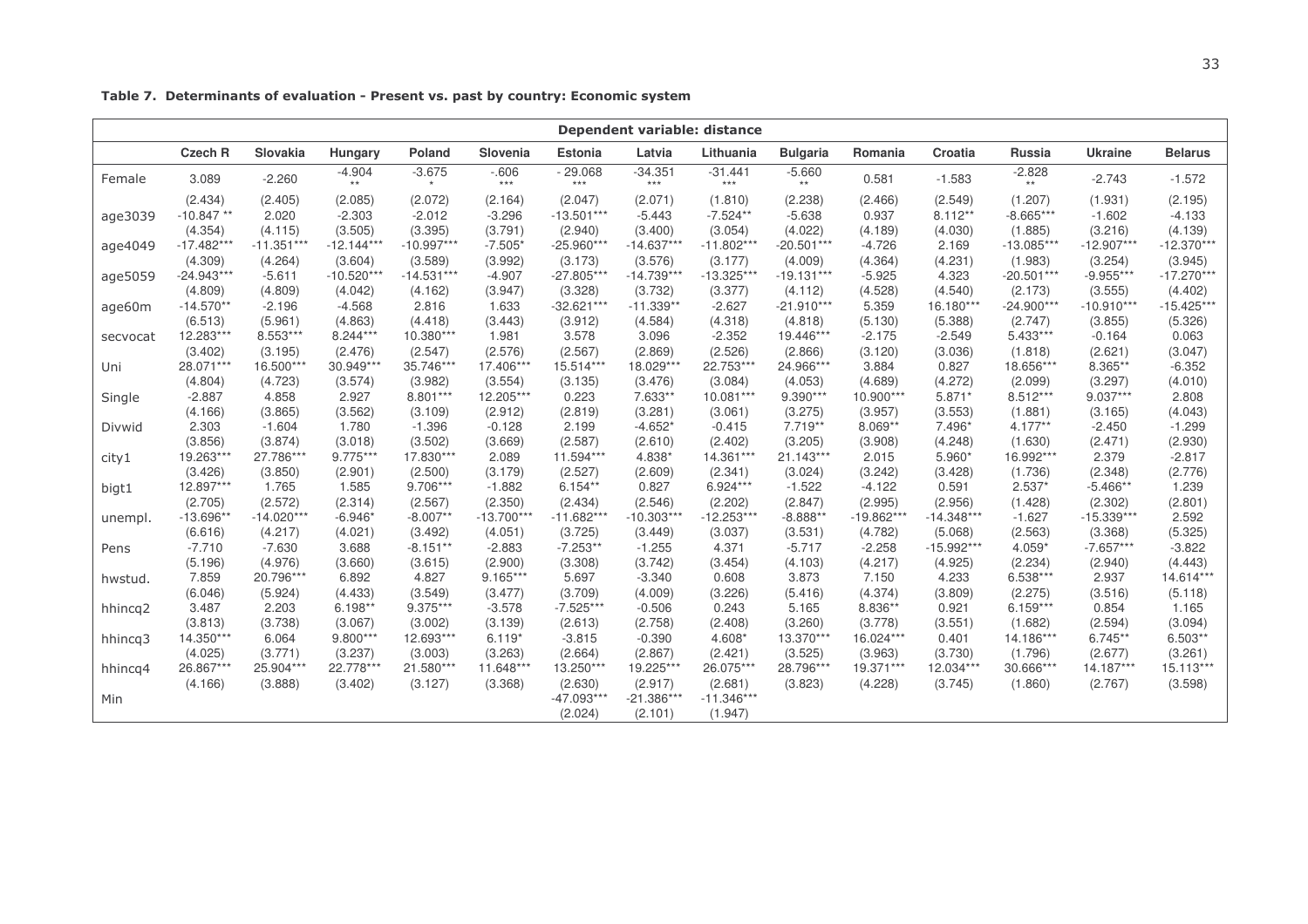| Dependent variable: distance |                |              |                          |              |                 |                    |                    |                                |                   |              |              |                   |                |                |
|------------------------------|----------------|--------------|--------------------------|--------------|-----------------|--------------------|--------------------|--------------------------------|-------------------|--------------|--------------|-------------------|----------------|----------------|
|                              | <b>Czech R</b> | Slovakia     | Hungary                  | Poland       | Slovenia        | <b>Estonia</b>     | Latvia             | Lithuania                      | <b>Bulgaria</b>   | Romania      | Croatia      | Russia            | <b>Ukraine</b> | <b>Belarus</b> |
| Female                       | 3.089          | $-2.260$     | $-4.904$<br>$\star\star$ | $-3.675$     | $-606$<br>$***$ | $-29.068$<br>$***$ | $-34.351$<br>$***$ | $-31.441$<br>$\star\star\star$ | $-5.660$<br>$***$ | 0.581        | $-1.583$     | $-2.828$<br>$***$ | $-2.743$       | $-1.572$       |
|                              | (2.434)        | (2.405)      | (2.085)                  | (2.072)      | (2.164)         | (2.047)            | (2.071)            | (1.810)                        | (2.238)           | (2.466)      | (2.549)      | (1.207)           | (1.931)        | (2.195)        |
| age3039                      | $-10.847**$    | 2.020        | $-2.303$                 | $-2.012$     | $-3.296$        | $-13.501***$       | $-5.443$           | $-7.524**$                     | $-5.638$          | 0.937        | $8.112**$    | $-8.665***$       | $-1.602$       | $-4.133$       |
|                              | (4.354)        | (4.115)      | (3.505)                  | (3.395)      | (3.791)         | (2.940)            | (3.400)            | (3.054)                        | (4.022)           | (4.189)      | (4.030)      | (1.885)           | (3.216)        | (4.139)        |
| age4049                      | $-17.482***$   | $-11.351***$ | $-12.144***$             | $-10.997***$ | $-7.505*$       | $-25.960***$       | $-14.637***$       | $-11.802***$                   | $-20.501***$      | $-4.726$     | 2.169        | $-13.085***$      | $-12.907***$   | $-12.370***$   |
|                              | (4.309)        | (4.264)      | (3.604)                  | (3.589)      | (3.992)         | (3.173)            | (3.576)            | (3.177)                        | (4.009)           | (4.364)      | (4.231)      | (1.983)           | (3.254)        | (3.945)        |
| age5059                      | $-24.943***$   | $-5.611$     | $-10.520***$             | $-14.531***$ | $-4.907$        | $-27.805***$       | $-14.739***$       | $-13.325***$                   | $-19.131***$      | $-5.925$     | 4.323        | $-20.501***$      | $-9.955***$    | $-17.270***$   |
|                              | (4.809)        | (4.809)      | (4.042)                  | (4.162)      | (3.947)         | (3.328)            | (3.732)            | (3.377)                        | (4.112)           | (4.528)      | (4.540)      | (2.173)           | (3.555)        | (4.402)        |
| age60m                       | $-14.570**$    | $-2.196$     | $-4.568$                 | 2.816        | 1.633           | $-32.621***$       | $-11.339**$        | $-2.627$                       | $-21.910***$      | 5.359        | 16.180***    | $-24.900***$      | $-10.910***$   | $-15.425***$   |
|                              | (6.513)        | (5.961)      | (4.863)                  | (4.418)      | (3.443)         | (3.912)            | (4.584)            | (4.318)                        | (4.818)           | (5.130)      | (5.388)      | (2.747)           | (3.855)        | (5.326)        |
| secvocat                     | 12.283***      | 8.553***     | 8.244***                 | 10.380***    | 1.981           | 3.578              | 3.096              | $-2.352$                       | 19.446***         | $-2.175$     | $-2.549$     | $5.433***$        | $-0.164$       | 0.063          |
|                              | (3.402)        | (3.195)      | (2.476)                  | (2.547)      | (2.576)         | (2.567)            | (2.869)            | (2.526)                        | (2.866)           | (3.120)      | (3.036)      | (1.818)           | (2.621)        | (3.047)        |
| Uni                          | 28.071***      | 16.500***    | 30.949***                | 35.746***    | 17.406***       | 15.514***          | 18.029***          | 22.753***                      | 24.966***         | 3.884        | 0.827        | 18.656***         | 8.365**        | $-6.352$       |
|                              | (4.804)        | (4.723)      | (3.574)                  | (3.982)      | (3.554)         | (3.135)            | (3.476)            | (3.084)                        | (4.053)           | (4.689)      | (4.272)      | (2.099)           | (3.297)        | (4.010)        |
| Single                       | $-2.887$       | 4.858        | 2.927                    | $8.801***$   | 12.205***       | 0.223              | 7.633**            | 10.081***                      | 9.390***          | 10.900***    | 5.871*       | $8.512***$        | $9.037***$     | 2.808          |
|                              | (4.166)        | (3.865)      | (3.562)                  | (3.109)      | (2.912)         | (2.819)            | (3.281)            | (3.061)                        | (3.275)           | (3.957)      | (3.553)      | (1.881)           | (3.165)        | (4.043)        |
| Divwid                       | 2.303          | $-1.604$     | 1.780                    | $-1.396$     | $-0.128$        | 2.199              | $-4.652*$          | $-0.415$                       | $7.719**$         | 8.069**      | 7.496*       | $4.177**$         | $-2.450$       | $-1.299$       |
|                              | (3.856)        | (3.874)      | (3.018)                  | (3.502)      | (3.669)         | (2.587)            | (2.610)            | (2.402)                        | (3.205)           | (3.908)      | (4.248)      | (1.630)           | (2.471)        | (2.930)        |
| city1                        | 19.263***      | 27.786***    | $9.775***$               | 17.830***    | 2.089           | 11.594***          | 4.838*             | 14.361***                      | 21.143***         | 2.015        | 5.960*       | 16.992***         | 2.379          | $-2.817$       |
|                              | (3.426)        | (3.850)      | (2.901)                  | (2.500)      | (3.179)         | (2.527)            | (2.609)            | (2.341)                        | (3.024)           | (3.242)      | (3.428)      | (1.736)           | (2.348)        | (2.776)        |
| bigt1                        | 12.897***      | 1.765        | 1.585                    | 9.706***     | $-1.882$        | $6.154**$          | 0.827              | $6.924***$                     | $-1.522$          | $-4.122$     | 0.591        | $2.537*$          | $-5.466**$     | 1.239          |
|                              | (2.705)        | (2.572)      | (2.314)                  | (2.567)      | (2.350)         | (2.434)            | (2.546)            | (2.202)                        | (2.847)           | (2.995)      | (2.956)      | (1.428)           | (2.302)        | (2.801)        |
| unempl.                      | $-13.696*$     | $-14.020***$ | $-6.946*$                | $-8.007**$   | $-13.700***$    | $-11.682***$       | $-10.303***$       | $-12.253***$                   | $-8.888**$        | $-19.862***$ | $-14.348***$ | $-1.627$          | $-15.339***$   | 2.592          |
|                              | (6.616)        | (4.217)      | (4.021)                  | (3.492)      | (4.051)         | (3.725)            | (3.449)            | (3.037)                        | (3.531)           | (4.782)      | (5.068)      | (2.563)           | (3.368)        | (5.325)        |
| Pens                         | $-7.710$       | $-7.630$     | 3.688                    | $-8.151**$   | $-2.883$        | $-7.253**$         | $-1.255$           | 4.371                          | $-5.717$          | $-2.258$     | $-15.992***$ | $4.059*$          | $-7.657***$    | $-3.822$       |
|                              | (5.196)        | (4.976)      | (3.660)                  | (3.615)      | (2.900)         | (3.308)            | (3.742)            | (3.454)                        | (4.103)           | (4.217)      | (4.925)      | (2.234)           | (2.940)        | (4.443)        |
| hwstud.                      | 7.859          | 20.796***    | 6.892                    | 4.827        | $9.165***$      | 5.697              | $-3.340$           | 0.608                          | 3.873             | 7.150        | 4.233        | 6.538***          | 2.937          | 14.614***      |
|                              | (6.046)        | (5.924)      | (4.433)                  | (3.549)      | (3.477)         | (3.709)            | (4.009)            | (3.226)                        | (5.416)           | (4.374)      | (3.809)      | (2.275)           | (3.516)        | (5.118)        |
| hhincq2                      | 3.487          | 2.203        | $6.198**$                | 9.375***     | $-3.578$        | $-7.525***$        | $-0.506$           | 0.243                          | 5.165             | 8.836**      | 0.921        | $6.159***$        | 0.854          | 1.165          |
|                              | (3.813)        | (3.738)      | (3.067)                  | (3.002)      | (3.139)         | (2.613)            | (2.758)            | (2.408)                        | (3.260)           | (3.778)      | (3.551)      | (1.682)           | (2.594)        | (3.094)        |
| hhincq3                      | 14.350***      | 6.064        | $9.800***$               | 12.693***    | $6.119*$        | $-3.815$           | $-0.390$           | 4.608*                         | 13.370***         | 16.024***    | 0.401        | 14.186***         | $6.745**$      | $6.503**$      |
|                              | (4.025)        | (3.771)      | (3.237)                  | (3.003)      | (3.263)         | (2.664)            | (2.867)            | (2.421)                        | (3.525)           | (3.963)      | (3.730)      | (1.796)           | (2.677)        | (3.261)        |
| hhincq4                      | 26.867***      | 25.904***    | 22.778***                | 21.580***    | 11.648***       | 13.250***          | 19.225***          | 26.075***                      | 28.796***         | 19.371***    | 12.034***    | 30.666***         | $14.187***$    | 15.113***      |
|                              | (4.166)        | (3.888)      | (3.402)                  | (3.127)      | (3.368)         | (2.630)            | (2.917)            | (2.681)                        | (3.823)           | (4.228)      | (3.745)      | (1.860)           | (2.767)        | (3.598)        |
| Min                          |                |              |                          |              |                 | $-47.093***$       | $-21.386***$       | $-11.346***$                   |                   |              |              |                   |                |                |
|                              |                |              |                          |              |                 | (2.024)            | (2.101)            | (1.947)                        |                   |              |              |                   |                |                |

Table 7. Determinants of evaluation - Present vs. past by country: Economic system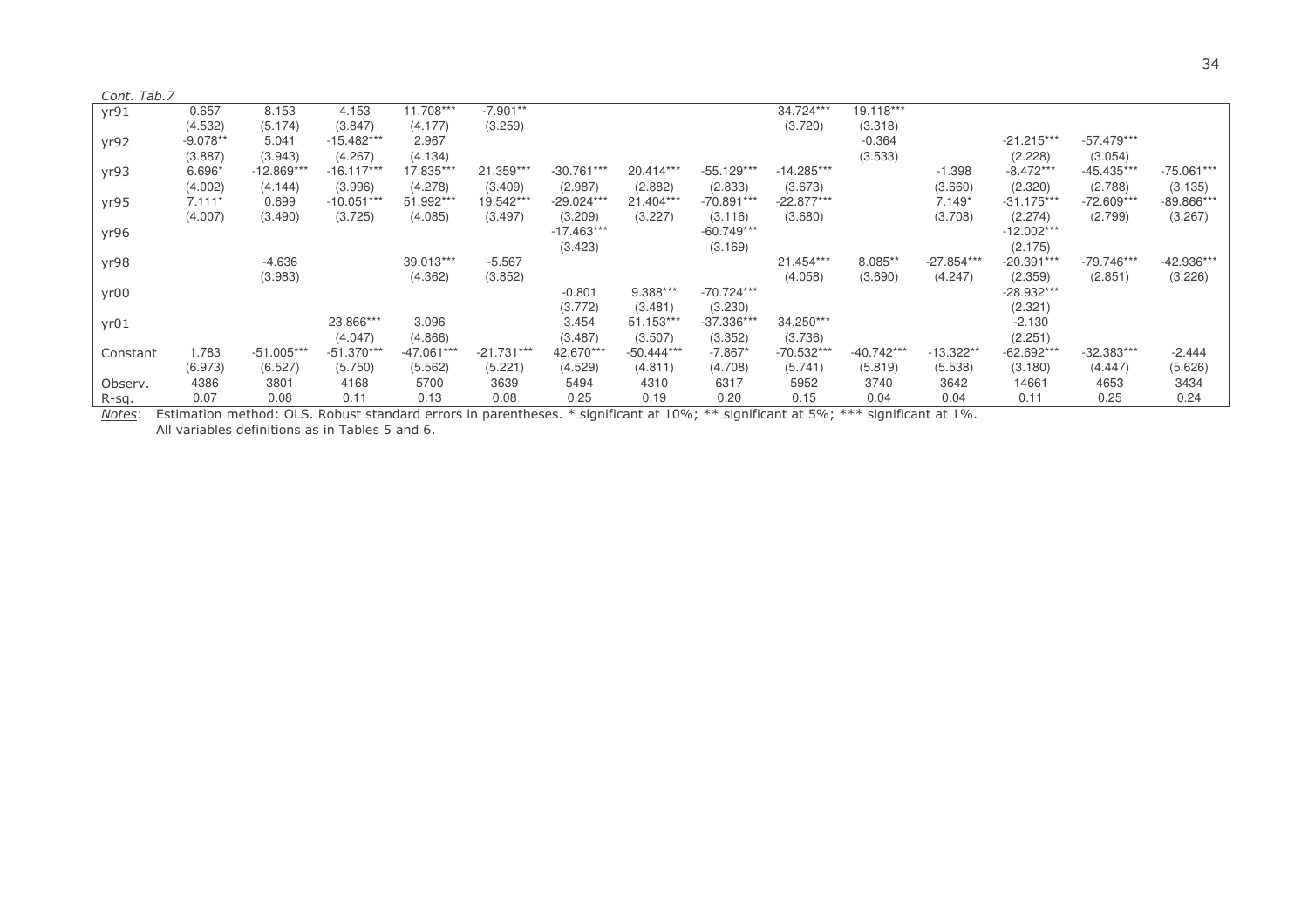| Cont. Tab.7 |            |              |              |            |              |              |              |              |              |              |              |              |              |              |
|-------------|------------|--------------|--------------|------------|--------------|--------------|--------------|--------------|--------------|--------------|--------------|--------------|--------------|--------------|
| yr91        | 0.657      | 8.153        | 4.153        | 11.708***  | $-7.901**$   |              |              |              | 34.724***    | 19.118***    |              |              |              |              |
|             | (4.532)    | (5.174)      | (3.847)      | (4.177)    | (3.259)      |              |              |              | (3.720)      | (3.318)      |              |              |              |              |
| yr92        | $-9.078**$ | 5.041        | $-15.482***$ | 2.967      |              |              |              |              |              | $-0.364$     |              | $-21.215***$ | $-57.479***$ |              |
|             | (3.887)    | (3.943)      | (4.267)      | (4.134)    |              |              |              |              |              | (3.533)      |              | (2.228)      | (3.054)      |              |
| yr93        | 6.696*     | $-12.869***$ | $-16.117**$  | 17.835***  | 21.359***    | $-30.761***$ | 20.414***    | $-55.129***$ | $-14.285***$ |              | $-1.398$     | $-8.472***$  | $-45.435***$ | $-75.061***$ |
|             | (4.002)    | (4.144)      | (3.996)      | (4.278)    | (3.409)      | (2.987)      | (2.882)      | (2.833)      | (3.673)      |              | (3.660)      | (2.320)      | (2.788)      | (3.135)      |
| yr95        | $7.111*$   | 0.699        | $-10.051**$  | 51.992***  | 19.542**     | $-29.024***$ | 21.404***    | -70.891***   | $-22.877***$ |              | $7.149*$     | $-31.175***$ | $-72.609***$ | -89.866***   |
|             | (4.007)    | (3.490)      | (3.725)      | (4.085)    | (3.497)      | (3.209)      | (3.227)      | (3.116)      | (3.680)      |              | (3.708)      | (2.274)      | (2.799)      | (3.267)      |
| yr96        |            |              |              |            |              | $-17.463***$ |              | $-60.749***$ |              |              |              | $-12.002***$ |              |              |
|             |            |              |              |            |              | (3.423)      |              | (3.169)      |              |              |              | (2.175)      |              |              |
| yr98        |            | $-4.636$     |              | 39.013***  | $-5.567$     |              |              |              | 21.454***    | 8.085**      | $-27.854***$ | $-20.391***$ | $-79.746***$ | -42.936***   |
|             |            | (3.983)      |              | (4.362)    | (3.852)      |              |              |              | (4.058)      | (3.690)      | (4.247)      | (2.359)      | (2.851)      | (3.226)      |
| yr00        |            |              |              |            |              | $-0.801$     | 9.388***     | $-70.724***$ |              |              |              | -28.932***   |              |              |
|             |            |              |              |            |              | (3.772)      | (3.481)      | (3.230)      |              |              |              | (2.321)      |              |              |
| yr01        |            |              | 23.866***    | 3.096      |              | 3.454        | 51.153***    | $-37.336***$ | 34.250***    |              |              | $-2.130$     |              |              |
|             |            |              | (4.047)      | (4.866)    |              | (3.487)      | (3.507)      | (3.352)      | (3.736)      |              |              | (2.251)      |              |              |
| Constant    | 1.783      | $-51.005***$ | $-51.370**$  | -47.061*** | $-21.731***$ | 42.670***    | $-50.444***$ | $-7.867*$    | $-70.532***$ | $-40.742***$ | $-13.322**$  | $-62.692***$ | -32.383***   | $-2.444$     |
|             | (6.973)    | (6.527)      | (5.750)      | (5.562)    | (5.221)      | (4.529)      | (4.811)      | (4.708)      | (5.741)      | (5.819)      | (5.538)      | (3.180)      | (4.447)      | (5.626)      |
| Observ.     | 4386       | 3801         | 4168         | 5700       | 3639         | 5494         | 4310         | 6317         | 5952         | 3740         | 3642         | 14661        | 4653         | 3434         |
| R-sq.       | 0.07       | 0.08         | 0.11         | 0.13       | 0.08         | 0.25         | 0.19         | 0.20         | 0.15         | 0.04         | 0.04         | 0.11         | 0.25         | 0.24         |

<u>Notes</u>: Estimation method: OLS. Robust standard errors in parentheses. \* significant at 10%; \*\* significant at 5%; \*\*\* significant at 1%. All variables definitions as in Tables 5 and 6.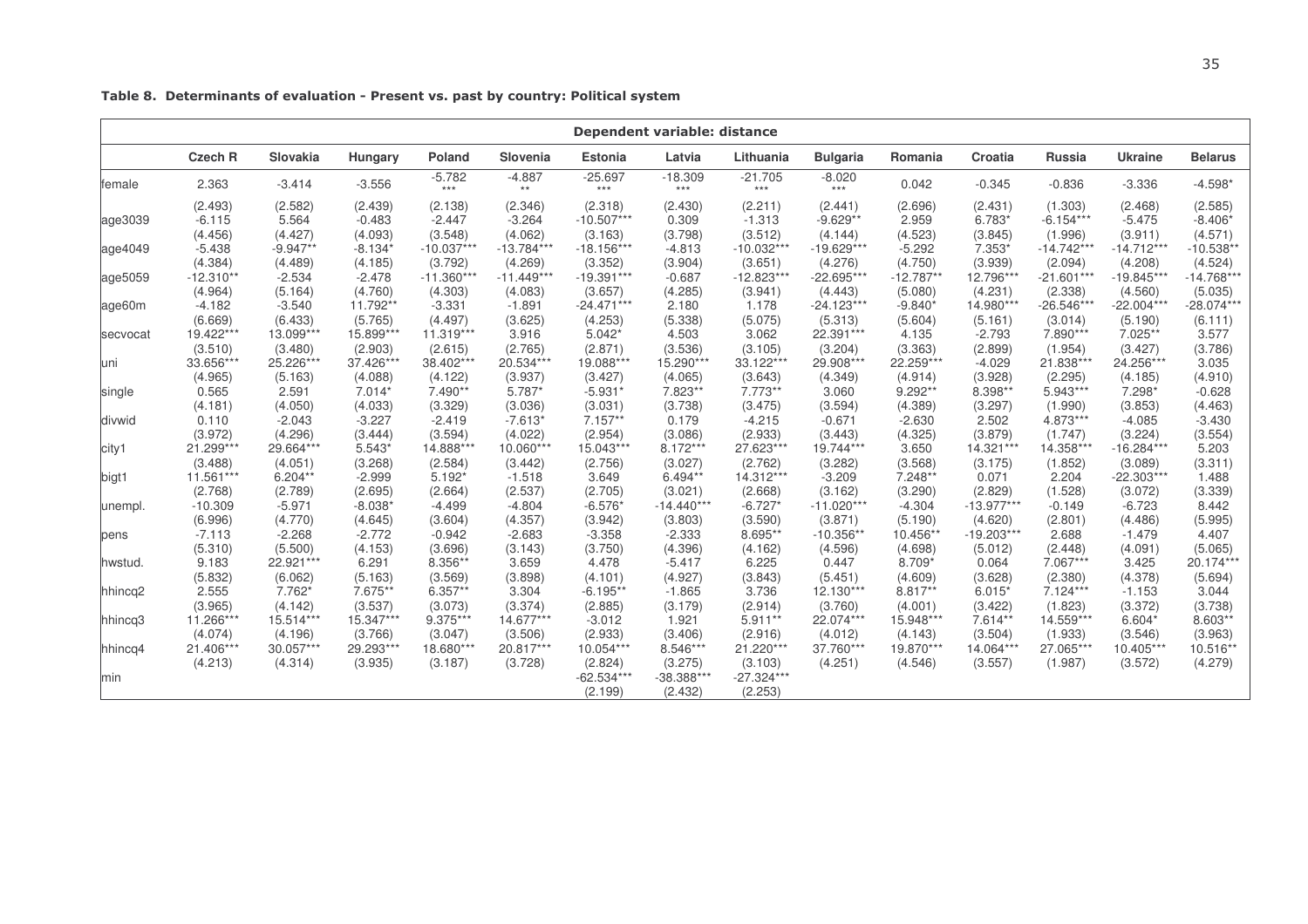|          | Dependent variable: distance |            |           |                   |                   |                    |                    |                    |                   |             |              |               |                |                |
|----------|------------------------------|------------|-----------|-------------------|-------------------|--------------------|--------------------|--------------------|-------------------|-------------|--------------|---------------|----------------|----------------|
|          | <b>Czech R</b>               | Slovakia   | Hungary   | <b>Poland</b>     | Slovenia          | <b>Estonia</b>     | Latvia             | Lithuania          | <b>Bulgaria</b>   | Romania     | Croatia      | <b>Russia</b> | <b>Ukraine</b> | <b>Belarus</b> |
| female   | 2.363                        | $-3.414$   | $-3.556$  | $-5.782$<br>$***$ | $-4.887$<br>$***$ | $-25.697$<br>$***$ | $-18.309$<br>$***$ | $-21.705$<br>$***$ | $-8.020$<br>$***$ | 0.042       | $-0.345$     | $-0.836$      | $-3.336$       | $-4.598*$      |
|          | (2.493)                      | (2.582)    | (2.439)   | (2.138)           | (2.346)           | (2.318)            | (2.430)            | (2.211)            | (2.441)           | (2.696)     | (2.431)      | (1.303)       | (2.468)        | (2.585)        |
| age3039  | $-6.115$                     | 5.564      | $-0.483$  | $-2.447$          | $-3.264$          | $-10.507***$       | 0.309              | $-1.313$           | $-9.629**$        | 2.959       | 6.783*       | $-6.154***$   | $-5.475$       | $-8.406*$      |
|          | (4.456)                      | (4.427)    | (4.093)   | (3.548)           | (4.062)           | (3.163)            | (3.798)            | (3.512)            | (4.144)           | (4.523)     | (3.845)      | (1.996)       | (3.911)        | (4.571)        |
| age4049  | $-5.438$                     | $-9.947**$ | $-8.134*$ | $-10.037***$      | $-13.784***$      | $-18.156***$       | $-4.813$           | $-10.032***$       | $-19.629***$      | $-5.292$    | 7.353*       | $-14.742***$  | $-14.712***$   | $-10.538**$    |
|          | (4.384)                      | (4.489)    | (4.185)   | (3.792)           | (4.269)           | (3.352)            | (3.904)            | (3.651)            | (4.276)           | (4.750)     | (3.939)      | (2.094)       | (4.208)        | (4.524)        |
| age5059  | $-12.310**$                  | $-2.534$   | $-2.478$  | $-11.360***$      | $-11.449***$      | $-19.391***$       | $-0.687$           | $-12.823***$       | $-22.695***$      | $-12.787**$ | 12.796***    | $-21.601***$  | $-19.845***$   | $-14.768***$   |
|          | (4.964)                      | (5.164)    | (4.760)   | (4.303)           | (4.083)           | (3.657)            | (4.285)            | (3.941)            | (4.443)           | (5.080)     | (4.231)      | (2.338)       | (4.560)        | (5.035)        |
| age60m   | $-4.182$                     | $-3.540$   | 11.792**  | $-3.331$          | $-1.891$          | $-24.471***$       | 2.180              | 1.178              | $-24.123***$      | $-9.840*$   | 14.980***    | $-26.546***$  | $-22.004***$   | $-28.074***$   |
|          | (6.669)                      | (6.433)    | (5.765)   | (4.497)           | (3.625)           | (4.253)            | (5.338)            | (5.075)            | (5.313)           | (5.604)     | (5.161)      | (3.014)       | (5.190)        | (6.111)        |
| secvocat | 19.422***                    | 13.099***  | 15.899*** | 11.319***         | 3.916             | $5.042*$           | 4.503              | 3.062              | 22.391***         | 4.135       | $-2.793$     | 7.890***      | 7.025**        | 3.577          |
|          | (3.510)                      | (3.480)    | (2.903)   | (2.615)           | (2.765)           | (2.871)            | (3.536)            | (3.105)            | (3.204)           | (3.363)     | (2.899)      | (1.954)       | (3.427)        | (3.786)        |
| luni     | 33.656***                    | 25.226***  | 37.426*** | 38.402***         | 20.534***         | 19.088***          | 15.290***          | 33.122***          | 29.908***         | 22.259***   | $-4.029$     | 21.838***     | 24.256***      | 3.035          |
|          | (4.965)                      | (5.163)    | (4.088)   | (4.122)           | (3.937)           | (3.427)            | (4.065)            | (3.643)            | (4.349)           | (4.914)     | (3.928)      | (2.295)       | (4.185)        | (4.910)        |
| single   | 0.565                        | 2.591      | $7.014*$  | 7.490**           | 5.787*            | $-5.931'$          | 7.823**            | $7.773**$          | 3.060             | 9.292**     | 8.398**      | $5.943***$    | 7.298*         | $-0.628$       |
|          | (4.181)                      | (4.050)    | (4.033)   | (3.329)           | (3.036)           | (3.031)            | (3.738)            | (3.475)            | (3.594)           | (4.389)     | (3.297)      | (1.990)       | (3.853)        | (4.463)        |
| divwid   | 0.110                        | $-2.043$   | $-3.227$  | $-2.419$          | $-7.613*$         | $7.157**$          | 0.179              | $-4.215$           | $-0.671$          | $-2.630$    | 2.502        | 4.873***      | $-4.085$       | $-3.430$       |
|          | (3.972)                      | (4.296)    | (3.444)   | (3.594)           | (4.022)           | (2.954)            | (3.086)            | (2.933)            | (3.443)           | (4.325)     | (3.879)      | (1.747)       | (3.224)        | (3.554)        |
| city1    | 21.299***                    | 29.664***  | $5.543*$  | 14.888***         | 10.060***         | 15.043***          | $8.172***$         | 27.623***          | 19.744***         | 3.650       | 14.321***    | 14.358***     | $-16.284***$   | 5.203          |
|          | (3.488)                      | (4.051)    | (3.268)   | (2.584)           | (3.442)           | (2.756)            | (3.027)            | (2.762)            | (3.282)           | (3.568)     | (3.175)      | (1.852)       | (3.089)        | (3.311)        |
| bigt1    | 11.561***                    | $6.204**$  | $-2.999$  | $5.192*$          | $-1.518$          | 3.649              | 6.494**            | 14.312***          | $-3.209$          | $7.248**$   | 0.071        | 2.204         | $-22.303***$   | 1.488          |
|          | (2.768)                      | (2.789)    | (2.695)   | (2.664)           | (2.537)           | (2.705)            | (3.021)            | (2.668)            | (3.162)           | (3.290)     | (2.829)      | (1.528)       | (3.072)        | (3.339)        |
| unempl.  | $-10.309$                    | $-5.971$   | $-8.038'$ | $-4.499$          | $-4.804$          | $-6.576*$          | $-14.440***$       | $-6.727*$          | $-11.020***$      | $-4.304$    | $-13.977***$ | $-0.149$      | $-6.723$       | 8.442          |
|          | (6.996)                      | (4.770)    | (4.645)   | (3.604)           | (4.357)           | (3.942)            | (3.803)            | (3.590)            | (3.871)           | (5.190)     | (4.620)      | (2.801)       | (4.486)        | (5.995)        |
| pens     | $-7.113$                     | $-2.268$   | $-2.772$  | $-0.942$          | $-2.683$          | $-3.358$           | $-2.333$           | 8.695**            | $-10.356**$       | 10.456**    | $-19.203***$ | 2.688         | $-1.479$       | 4.407          |
|          | (5.310)                      | (5.500)    | (4.153)   | (3.696)           | (3.143)           | (3.750)            | (4.396)            | (4.162)            | (4.596)           | (4.698)     | (5.012)      | (2.448)       | (4.091)        | (5.065)        |
| hwstud.  | 9.183                        | 22.921***  | 6.291     | 8.356**           | 3.659             | 4.478              | $-5.417$           | 6.225              | 0.447             | 8.709*      | 0.064        | 7.067***      | 3.425          | 20.174***      |
|          | (5.832)                      | (6.062)    | (5.163)   | (3.569)           | (3.898)           | (4.101)            | (4.927)            | (3.843)            | (5.451)           | (4.609)     | (3.628)      | (2.380)       | (4.378)        | (5.694)        |
| hhincq2  | 2.555                        | 7.762*     | 7.675**   | $6.357**$         | 3.304             | $-6.195**$         | $-1.865$           | 3.736              | $12.130***$       | 8.817**     | $6.015*$     | $7.124***$    | $-1.153$       | 3.044          |
|          | (3.965)                      | (4.142)    | (3.537)   | (3.073)           | (3.374)           | (2.885)            | (3.179)            | (2.914)            | (3.760)           | (4.001)     | (3.422)      | (1.823)       | (3.372)        | (3.738)        |
| hhincq3  | 11.266***                    | 15.514***  | 15.347*** | 9.375***          | 14.677***         | $-3.012$           | 1.921              | $5.911**$          | 22.074***         | 15.948***   | $7.614**$    | 14.559***     | 6.604*         | 8.603**        |
|          | (4.074)                      | (4.196)    | (3.766)   | (3.047)           | (3.506)           | (2.933)            | (3.406)            | (2.916)            | (4.012)           | (4.143)     | (3.504)      | (1.933)       | (3.546)        | (3.963)        |
| hhincq4  | 21.406***                    | 30.057***  | 29.293*** | 18.680***         | 20.817***         | 10.054***          | 8.546***           | 21.220***          | 37.760***         | 19.870***   | 14.064***    | 27.065***     | 10.405***      | 10.516**       |
|          | (4.213)                      | (4.314)    | (3.935)   | (3.187)           | (3.728)           | (2.824)            | (3.275)            | (3.103)            | (4.251)           | (4.546)     | (3.557)      | (1.987)       | (3.572)        | (4.279)        |
| min      |                              |            |           |                   |                   | $-62.534***$       | $-38.388***$       | $-27.324***$       |                   |             |              |               |                |                |
|          |                              |            |           |                   |                   | (2.199)            | (2.432)            | (2.253)            |                   |             |              |               |                |                |

Table 8. Determinants of evaluation - Present vs. past by country: Political system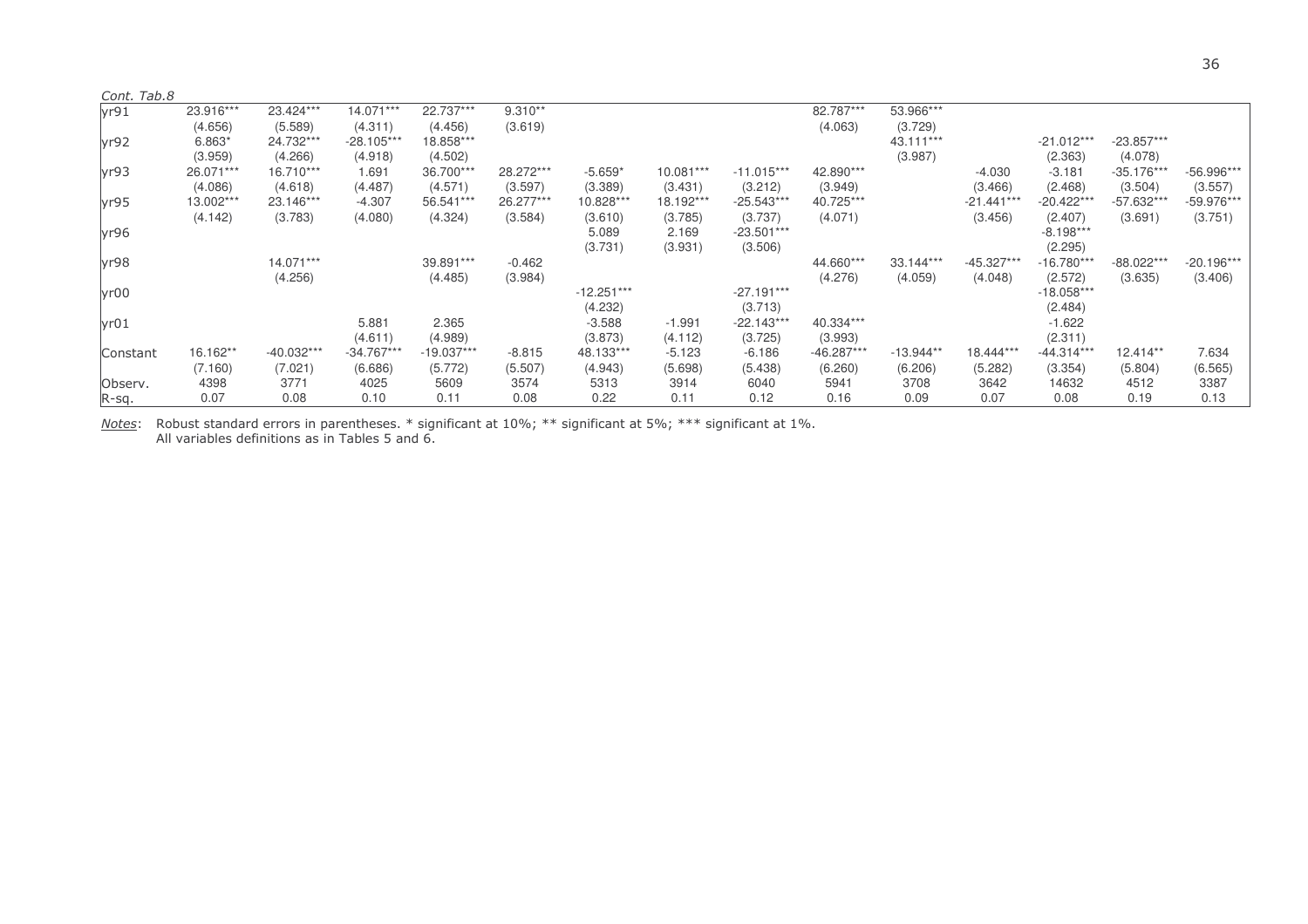| Cont. Tab.8 |           |              |              |              |           |              |           |              |              |             |              |              |              |              |
|-------------|-----------|--------------|--------------|--------------|-----------|--------------|-----------|--------------|--------------|-------------|--------------|--------------|--------------|--------------|
| yr91        | 23.916*** | 23.424***    | 14.071***    | 22.737***    | $9.310**$ |              |           |              | 82.787***    | 53.966***   |              |              |              |              |
|             | (4.656)   | (5.589)      | (4.311)      | (4.456)      | (3.619)   |              |           |              | (4.063)      | (3.729)     |              |              |              |              |
| yr92        | 6.863*    | 24.732***    | $-28.105***$ | 18.858***    |           |              |           |              |              | 43.111***   |              | $-21.012***$ | $-23.857***$ |              |
|             | (3.959)   | (4.266)      | (4.918)      | (4.502)      |           |              |           |              |              | (3.987)     |              | (2.363)      | (4.078)      |              |
| yr93        | 26.071*** | 16.710***    | 1.691        | 36.700***    | 28.272*** | $-5.659*$    | 10.081*** | $-11.015***$ | 42.890***    |             | $-4.030$     | $-3.181$     | $-35.176***$ | -56.996***   |
|             | (4.086)   | (4.618)      | (4.487)      | (4.571)      | (3.597)   | (3.389)      | (3.431)   | (3.212)      | (3.949)      |             | (3.466)      | (2.468)      | (3.504)      | (3.557)      |
| yr95        | 13.002*** | 23.146***    | $-4.307$     | 56.541***    | 26.277*** | 10.828***    | 18.192*** | $-25.543***$ | 40.725***    |             | $-21.441***$ | $-20.422**$  | -57.632***   | -59.976***   |
|             | (4.142)   | (3.783)      | (4.080)      | (4.324)      | (3.584)   | (3.610)      | (3.785)   | (3.737)      | (4.071)      |             | (3.456)      | (2.407)      | (3.691)      | (3.751)      |
| yr96        |           |              |              |              |           | 5.089        | 2.169     | $-23.501***$ |              |             |              | $-8.198***$  |              |              |
|             |           |              |              |              |           | (3.731)      | (3.931)   | (3.506)      |              |             |              | (2.295)      |              |              |
| yr98        |           | 14.071***    |              | 39.891***    | $-0.462$  |              |           |              | 44.660***    | 33.144***   | $-45.327***$ | $-16.780**$  | -88.022***   | $-20.196***$ |
|             |           | (4.256)      |              | (4.485)      | (3.984)   |              |           |              | (4.276)      | (4.059)     | (4.048)      | (2.572)      | (3.635)      | (3.406)      |
| yr00        |           |              |              |              |           | $-12.251***$ |           | $-27.191***$ |              |             |              | $-18.058***$ |              |              |
|             |           |              |              |              |           | (4.232)      |           | (3.713)      |              |             |              | (2.484)      |              |              |
| yr01        |           |              | 5.881        | 2.365        |           | $-3.588$     | $-1.991$  | $-22.143***$ | 40.334***    |             |              | $-1.622$     |              |              |
|             |           |              | (4.611)      | (4.989)      |           | (3.873)      | (4.112)   | (3.725)      | (3.993)      |             |              | (2.311)      |              |              |
| Constant    | 16.162**  | $-40.032***$ | $-34.767***$ | $-19.037***$ | $-8.815$  | 48.133***    | $-5.123$  | $-6.186$     | $-46.287***$ | $-13.944**$ | 18.444***    | $-44.314***$ | $12.414**$   | 7.634        |
|             | (7.160)   | (7.021)      | (6.686)      | (5.772)      | (5.507)   | (4.943)      | (5.698)   | (5.438)      | (6.260)      | (6.206)     | (5.282)      | (3.354)      | (5.804)      | (6.565)      |
| Observ.     | 4398      | 3771         | 4025         | 5609         | 3574      | 5313         | 3914      | 6040         | 5941         | 3708        | 3642         | 14632        | 4512         | 3387         |
| R-sq.       | 0.07      | 0.08         | 0.10         | 0.11         | 0.08      | 0.22         | 0.11      | 0.12         | 0.16         | 0.09        | 0.07         | 0.08         | 0.19         | 0.13         |

<u>Notes</u>: Robust standard errors in parentheses. \* significant at 10%; \*\* significant at 5%; \*\*\* significant at 1%. All variables definitions as in Tables 5 and 6.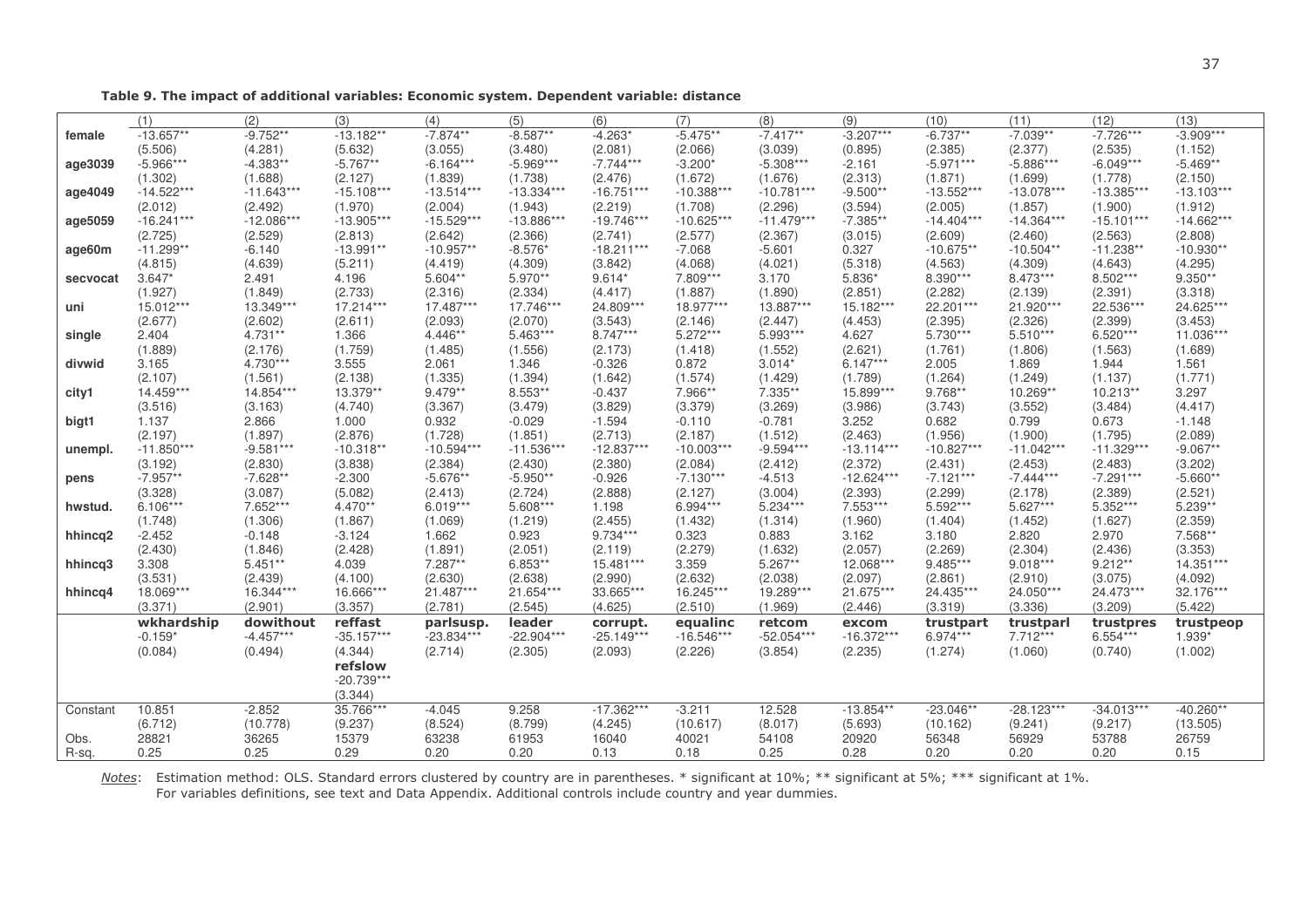Table 9. The impact of additional variables: Economic system. Dependent variable: distance

|          | (1)          | (2)          | (3)          | (4)          | (5)          | (6)          | (7)          | (8)          | (9)          | (10)         | (11)         | (12)         | (13)         |
|----------|--------------|--------------|--------------|--------------|--------------|--------------|--------------|--------------|--------------|--------------|--------------|--------------|--------------|
| female   | $-13.657**$  | $-9.752**$   | $-13.182**$  | $-7.874**$   | $-8.587**$   | $-4.263*$    | $-5.475**$   | $-7.417**$   | $-3.207***$  | $-6.737**$   | $-7.039**$   | $-7.726***$  | $-3.909***$  |
|          | (5.506)      | (4.281)      | (5.632)      | (3.055)      | (3.480)      | (2.081)      | (2.066)      | (3.039)      | (0.895)      | (2.385)      | (2.377)      | (2.535)      | (1.152)      |
| age3039  | $-5.966***$  | $-4.383**$   | $-5.767**$   | $-6.164***$  | $-5.969***$  | $-7.744***$  | $-3.200*$    | $-5.308***$  | $-2.161$     | $-5.971***$  | $-5.886***$  | $-6.049***$  | $-5.469**$   |
|          | (1.302)      | (1.688)      | (2.127)      | (1.839)      | (1.738)      | (2.476)      | (1.672)      | (1.676)      | (2.313)      | (1.871)      | (1.699)      | (1.778)      | (2.150)      |
| age4049  | $-14.522***$ | $-11.643***$ | $-15.108***$ | $-13.514***$ | $-13.334***$ | $-16.751***$ | $-10.388***$ | $-10.781***$ | $-9.500**$   | $-13.552***$ | $-13.078***$ | $-13.385***$ | $-13.103***$ |
|          | (2.012)      | (2.492)      | (1.970)      | (2.004)      | (1.943)      | (2.219)      | (1.708)      | (2.296)      | (3.594)      | (2.005)      | (1.857)      | (1.900)      | (1.912)      |
| age5059  | $-16.241***$ | $-12.086***$ | $-13.905***$ | $-15.529***$ | $-13.886***$ | $-19.746***$ | $-10.625***$ | $-11.479***$ | $-7.385**$   | $-14.404***$ | $-14.364***$ | $-15.101***$ | $-14.662***$ |
|          | (2.725)      | (2.529)      | (2.813)      | (2.642)      | (2.366)      | (2.741)      | (2.577)      | (2.367)      | (3.015)      | (2.609)      | (2.460)      | (2.563)      | (2.808)      |
| age60m   | $-11.299**$  | $-6.140$     | $-13.991**$  | $-10.957**$  | $-8.576*$    | $-18.211***$ | $-7.068$     | $-5.601$     | 0.327        | $-10.675**$  | $-10.504**$  | $-11.238**$  | $-10.930**$  |
|          | (4.815)      | (4.639)      | (5.211)      | (4.419)      | (4.309)      | (3.842)      | (4.068)      | (4.021)      | (5.318)      | (4.563)      | (4.309)      | (4.643)      | (4.295)      |
| secvocat | $3.647*$     | 2.491        | 4.196        | 5.604**      | 5.970**      | $9.614*$     | 7.809***     | 3.170        | 5.836*       | 8.390***     | 8.473***     | 8.502***     | $9.350**$    |
|          | (1.927)      | (1.849)      | (2.733)      | (2.316)      | (2.334)      | (4.417)      | (1.887)      | (1.890)      | (2.851)      | (2.282)      | (2.139)      | (2.391)      | (3.318)      |
| uni      | 15.012***    | 13.349***    | 17.214***    | 17.487***    | 17.746***    | 24.809***    | 18.977***    | 13.887***    | 15.182***    | 22.201***    | 21.920***    | 22.536***    | 24.625***    |
|          | (2.677)      | (2.602)      | (2.611)      | (2.093)      | (2.070)      | (3.543)      | (2.146)      | (2.447)      | (4.453)      | (2.395)      | (2.326)      | (2.399)      | (3.453)      |
| single   | 2.404        | 4.731**      | 1.366        | 4.446**      | $5.463***$   | $8.747***$   | $5.272***$   | 5.993***     | 4.627        | $5.730***$   | $5.510***$   | $6.520***$   | 11.036***    |
|          | (1.889)      | (2.176)      | (1.759)      | (1.485)      | (1.556)      | (2.173)      | (1.418)      | (1.552)      | (2.621)      | (1.761)      | (1.806)      | (1.563)      | (1.689)      |
| divwid   | 3.165        | 4.730***     | 3.555        | 2.061        | 1.346        | $-0.326$     | 0.872        | $3.014*$     | $6.147***$   | 2.005        | 1.869        | 1.944        | 1.561        |
|          | (2.107)      | (1.561)      | (2.138)      | (1.335)      | (1.394)      | (1.642)      | (1.574)      | (1.429)      | (1.789)      | (1.264)      | (1.249)      | (1.137)      | (1.771)      |
| city1    | 14.459***    | 14.854***    | 13.379**     | 9.479**      | 8.553**      | $-0.437$     | 7.966**      | 7.335**      | 15.899***    | 9.768**      | 10.269**     | $10.213**$   | 3.297        |
|          | (3.516)      | (3.163)      | (4.740)      | (3.367)      | (3.479)      | (3.829)      | (3.379)      | (3.269)      | (3.986)      | (3.743)      | (3.552)      | (3.484)      | (4.417)      |
| bigt1    | 1.137        | 2.866        | 1.000        | 0.932        | $-0.029$     | $-1.594$     | $-0.110$     | $-0.781$     | 3.252        | 0.682        | 0.799        | 0.673        | $-1.148$     |
|          | (2.197)      | (1.897)      | (2.876)      | (1.728)      | (1.851)      | (2.713)      | (2.187)      | (1.512)      | (2.463)      | (1.956)      | (1.900)      | (1.795)      | (2.089)      |
| unempl.  | $-11.850***$ | $-9.581***$  | $-10.318**$  | $-10.594***$ | $-11.536***$ | $-12.837***$ | $-10.003***$ | $-9.594***$  | $-13.114***$ | $-10.827***$ | $-11.042***$ | $-11.329***$ | $-9.067**$   |
|          | (3.192)      | (2.830)      | (3.838)      | (2.384)      | (2.430)      | (2.380)      | (2.084)      | (2.412)      | (2.372)      | (2.431)      | (2.453)      | (2.483)      | (3.202)      |
| pens     | $-7.957**$   | $-7.628**$   | $-2.300$     | $-5.676**$   | $-5.950**$   | $-0.926$     | $-7.130***$  | $-4.513$     | $-12.624***$ | $-7.121***$  | $-7.444***$  | $-7.291***$  | $-5.660**$   |
|          | (3.328)      | (3.087)      | (5.082)      | (2.413)      | (2.724)      | (2.888)      | (2.127)      | (3.004)      | (2.393)      | (2.299)      | (2.178)      | (2.389)      | (2.521)      |
| hwstud.  | $6.106***$   | 7.652***     | 4.470**      | $6.019***$   | 5.608***     | 1.198        | 6.994***     | 5.234***     | 7.553***     | 5.592***     | $5.627***$   | $5.352***$   | $5.239**$    |
|          | (1.748)      | (1.306)      | (1.867)      | (1.069)      | (1.219)      | (2.455)      | (1.432)      | (1.314)      | (1.960)      | (1.404)      | (1.452)      | (1.627)      | (2.359)      |
| hhincq2  | $-2.452$     | $-0.148$     | $-3.124$     | 1.662        | 0.923        | 9.734***     | 0.323        | 0.883        | 3.162        | 3.180        | 2.820        | 2.970        | 7.568**      |
|          | (2.430)      | (1.846)      | (2.428)      | (1.891)      | (2.051)      | (2.119)      | (2.279)      | (1.632)      | (2.057)      | (2.269)      | (2.304)      | (2.436)      | (3.353)      |
| hhincq3  | 3.308        | $5.451**$    | 4.039        | 7.287**      | $6.853**$    | 15.481***    | 3.359        | $5.267**$    | 12.068***    | 9.485***     | $9.018***$   | $9.212**$    | 14.351***    |
|          | (3.531)      | (2.439)      | (4.100)      | (2.630)      | (2.638)      | (2.990)      | (2.632)      | (2.038)      | (2.097)      | (2.861)      | (2.910)      | (3.075)      | (4.092)      |
| hhincq4  | 18.069***    | 16.344***    | 16.666***    | 21.487***    | 21.654***    | 33.665***    | 16.245***    | 19.289***    | 21.675***    | 24.435***    | 24.050***    | 24.473***    | 32.176***    |
|          | (3.371)      | (2.901)      | (3.357)      | (2.781)      | (2.545)      | (4.625)      | (2.510)      | (1.969)      | (2.446)      | (3.319)      | (3.336)      | (3.209)      | (5.422)      |
|          | wkhardship   | dowithout    | reffast      | parlsusp.    | leader       | corrupt.     | equalinc     | retcom       | excom        | trustpart    | trustparl    | trustpres    | trustpeop    |
|          | $-0.159*$    | $-4.457***$  | $-35.157***$ | $-23.834***$ | $-22.904***$ | $-25.149***$ | $-16.546***$ | $-52.054***$ | $-16.372***$ | 6.974***     | 7.712***     | $6.554***$   | 1.939*       |
|          | (0.084)      | (0.494)      | (4.344)      | (2.714)      | (2.305)      | (2.093)      | (2.226)      | (3.854)      | (2.235)      | (1.274)      | (1.060)      | (0.740)      | (1.002)      |
|          |              |              | refslow      |              |              |              |              |              |              |              |              |              |              |
|          |              |              | $-20.739***$ |              |              |              |              |              |              |              |              |              |              |
|          |              |              | (3.344)      |              |              |              |              |              |              |              |              |              |              |
| Constant | 10.851       | $-2.852$     | 35.766***    | $-4.045$     | 9.258        | $-17.362***$ | $-3.211$     | 12.528       | $-13.854**$  | $-23.046**$  | $-28.123***$ | $-34.013***$ | $-40.260**$  |
|          | (6.712)      | (10.778)     | (9.237)      | (8.524)      | (8.799)      | (4.245)      | (10.617)     | (8.017)      | (5.693)      | (10.162)     | (9.241)      | (9.217)      | (13.505)     |
| Obs.     | 28821        | 36265        | 15379        | 63238        | 61953        | 16040        | 40021        | 54108        | 20920        | 56348        | 56929        | 53788        | 26759        |
| R-sq.    | 0.25         | 0.25         | 0.29         | 0.20         | 0.20         | 0.13         | 0.18         | 0.25         | 0.28         | 0.20         | 0.20         | 0.20         | 0.15         |

Notes: Estimation method: OLS. Standard errors clustered by country are in parentheses. \* significant at 10%; \*\* significant at 5%; \*\*\* significant at 1%. For variables definitions, see text and Data Appendix. Additional controls include country and year dummies.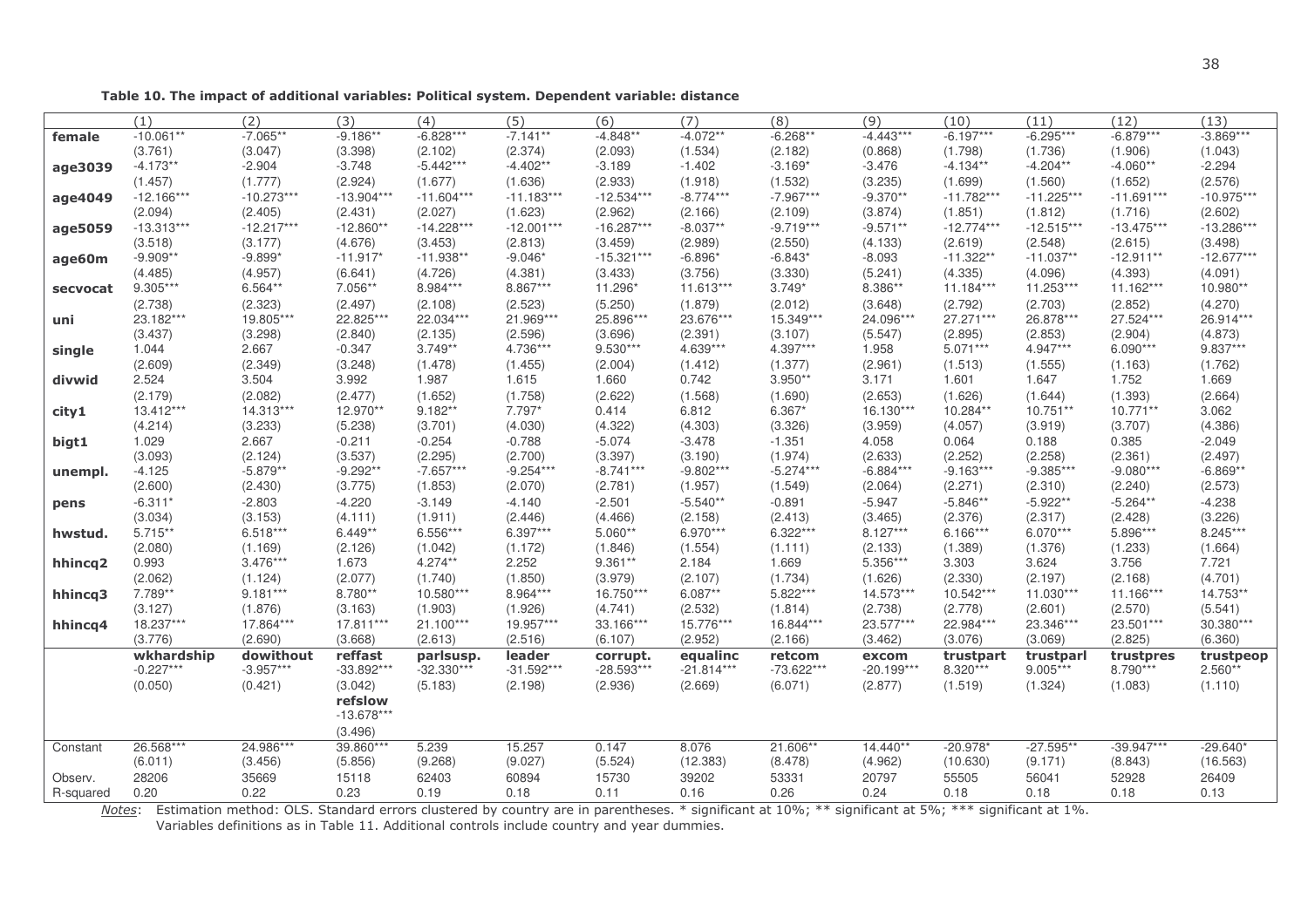38

Table 10. The impact of additional variables: Political system. Dependent variable: distance

|           | (1)                   | (2)                 | (3)                  | (4)                 | (5)                 | (6)                  | (7)                 | (8)                 | (9)                   | (10)                   | (11)                  | (12)                | (13)                |
|-----------|-----------------------|---------------------|----------------------|---------------------|---------------------|----------------------|---------------------|---------------------|-----------------------|------------------------|-----------------------|---------------------|---------------------|
| female    | $-10.061**$           | $-7.065**$          | $-9.186**$           | $-6.828***$         | $-7.141**$          | $-4.848**$           | $-4.072**$          | $-6.268**$          | $-4.443***$           | $-6.197***$            | $-6.295***$           | $-6.879***$         | $-3.869***$         |
|           | (3.761)               | (3.047)             | (3.398)              | (2.102)             | (2.374)             | (2.093)              | (1.534)             | (2.182)             | (0.868)               | (1.798)                | (1.736)               | (1.906)             | (1.043)             |
| age3039   | $-4.173**$            | $-2.904$            | $-3.748$             | $-5.442***$         | $-4.402**$          | $-3.189$             | $-1.402$            | $-3.169*$           | $-3.476$              | $-4.134**$             | $-4.204**$            | $-4.060**$          | $-2.294$            |
|           | (1.457)               | (1.777)             | (2.924)              | (1.677)             | (1.636)             | (2.933)              | (1.918)             | (1.532)             | (3.235)               | (1.699)                | (1.560)               | (1.652)             | (2.576)             |
| age4049   | $-12.166***$          | $-10.273***$        | $-13.904***$         | $-11.604***$        | $-11.183***$        | $-12.534***$         | $-8.774***$         | $-7.967***$         | $-9.370**$            | $-11.782***$           | $-11.225***$          | $-11.691***$        | $-10.975***$        |
|           | (2.094)               | (2.405)             | (2.431)              | (2.027)             | (1.623)             | (2.962)              | (2.166)             | (2.109)             | (3.874)               | (1.851)                | (1.812)               | (1.716)             | (2.602)             |
| age5059   | $-13.313***$          | $-12.217***$        | $-12.860**$          | $-14.228***$        | $-12.001***$        | $-16.287***$         | $-8.037**$          | $-9.719***$         | $-9.571**$            | $-12.774***$           | $-12.515***$          | $-13.475***$        | $-13.286***$        |
|           | (3.518)               | (3.177)             | (4.676)              | (3.453)             | (2.813)             | (3.459)              | (2.989)             | (2.550)             | (4.133)               | (2.619)                | (2.548)               | (2.615)             | (3.498)             |
| age60m    | $-9.909**$            | $-9.899*$           | $-11.917*$           | $-11.938**$         | $-9.046*$           | $-15.321***$         | $-6.896*$           | $-6.843*$           | $-8.093$              | $-11.322**$            | $-11.037**$           | $-12.911**$         | $-12.677***$        |
|           | (4.485)               | (4.957)             | (6.641)              | (4.726)             | (4.381)             | (3.433)              | (3.756)             | (3.330)             | (5.241)               | (4.335)                | (4.096)               | (4.393)             | (4.091)             |
| secvocat  | 9.305***              | 6.564**             | 7.056**              | 8.984***            | 8.867***            | 11.296*              | 11.613***           | $3.749*$            | 8.386**               | 11.184***              | 11.253***             | 11.162***           | 10.980**            |
|           | (2.738)               | (2.323)             | (2.497)              | (2.108)             | (2.523)             | (5.250)              | (1.879)             | (2.012)             | (3.648)               | (2.792)                | (2.703)               | (2.852)             | (4.270)             |
| uni       | 23.182***             | 19.805***           | 22.825***            | 22.034***           | 21.969***           | 25.896***            | 23.676***           | 15.349***           | 24.096***             | 27.271***              | 26.878***             | 27.524***           | 26.914***           |
|           | (3.437)               | (3.298)             | (2.840)              | (2.135)             | (2.596)             | (3.696)              | (2.391)             | (3.107)             | (5.547)               | (2.895)                | (2.853)               | (2.904)             | (4.873)             |
| single    | 1.044                 | 2.667               | $-0.347$             | $3.749**$           | 4.736***            | $9.530***$           | 4.639***            | 4.397***            | 1.958                 | $5.071***$             | $4.947***$            | $6.090***$          | 9.837***            |
|           | (2.609)               | (2.349)             | (3.248)              | (1.478)             | (1.455)             | (2.004)              | (1.412)             | (1.377)             | (2.961)               | (1.513)                | (1.555)               | (1.163)             | (1.762)             |
| divwid    | 2.524                 | 3.504               | 3.992                | 1.987               | 1.615               | 1.660                | 0.742               | $3.950**$           | 3.171                 | 1.601                  | 1.647                 | 1.752               | 1.669               |
|           | (2.179)               | (2.082)             | (2.477)              | (1.652)             | (1.758)             | (2.622)              | (1.568)             | (1.690)             | (2.653)               | (1.626)                | (1.644)               | (1.393)             | (2.664)             |
| city1     | 13.412***             | 14.313***           | 12.970**             | $9.182**$           | 7.797*              | 0.414                | 6.812               | $6.367*$            | 16.130***             | 10.284**               | $10.751**$            | $10.771**$          | 3.062               |
|           | (4.214)               | (3.233)             | (5.238)              | (3.701)             | (4.030)             | (4.322)              | (4.303)             | (3.326)             | (3.959)               | (4.057)                | (3.919)               | (3.707)             | (4.386)             |
| bigt1     | 1.029                 | 2.667               | $-0.211$             | $-0.254$            | $-0.788$            | $-5.074$             | $-3.478$            | $-1.351$            | 4.058                 | 0.064                  | 0.188                 | 0.385               | $-2.049$            |
|           | (3.093)               | (2.124)             | (3.537)              | (2.295)             | (2.700)             | (3.397)              | (3.190)             | (1.974)             | (2.633)               | (2.252)<br>$-9.163***$ | (2.258)               | (2.361)             | (2.497)             |
| unempl.   | $-4.125$              | $-5.879**$          | $-9.292**$           | $-7.657***$         | $-9.254***$         | $-8.741***$          | $-9.802***$         | $-5.274***$         | $-6.884***$           |                        | $-9.385***$           | $-9.080***$         | $-6.869**$          |
|           | (2.600)               | (2.430)             | (3.775)              | (1.853)             | (2.070)             | (2.781)              | (1.957)             | (1.549)             | (2.064)               | (2.271)                | (2.310)               | (2.240)             | (2.573)             |
| pens      | $-6.311*$             | $-2.803$            | $-4.220$             | $-3.149$            | $-4.140$            | $-2.501$             | $-5.540**$          | $-0.891$            | $-5.947$              | $-5.846**$             | $-5.922**$            | $-5.264**$          | $-4.238$            |
|           | (3.034)<br>$5.715***$ | (3.153)<br>6.518*** | (4.111)<br>$6.449**$ | (1.911)<br>6.556*** | (2.446)<br>6.397*** | (4.466)<br>$5.060**$ | (2.158)<br>6.970*** | (2.413)<br>6.322*** | (3.465)<br>$8.127***$ | (2.376)<br>$6.166***$  | (2.317)<br>$6.070***$ | (2.428)<br>5.896*** | (3.226)<br>8.245*** |
| hwstud.   | (2.080)               | (1.169)             | (2.126)              | (1.042)             | (1.172)             | (1.846)              | (1.554)             | (1.111)             | (2.133)               | (1.389)                | (1.376)               | (1.233)             | (1.664)             |
|           | 0.993                 | $3.476***$          | 1.673                | 4.274**             | 2.252               | $9.361**$            | 2.184               | 1.669               | 5.356***              | 3.303                  | 3.624                 | 3.756               | 7.721               |
| hhincq2   | (2.062)               | (1.124)             | (2.077)              | (1.740)             | (1.850)             | (3.979)              | (2.107)             | (1.734)             | (1.626)               | (2.330)                | (2.197)               | (2.168)             | (4.701)             |
|           | 7.789**               | $9.181***$          | 8.780**              | 10.580***           | 8.964***            | 16.750***            | $6.087**$           | 5.822***            | 14.573***             | 10.542***              | $11.030***$           | 11.166***           | 14.753**            |
| hhincq3   | (3.127)               | (1.876)             | (3.163)              | (1.903)             | (1.926)             | (4.741)              | (2.532)             | (1.814)             | (2.738)               | (2.778)                | (2.601)               | (2.570)             | (5.541)             |
| hhincq4   | 18.237***             | 17.864***           | 17.811***            | 21.100***           | 19.957***           | 33.166***            | 15.776***           | 16.844***           | 23.577***             | 22.984***              | 23.346***             | 23.501***           | 30.380***           |
|           | (3.776)               | (2.690)             | (3.668)              | (2.613)             | (2.516)             | (6.107)              | (2.952)             | (2.166)             | (3.462)               | (3.076)                | (3.069)               | (2.825)             | (6.360)             |
|           | wkhardship            | dowithout           | reffast              | parlsusp.           | leader              | corrupt.             | equalinc            | retcom              | excom                 | trustpart              | trustparl             | trustpres           | trustpeop           |
|           | $-0.227***$           | $-3.957***$         | $-33.892***$         | $-32.330***$        | $-31.592***$        | $-28.593***$         | $-21.814***$        | $-73.622***$        | $-20.199***$          | 8.320***               | $9.005***$            | 8.790***            | $2.560**$           |
|           | (0.050)               | (0.421)             | (3.042)              | (5.183)             | (2.198)             | (2.936)              | (2.669)             | (6.071)             | (2.877)               | (1.519)                | (1.324)               | (1.083)             | (1.110)             |
|           |                       |                     | refslow              |                     |                     |                      |                     |                     |                       |                        |                       |                     |                     |
|           |                       |                     | $-13.678***$         |                     |                     |                      |                     |                     |                       |                        |                       |                     |                     |
|           |                       |                     | (3.496)              |                     |                     |                      |                     |                     |                       |                        |                       |                     |                     |
| Constant  | 26.568***             | 24.986***           | 39.860***            | 5.239               | 15.257              | 0.147                | 8.076               | 21.606**            | 14.440**              | $-20.978*$             | $-27.595**$           | $-39.947***$        | $-29.640*$          |
|           | (6.011)               | (3.456)             | (5.856)              | (9.268)             | (9.027)             | (5.524)              | (12.383)            | (8.478)             | (4.962)               | (10.630)               | (9.171)               | (8.843)             | (16.563)            |
| Observ.   | 28206                 | 35669               | 15118                | 62403               | 60894               | 15730                | 39202               | 53331               | 20797                 | 55505                  | 56041                 | 52928               | 26409               |
| R-squared | 0.20                  | 0.22                | 0.23                 | 0.19                | 0.18                | 0.11                 | 0.16                | 0.26                | 0.24                  | 0.18                   | 0.18                  | 0.18                | 0.13                |

Notes: Estimation method: OLS. Standard errors clustered by country are in parentheses. \* significant at 10%; \*\* significant at 5%; \*\*\* significant at 1%.<br>Variables definitions as in Table 11. Additional controls include c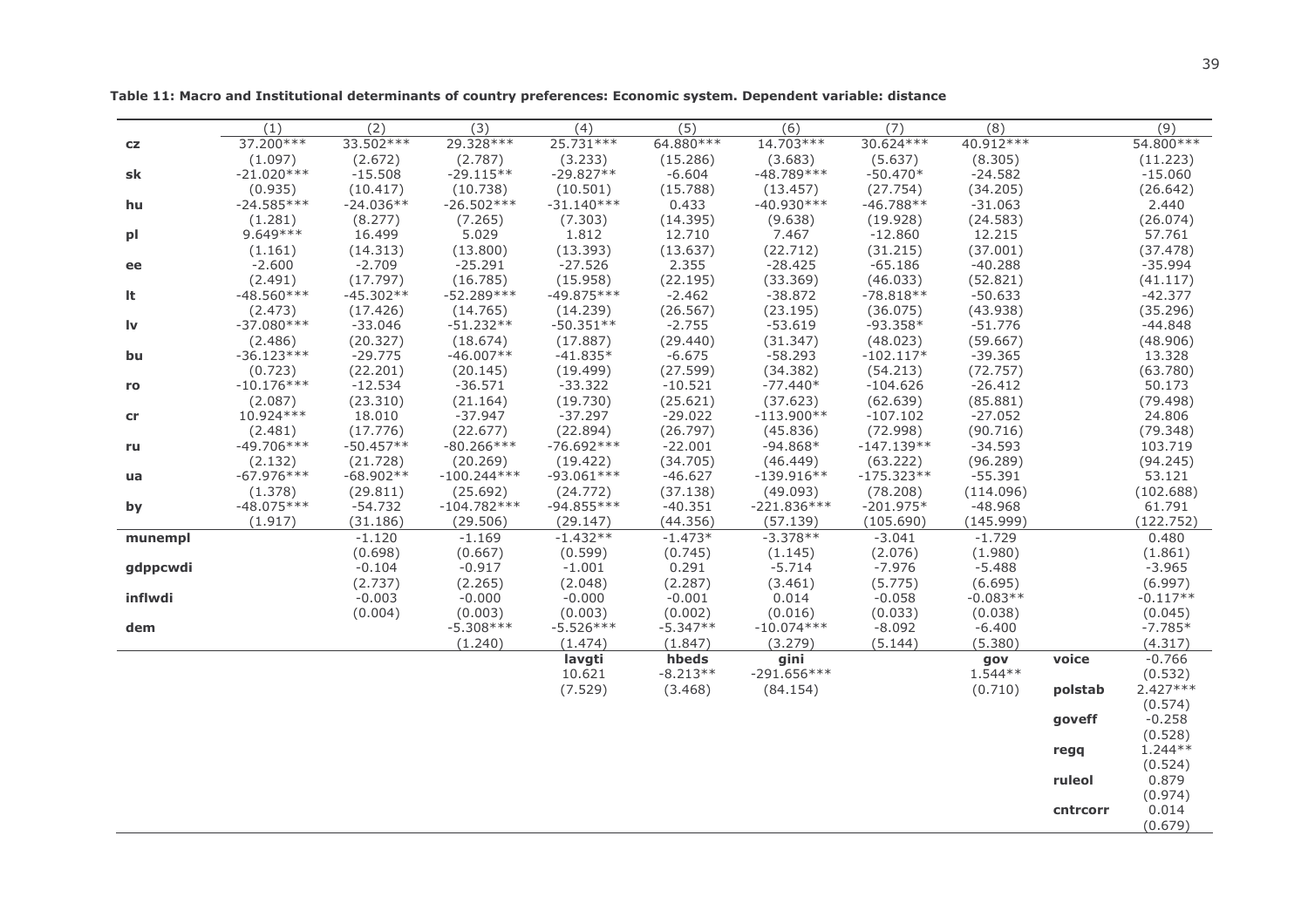|            | (1)                     | (2)                  | (3)                      | (4)                   | (5)                  | (6)                   | (7)                     | (8)                   |          | (9)                   |
|------------|-------------------------|----------------------|--------------------------|-----------------------|----------------------|-----------------------|-------------------------|-----------------------|----------|-----------------------|
| ${\sf cz}$ | 37.200 ***              | 33.502 ***           | 29.328 ***               | 25.731 ***            | 64.880 ***           | 14.703 ***            | 30.624 ***              | 40.912 ***            |          | 54.800 ***            |
|            | (1.097)                 | (2.672)              | (2.787)                  | (3.233)               | (15.286)             | (3.683)               | (5.637)                 | (8.305)               |          | (11.223)              |
| sk         | $-21.020***$            | $-15.508$            | $-29.115**$              | $-29.827**$           | $-6.604$             | $-48.789***$          | $-50.470*$              | $-24.582$             |          | $-15.060$             |
|            | (0.935)                 | (10.417)             | (10.738)                 | (10.501)              | (15.788)             | (13.457)              | (27.754)                | (34.205)              |          | (26.642)              |
| hu         | $-24.585***$            | $-24.036**$          | $-26.502***$             | $-31.140***$          | 0.433                | $-40.930***$          | $-46.788**$             | $-31.063$             |          | 2.440                 |
|            | (1.281)                 | (8.277)              | (7.265)                  | (7.303)               | (14.395)             | (9.638)               | (19.928)                | (24.583)              |          | (26.074)              |
| рI         | $9.649***$              | 16.499               | 5.029                    | 1.812                 | 12.710               | 7.467                 | $-12.860$               | 12.215                |          | 57.761                |
|            | (1.161)                 | (14.313)             | (13.800)                 | (13.393)              | (13.637)             | (22.712)              | (31.215)                | (37.001)              |          | (37.478)              |
| ee         | $-2.600$                | $-2.709$<br>(17.797) | $-25.291$                | $-27.526$<br>(15.958) | 2.355                | $-28.425$             | $-65.186$               | $-40.288$             |          | $-35.994$             |
| It         | (2.491)<br>$-48.560***$ | $-45.302**$          | (16.785)<br>$-52.289***$ | $-49.875***$          | (22.195)<br>$-2.462$ | (33.369)<br>$-38.872$ | (46.033)<br>$-78.818**$ | (52.821)<br>$-50.633$ |          | (41.117)<br>$-42.377$ |
|            | (2.473)                 | (17.426)             | (14.765)                 | (14.239)              | (26.567)             | (23.195)              | (36.075)                | (43.938)              |          | (35.296)              |
| Iv         | $-37.080***$            | $-33.046$            | $-51.232**$              | $-50.351**$           | $-2.755$             | $-53.619$             | $-93.358*$              | $-51.776$             |          | $-44.848$             |
|            | (2.486)                 | (20.327)             | (18.674)                 | (17.887)              | (29.440)             | (31.347)              | (48.023)                | (59.667)              |          | (48.906)              |
| bu         | $-36.123***$            | $-29.775$            | $-46.007**$              | $-41.835*$            | $-6.675$             | $-58.293$             | $-102.117*$             | $-39.365$             |          | 13.328                |
|            | (0.723)                 | (22.201)             | (20.145)                 | (19.499)              | (27.599)             | (34.382)              | (54.213)                | (72.757)              |          | (63.780)              |
| ro         | $-10.176***$            | $-12.534$            | $-36.571$                | $-33.322$             | $-10.521$            | $-77.440*$            | $-104.626$              | $-26.412$             |          | 50.173                |
|            | (2.087)                 | (23.310)             | (21.164)                 | (19.730)              | (25.621)             | (37.623)              | (62.639)                | (85.881)              |          | (79.498)              |
| cr         | 10.924 ***              | 18.010               | $-37.947$                | $-37.297$             | $-29.022$            | $-113.900**$          | $-107.102$              | $-27.052$             |          | 24.806                |
|            | (2.481)                 | (17.776)             | (22.677)                 | (22.894)              | (26.797)             | (45.836)              | (72.998)                | (90.716)              |          | (79.348)              |
| ru         | $-49.706***$            | $-50.457**$          | $-80.266***$             | $-76.692***$          | $-22.001$            | $-94.868*$            | $-147.139**$            | $-34.593$             |          | 103.719               |
|            | (2.132)                 | (21.728)             | (20.269)                 | (19.422)              | (34.705)             | (46.449)              | (63.222)                | (96.289)              |          | (94.245)              |
| ua         | $-67.976***$            | $-68.902**$          | $-100.244***$            | $-93.061***$          | $-46.627$            | $-139.916**$          | $-175.323**$            | $-55.391$             |          | 53.121                |
|            | (1.378)                 | (29.811)             | (25.692)                 | (24.772)              | (37.138)             | (49.093)              | (78.208)                | (114.096)             |          | (102.688)             |
| by         | $-48.075***$            | $-54.732$            | $-104.782***$            | $-94.855***$          | $-40.351$            | $-221.836***$         | $-201.975*$             | $-48.968$             |          | 61.791                |
|            | (1.917)                 | (31.186)             | (29.506)                 | (29.147)              | (44.356)             | (57.139)              | (105.690)               | (145.999)             |          | (122.752)             |
| munempl    |                         | $-1.120$             | $-1.169$                 | $-1.432**$            | $-1.473*$            | $-3.378**$            | $-3.041$                | $-1.729$              |          | 0.480                 |
|            |                         | (0.698)              | (0.667)                  | (0.599)               | (0.745)              | (1.145)               | (2.076)                 | (1.980)               |          | (1.861)               |
| gdppcwdi   |                         | $-0.104$             | $-0.917$                 | $-1.001$              | 0.291<br>(2.287)     | $-5.714$              | $-7.976$<br>(5.775)     | $-5.488$<br>(6.695)   |          | $-3.965$<br>(6.997)   |
| inflwdi    |                         | (2.737)<br>$-0.003$  | (2.265)<br>$-0.000$      | (2.048)<br>$-0.000$   | $-0.001$             | (3.461)<br>0.014      | $-0.058$                | $-0.083**$            |          | $-0.117**$            |
|            |                         | (0.004)              | (0.003)                  | (0.003)               | (0.002)              | (0.016)               | (0.033)                 | (0.038)               |          | (0.045)               |
| dem        |                         |                      | $-5.308***$              | $-5.526***$           | $-5.347**$           | $-10.074***$          | $-8.092$                | $-6.400$              |          | $-7.785*$             |
|            |                         |                      | (1.240)                  | (1.474)               | (1.847)              | (3.279)               | (5.144)                 | (5.380)               |          | (4.317)               |
|            |                         |                      |                          | lavgti                | hbeds                | gini                  |                         | gov                   | voice    | $-0.766$              |
|            |                         |                      |                          | 10.621                | $-8.213**$           | $-291.656***$         |                         | $1.544**$             |          | (0.532)               |
|            |                         |                      |                          | (7.529)               | (3.468)              | (84.154)              |                         | (0.710)               | polstab  | $2.427***$            |
|            |                         |                      |                          |                       |                      |                       |                         |                       |          | (0.574)               |
|            |                         |                      |                          |                       |                      |                       |                         |                       | goveff   | $-0.258$              |
|            |                         |                      |                          |                       |                      |                       |                         |                       |          | (0.528)               |
|            |                         |                      |                          |                       |                      |                       |                         |                       | regq     | $1.244**$             |
|            |                         |                      |                          |                       |                      |                       |                         |                       |          | (0.524)               |
|            |                         |                      |                          |                       |                      |                       |                         |                       | ruleol   | 0.879                 |
|            |                         |                      |                          |                       |                      |                       |                         |                       |          | (0.974)               |
|            |                         |                      |                          |                       |                      |                       |                         |                       | cntrcorr | 0.014                 |
|            |                         |                      |                          |                       |                      |                       |                         |                       |          | (0.679)               |

Table 11: Macro and Institutional determinants of country preferences: Economic system. Dependent variable: distance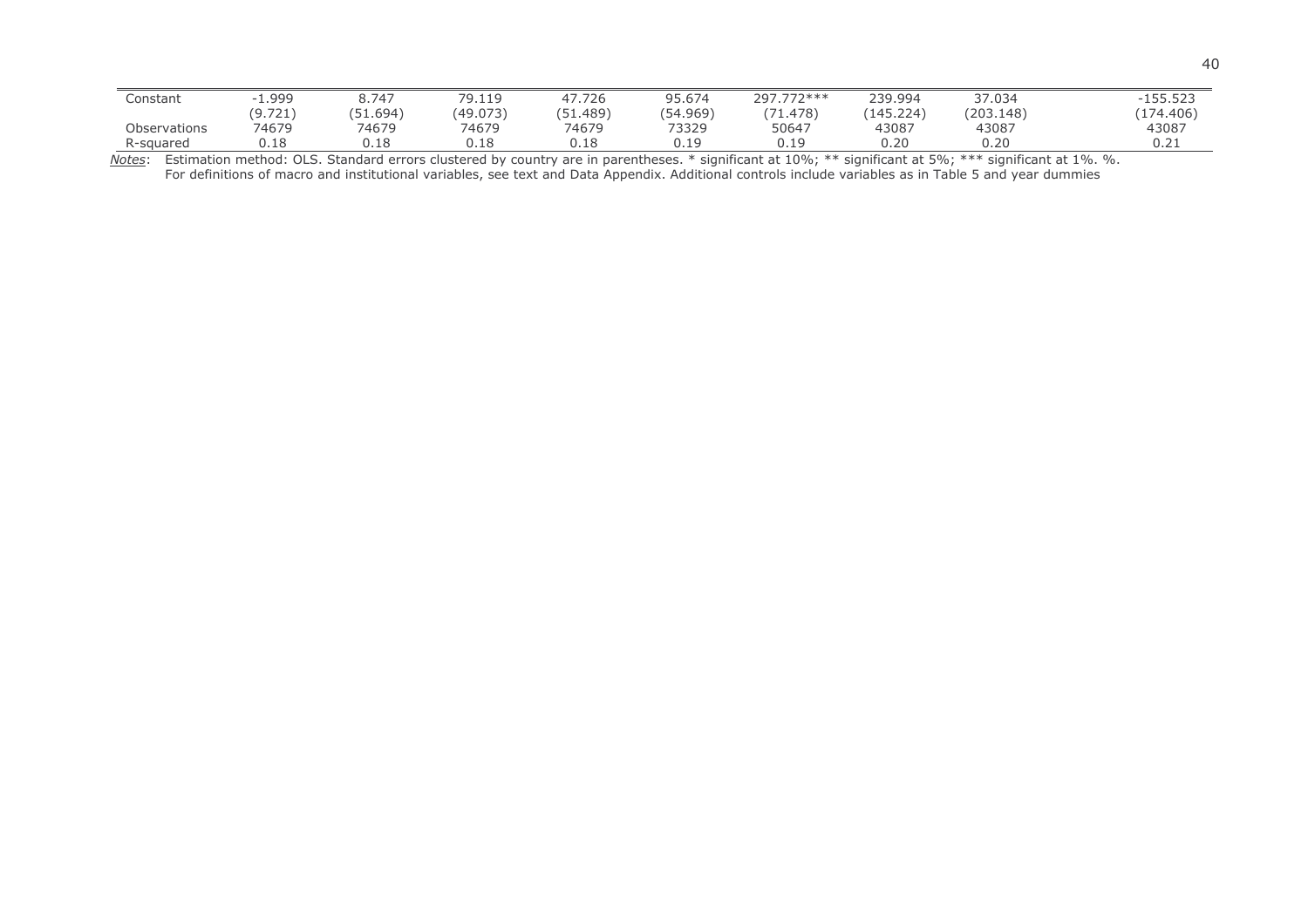| Constant     | . 999.  | 8.747                | 79.119   | 17.726                  | 95.674   | 777***<br>297.772 | 239.994   | 37.034    | $-155.52?$ |
|--------------|---------|----------------------|----------|-------------------------|----------|-------------------|-----------|-----------|------------|
|              | (9.721) | . 1.694 <sup>\</sup> | (49.073) | .51.489<br><b>/ ⊏ 1</b> | (54.969) | (71.478)          | (145.224) | (203.148) | (174.406)  |
| Observations | 74679   | 74679                | 74679    | 74679                   | 73329    | 50647             | 43087     | 43087     | 43087      |
| R-sauared    | 0.18    | 0.18                 | ---      | 0.18                    | 10       | n 10              | 0.20      | 0.20      | ∪.∠⊥       |

Notes: Estimation method: OLS. Standard errors clustered by country are in parentheses. \* significant at 10%; \*\* significant at 5%; \*\*\* significant at 1%. %.<br>For definitions of macro and institutional variables, see text a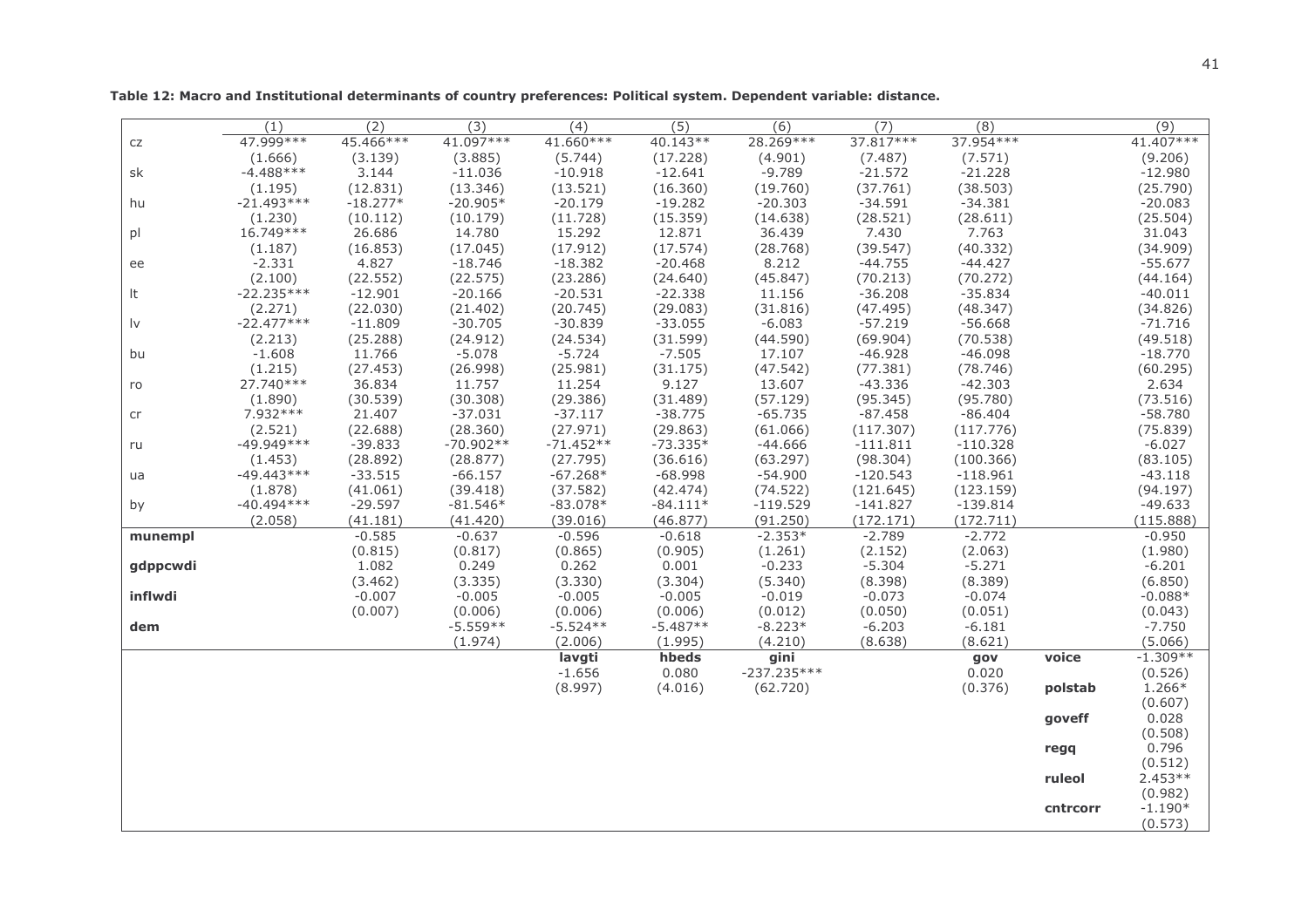$(1)$  $(2)$  $(3)$  $(4)$  $(5)$  $(6)$  $(7)$  $(8)$  $(9)$ 47.999 \*\*\* 45.466\*\*\* 41.097\*\*\* 41.660\*\*\*  $40.143**$ 28.269\*\*\* 37.817\*\*\* 37.954\*\*\* 41.407\*\*\*  $CZ$  $(1.666)$  $(3.139)$  $(3.885)$  $(5.744)$  $(17.228)$  $(4.901)$  $(7.487)$  $(7.571)$  $(9.206)$ sk  $-4.488***$ 3.144  $-11.036$  $-10.918$  $-12.641$  $-9.789$  $-21.572$  $-21.228$  $-12.980$  $(1.195)$  $(12.831)$  $(13.346)$  $(13.521)$  $(16.360)$  $(19.760)$  $(37.761)$  $(38.503)$  $(25.790)$ hu  $-21.493***$  $-18.277*$  $-20.905*$  $-20.179$  $-19.282$  $-20.303$  $-34.591$  $-34.381$  $-20.083$  $(1.230)$  $(10.112)$  $(10.179)$  $(11.728)$  $(15.359)$  $(14.638)$  $(28.521)$  $(28.611)$  $(25.504)$  $D$ 16.749\*\*\* 26,686 14.780 15.292 12.871 36.439 7.430 7.763 31,043  $(1.187)$  $(16.853)$  $(17.045)$  $(17.912)$  $(17.574)$  $(28.768)$  $(39.547)$  $(40.332)$  $(34.909)$  $-2.331$  $-44.427$ 4.827  $-18.746$  $-18.382$  $-20.468$ 8.212  $-44.755$  $-55.677$  $\theta$  $(2.100)$  $(22.552)$  $(22.575)$  $(23.286)$  $(24.640)$  $(45.847)$  $(70.213)$  $(70.272)$  $(44.164)$  $-22.235***$ It  $-12.901$  $-20.166$  $-20.531$  $-22.338$ 11.156  $-36.208$  $-35.834$  $-40.011$  $(2.271)$  $(22.030)$  $(21.402)$  $(20.745)$  $(29.083)$  $(31.816)$  $(47.495)$  $(48.347)$  $(34.826)$  $\mathsf{I}\mathsf{v}$  $-22.477***$  $-11.809$  $-30.705$  $-30.839$  $-33.055$  $-6.083$  $-57.219$  $-56.668$  $-71.716$  $(2.213)$  $(25.288)$  $(24.912)$  $(24.534)$  $(31.599)$  $(44.590)$  $(69.904)$  $(70.538)$  $(49.518)$ bu  $-1.608$ 11.766  $-5.078$  $-5.724$  $-7.505$ 17.107  $-46.928$  $-46.098$  $-18.770$  $(1.215)$  $(27.453)$  $(26.998)$  $(25.981)$  $(31.175)$  $(47.542)$  $(77.381)$  $(78.746)$  $(60.295)$  $27.740***$  $-42.303$ 36.834 11.254 9.127  $-43.336$ 2.634 ro 11.757 13.607  $(1.890)$  $(30.539)$  $(30.308)$  $(29.386)$  $(31.489)$  $(57.129)$  $(95.345)$  $(95.780)$  $(73.516)$  $7.932***$ 21.407  $-37.031$  $-37.117$  $-38.775$  $-65.735$  $-87.458$  $-86.404$  $-58.780$ cr  $(2.521)$  $(22.688)$  $(28.360)$  $(27.971)$  $(29.863)$  $(61.066)$  $(117.307)$  $(117.776)$  $(75.839)$ ru  $-49.949***$  $-39.833$  $-70.902**$  $-71.452**$  $-73.335*$  $-44.666$  $-111.811$  $-110.328$  $-6.027$  $(28.892)$  $(28.877)$  $(27.795)$  $(36.616)$  $(63.297)$  $(98.304)$  $(100.366)$  $(83.105)$  $(1.453)$  $-49.443***$  $\mathsf{u}\mathsf{a}$  $-33.515$  $-66.157$  $-67.268*$  $-68.998$  $-54.900$  $-120.543$  $-118.961$  $-43.118$  $(1.878)$  $(41.061)$  $(39.418)$  $(37.582)$  $(42.474)$  $(74.522)$  $(121.645)$  $(123.159)$  $(94.197)$ by  $-40.494***$  $-29.597$  $-81.546*$  $-83.078*$  $-119.529$  $-141.827$  $-139.814$  $-84.111*$  $-49.633$  $(2.058)$  $(41.181)$  $(41.420)$  $(39.016)$  $(46.877)$  $(91.250)$  $(172.171)$  $(172.711)$  $(115.888)$  $-0.585$  $-0.637$  $-0.596$  $-0.618$  $-2.353*$  $-2.789$  $-2.772$  $-0.950$ munempl  $(0.815)$  $(0.817)$  $(0.865)$  $(0.905)$  $(1.261)$  $(2.152)$  $(2.063)$  $(1.980)$  $-5.271$ 1.082 0.249 0.262 0.001  $-0.233$  $-5.304$  $-6.201$ gdppcwdi  $(3.462)$  $(3.335)$  $(3.330)$  $(3.304)$  $(5.340)$  $(8.398)$  $(8.389)$  $(6.850)$ inflwdi  $-0.007$  $-0.005$  $-0.005$  $-0.005$  $-0.019$  $-0.073$  $-0.074$  $-0.088*$  $(0.007)$  $(0.006)$  $(0.006)$  $(0.006)$  $(0.012)$  $(0.050)$  $(0.051)$  $(0.043)$ dem  $-5.559**$  $-5.524**$  $-5.487**$  $-8.223*$  $-6.203$  $-6.181$  $-7.750$  $(1.974)$  $(2.006)$  $(1.995)$  $(4.210)$  $(8.638)$  $(8.621)$  $(5.066)$  $-1.309**$ lavgti hbeds gini voice qov  $-1.656$ 0.080  $-237.235***$ 0.020  $(0.526)$  $(8.997)$  $(4.016)$  $(62.720)$  $(0.376)$ polstab 1.266\*  $(0.607)$ goveff 0.028  $(0.508)$ regq 0.796  $(0.512)$ ruleol  $2.453**$  $(0.982)$ cntrcorr  $-1.190*$  $(0.573)$ 

Table 12: Macro and Institutional determinants of country preferences: Political system. Dependent variable: distance.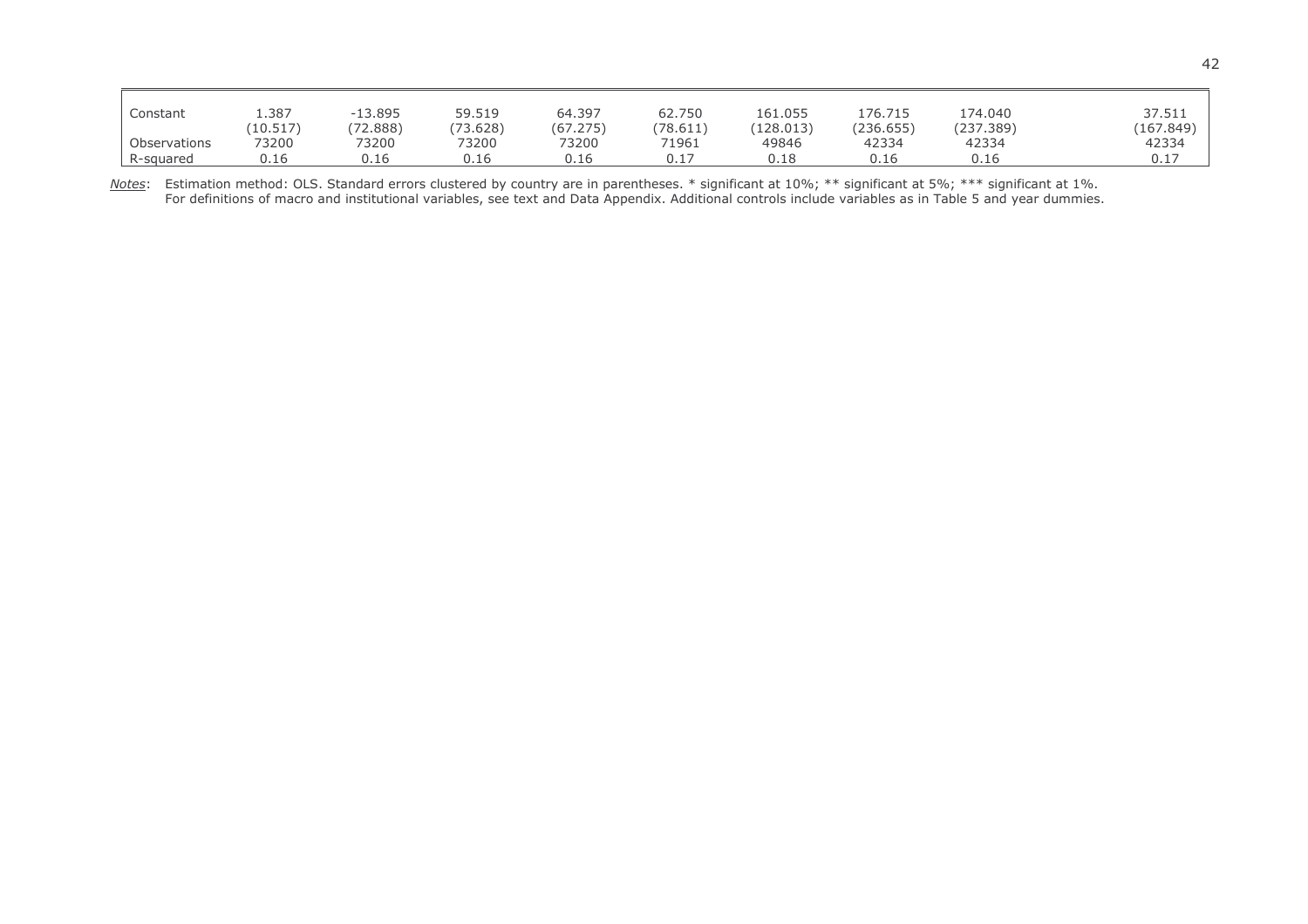| Constant     | 1.387    | $-13.895$ | 59.519   | 64.397   | 62.750   | 161.055   | 176.715   | 174.040   | 37.511      |
|--------------|----------|-----------|----------|----------|----------|-----------|-----------|-----------|-------------|
|              | (10.517) | (72.888)  | (73.628) | (67.275) | (78.611) | (128.013) | (236.655) | (237.389) | (167.849)   |
| Observations | 73200    | 73200     | 73200    | 73200    | 71961    | 49846     | 42334     | 42334     | 42334       |
| R-squared    | 0.16     | 0.16      | 0.16     | 0.16     | 0.17     | 0.18      | 0.16      | 0.16      | 0.17<br>. J |

Notes: Estimation method: OLS. Standard errors clustered by country are in parentheses. \* significant at 10%; \*\* significant at 5%; \*\*\* significant at 1%.<br>For definitions of macro and institutional variables, see text and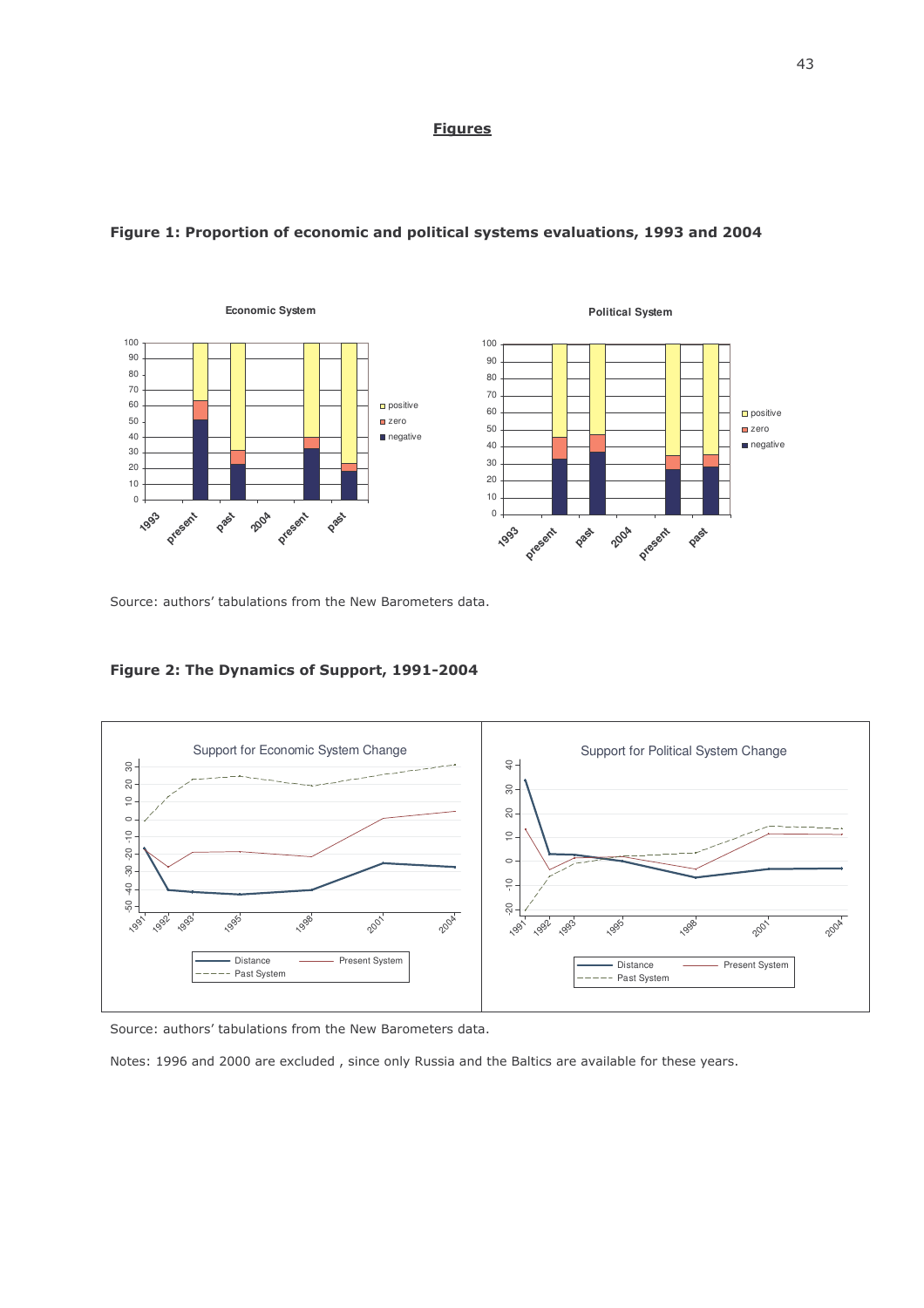### <u>Figures</u>



## Figure 1: Proportion of economic and political systems evaluations, 1993 and 2004

Source: authors' tabulations from the New Barometers data.





Source: authors' tabulations from the New Barometers data.

Notes: 1996 and 2000 are excluded, since only Russia and the Baltics are available for these years.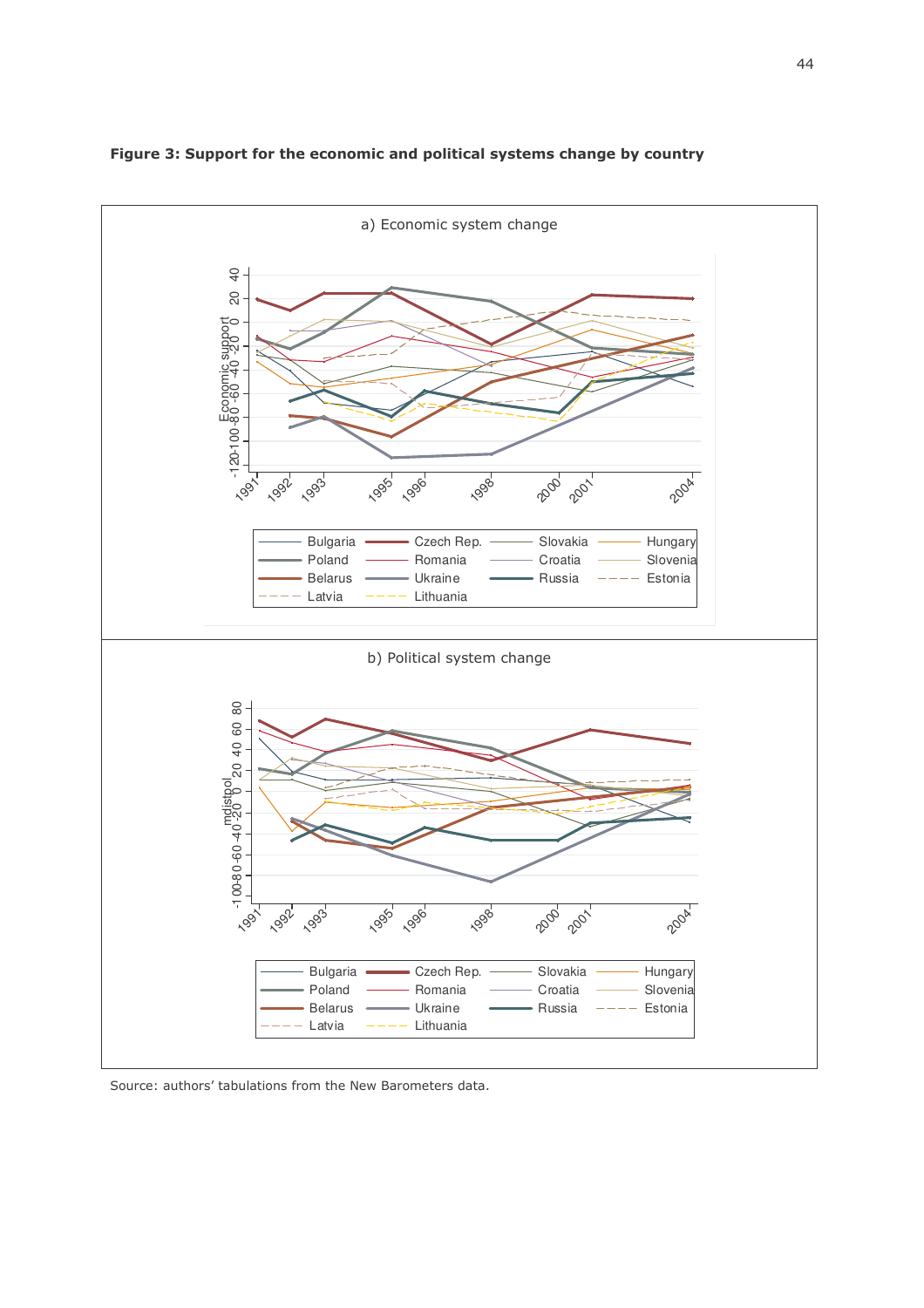

Figure 3: Support for the economic and political systems change by country

Source: authors' tabulations from the New Barometers data.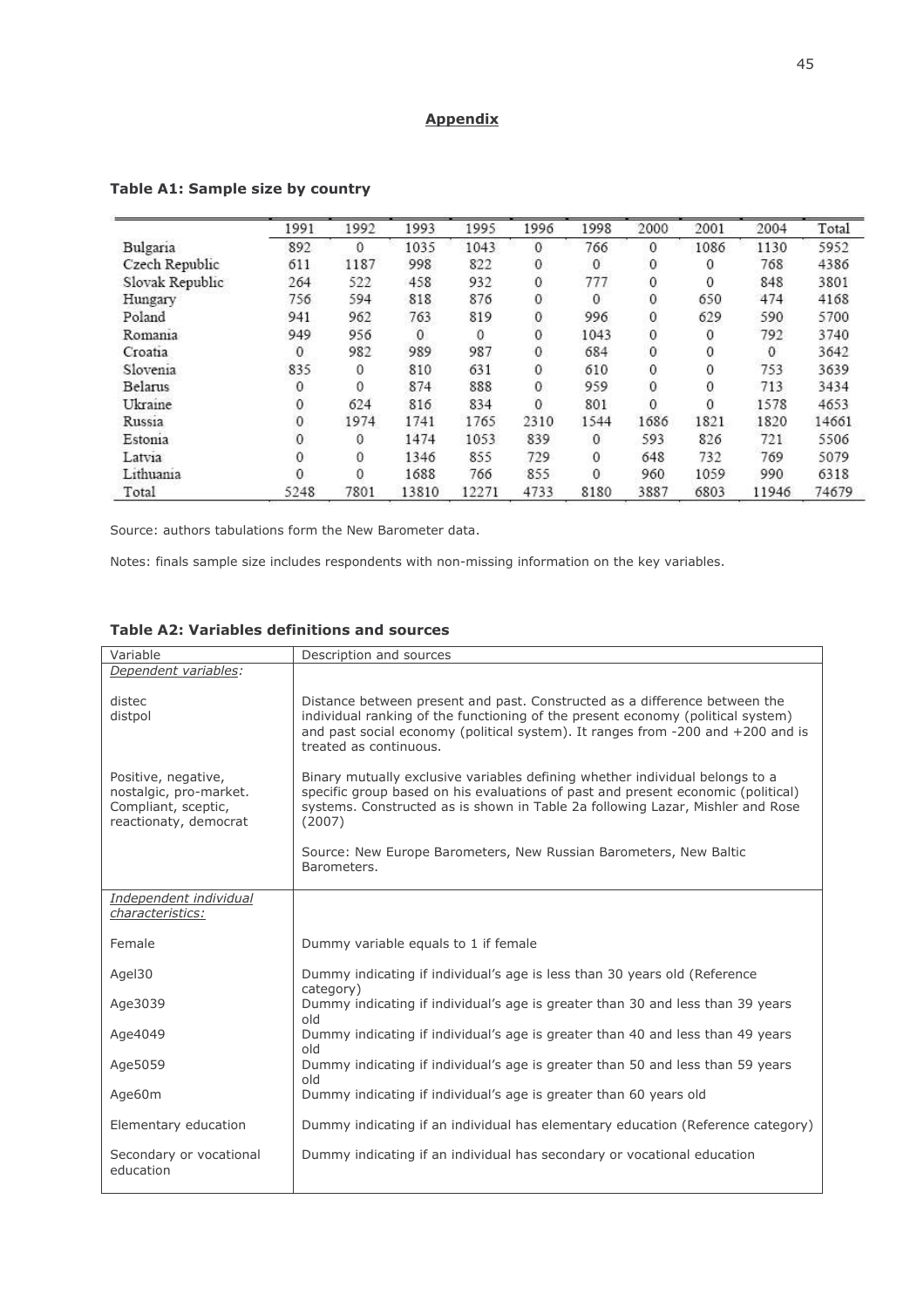# **Appendix**

|                 | 1991         | 1992 | 1993  | 1995  | 1996                                 | 1998         | 2000         | 2001 | 2004     | Total |
|-----------------|--------------|------|-------|-------|--------------------------------------|--------------|--------------|------|----------|-------|
| Bulgaria        | 892          | 0    | 1035  | 1043  | $\mathbf{0}$                         | 766          | $\mathbf{0}$ | 1086 | 1130     | 5952  |
| Czech Republic  | 611          | 1187 | 998   | 822   | $\mathbf{0}$                         | $\mathbf{0}$ | 0            | 0    | 768      | 4386  |
| Slovak Republic | 264          | 522  | 458   | 932   | $\mathbf 0$                          | 777          | $\mathbf{0}$ | 0    | 848      | 3801  |
| Hungary         | 756          | 594  | 818   | 876   | $\mathbf{O}$                         | 0            | 0            | 650  | 474      | 4168  |
| Poland          | 941          | 962  | 763   | 819   |                                      | 996          | 0            | 629  | 590      | 5700  |
| Romania         | 949          | 956  | 0     | 0     | $\begin{matrix} 0 \\ 0 \end{matrix}$ | 1043         | 0            | 0    | 792      | 3740  |
| Croatia         | $\mathbf{0}$ | 982  | 989   | 987   | $\mathbf{0}$                         | 684          | $\mathbf{0}$ | 0    | $\Omega$ | 3642  |
| Slovenia        | 835          | 0    | 810   | 631   | $\mathbf{0}$                         | 610          | $\mathbf{0}$ | 0    | 753      | 3639  |
| Belarus         | $\mathbf{0}$ | 0    | 874   | 888   | $\mathbf{0}$                         | 959          | $\mathbf{0}$ | 0    | 713      | 3434  |
| Ukraine         | 0            | 624  | 816   | 834   | $\mathbf{0}$                         | 801          | 0            | 0    | 1578     | 4653  |
| Russia          | 0            | 1974 | 1741  | 1765  | 2310                                 | 1544         | 1686         | 1821 | 1820     | 14661 |
| Estonia         | $\mathbf{0}$ | 0    | 1474  | 1053  | 839                                  | $\mathbf{0}$ | 593          | 826  | 721      | 5506  |
| Latvia          | 0            | 0    | 1346  | 855   | 729                                  | $\mathbf{0}$ | 648          | 732  | 769      | 5079  |
| Lithuania       | 0            | 0    | 1688  | 766   | 855                                  | $\Omega$     | 960          | 1059 | 990      | 6318  |
| Total           | 5248         | 7801 | 13810 | 12271 | 4733                                 | 8180         | 3887         | 6803 | 11946    | 74679 |

# Table A1: Sample size by country

Source: authors tabulations form the New Barometer data.

Notes: finals sample size includes respondents with non-missing information on the key variables.

|  | <b>Table A2: Variables definitions and sources</b> |  |  |
|--|----------------------------------------------------|--|--|
|  |                                                    |  |  |

| Variable                                                                                      | Description and sources                                                                                                                                                                                                                                                    |  |  |  |  |  |
|-----------------------------------------------------------------------------------------------|----------------------------------------------------------------------------------------------------------------------------------------------------------------------------------------------------------------------------------------------------------------------------|--|--|--|--|--|
| Dependent variables:                                                                          |                                                                                                                                                                                                                                                                            |  |  |  |  |  |
| distec<br>distpol                                                                             | Distance between present and past. Constructed as a difference between the<br>individual ranking of the functioning of the present economy (political system)<br>and past social economy (political system). It ranges from -200 and +200 and is<br>treated as continuous. |  |  |  |  |  |
| Positive, negative,<br>nostalgic, pro-market.<br>Compliant, sceptic,<br>reactionaty, democrat | Binary mutually exclusive variables defining whether individual belongs to a<br>specific group based on his evaluations of past and present economic (political)<br>systems. Constructed as is shown in Table 2a following Lazar, Mishler and Rose<br>(2007)               |  |  |  |  |  |
|                                                                                               | Source: New Europe Barometers, New Russian Barometers, New Baltic<br>Barometers.                                                                                                                                                                                           |  |  |  |  |  |
| Independent individual<br>characteristics:                                                    |                                                                                                                                                                                                                                                                            |  |  |  |  |  |
| Female                                                                                        | Dummy variable equals to 1 if female                                                                                                                                                                                                                                       |  |  |  |  |  |
| Agel30                                                                                        | Dummy indicating if individual's age is less than 30 years old (Reference<br>category)                                                                                                                                                                                     |  |  |  |  |  |
| Age3039                                                                                       | Dummy indicating if individual's age is greater than 30 and less than 39 years<br>old                                                                                                                                                                                      |  |  |  |  |  |
| Age4049                                                                                       | Dummy indicating if individual's age is greater than 40 and less than 49 years<br>old                                                                                                                                                                                      |  |  |  |  |  |
| Age5059                                                                                       | Dummy indicating if individual's age is greater than 50 and less than 59 years<br>old                                                                                                                                                                                      |  |  |  |  |  |
| Age60m                                                                                        | Dummy indicating if individual's age is greater than 60 years old                                                                                                                                                                                                          |  |  |  |  |  |
| Elementary education                                                                          | Dummy indicating if an individual has elementary education (Reference category)                                                                                                                                                                                            |  |  |  |  |  |
| Secondary or vocational<br>education                                                          | Dummy indicating if an individual has secondary or vocational education                                                                                                                                                                                                    |  |  |  |  |  |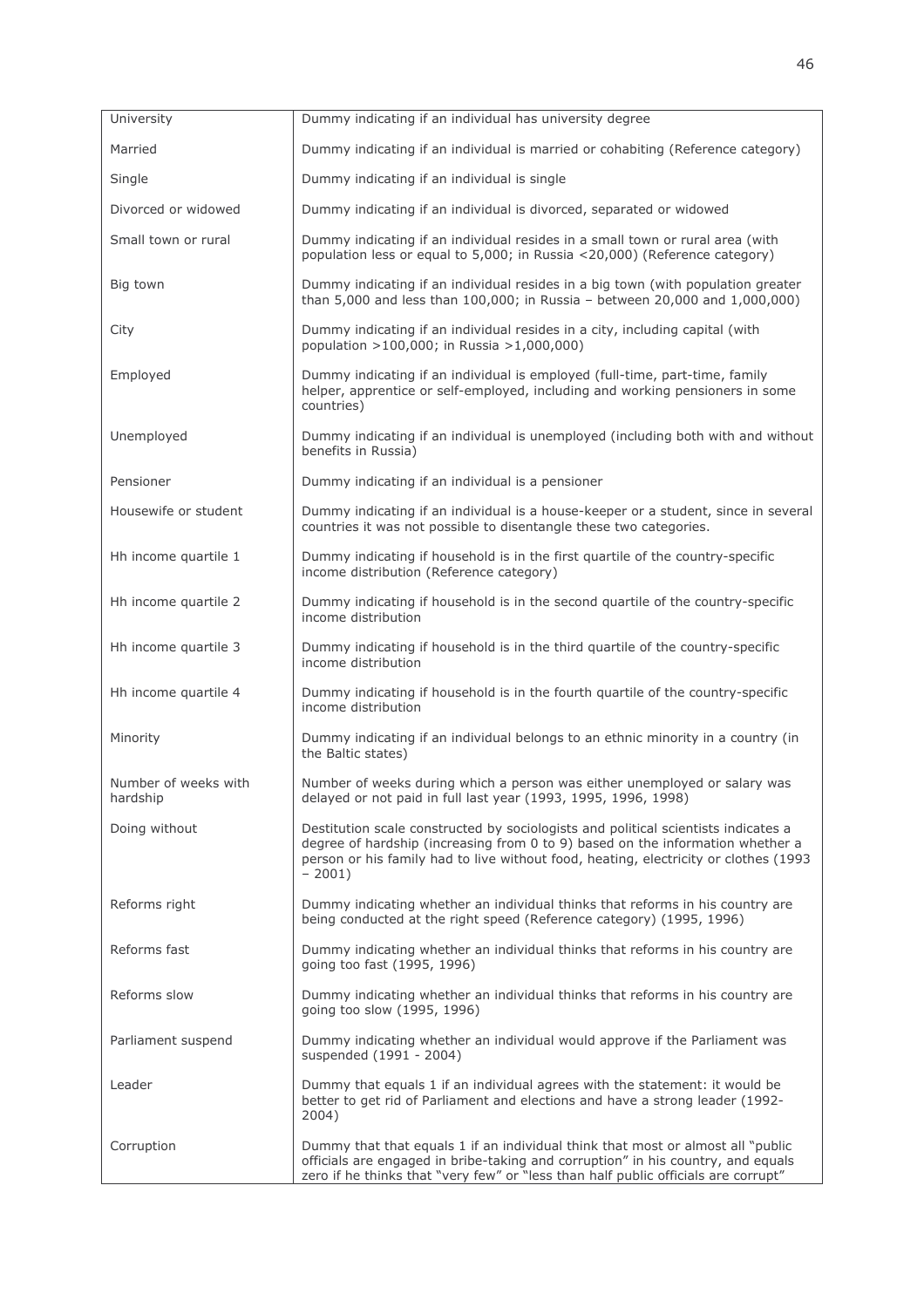| University                       | Dummy indicating if an individual has university degree                                                                                                                                                                                                                 |
|----------------------------------|-------------------------------------------------------------------------------------------------------------------------------------------------------------------------------------------------------------------------------------------------------------------------|
| Married                          | Dummy indicating if an individual is married or cohabiting (Reference category)                                                                                                                                                                                         |
| Single                           | Dummy indicating if an individual is single                                                                                                                                                                                                                             |
| Divorced or widowed              | Dummy indicating if an individual is divorced, separated or widowed                                                                                                                                                                                                     |
| Small town or rural              | Dummy indicating if an individual resides in a small town or rural area (with<br>population less or equal to 5,000; in Russia <20,000) (Reference category)                                                                                                             |
| Big town                         | Dummy indicating if an individual resides in a big town (with population greater<br>than 5,000 and less than 100,000; in Russia - between 20,000 and 1,000,000)                                                                                                         |
| City                             | Dummy indicating if an individual resides in a city, including capital (with<br>population >100,000; in Russia >1,000,000)                                                                                                                                              |
| Employed                         | Dummy indicating if an individual is employed (full-time, part-time, family<br>helper, apprentice or self-employed, including and working pensioners in some<br>countries)                                                                                              |
| Unemployed                       | Dummy indicating if an individual is unemployed (including both with and without<br>benefits in Russia)                                                                                                                                                                 |
| Pensioner                        | Dummy indicating if an individual is a pensioner                                                                                                                                                                                                                        |
| Housewife or student             | Dummy indicating if an individual is a house-keeper or a student, since in several<br>countries it was not possible to disentangle these two categories.                                                                                                                |
| Hh income quartile 1             | Dummy indicating if household is in the first quartile of the country-specific<br>income distribution (Reference category)                                                                                                                                              |
| Hh income quartile 2             | Dummy indicating if household is in the second quartile of the country-specific<br>income distribution                                                                                                                                                                  |
| Hh income quartile 3             | Dummy indicating if household is in the third quartile of the country-specific<br>income distribution                                                                                                                                                                   |
| Hh income quartile 4             | Dummy indicating if household is in the fourth quartile of the country-specific<br>income distribution                                                                                                                                                                  |
| Minority                         | Dummy indicating if an individual belongs to an ethnic minority in a country (in<br>the Baltic states)                                                                                                                                                                  |
| Number of weeks with<br>hardship | Number of weeks during which a person was either unemployed or salary was<br>delayed or not paid in full last year (1993, 1995, 1996, 1998)                                                                                                                             |
| Doing without                    | Destitution scale constructed by sociologists and political scientists indicates a<br>degree of hardship (increasing from 0 to 9) based on the information whether a<br>person or his family had to live without food, heating, electricity or clothes (1993<br>$-2001$ |
| Reforms right                    | Dummy indicating whether an individual thinks that reforms in his country are<br>being conducted at the right speed (Reference category) (1995, 1996)                                                                                                                   |
| Reforms fast                     | Dummy indicating whether an individual thinks that reforms in his country are<br>going too fast (1995, 1996)                                                                                                                                                            |
| Reforms slow                     | Dummy indicating whether an individual thinks that reforms in his country are<br>going too slow (1995, 1996)                                                                                                                                                            |
| Parliament suspend               | Dummy indicating whether an individual would approve if the Parliament was<br>suspended (1991 - 2004)                                                                                                                                                                   |
| Leader                           | Dummy that equals 1 if an individual agrees with the statement: it would be<br>better to get rid of Parliament and elections and have a strong leader (1992-<br>2004)                                                                                                   |
| Corruption                       | Dummy that that equals 1 if an individual think that most or almost all "public"<br>officials are engaged in bribe-taking and corruption" in his country, and equals<br>zero if he thinks that "very few" or "less than half public officials are corrupt"              |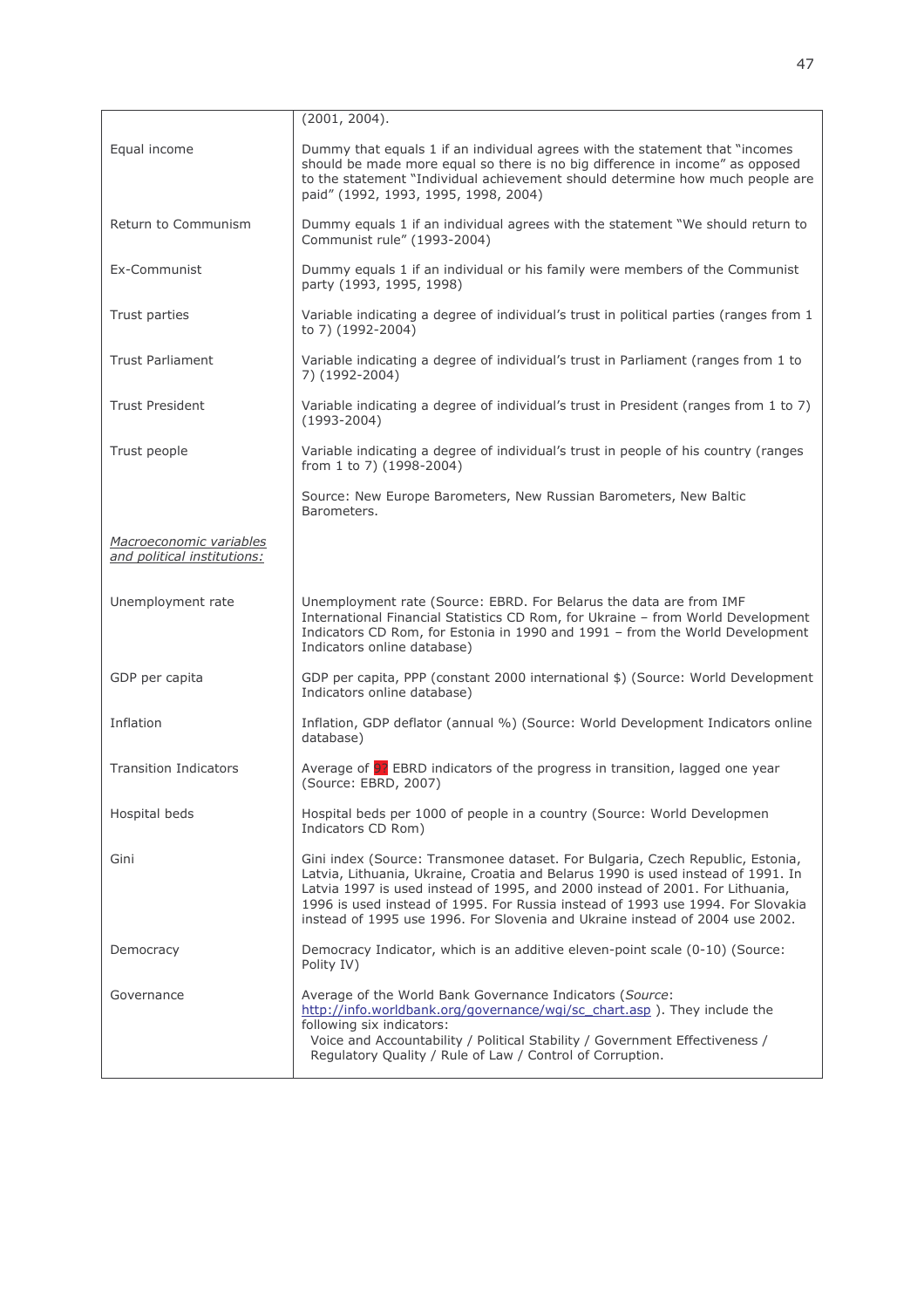|                                                        | (2001, 2004).                                                                                                                                                                                                                                                                                                                                                                                                          |  |  |  |  |  |
|--------------------------------------------------------|------------------------------------------------------------------------------------------------------------------------------------------------------------------------------------------------------------------------------------------------------------------------------------------------------------------------------------------------------------------------------------------------------------------------|--|--|--|--|--|
| Equal income                                           | Dummy that equals 1 if an individual agrees with the statement that "incomes"<br>should be made more equal so there is no big difference in income" as opposed<br>to the statement "Individual achievement should determine how much people are<br>paid" (1992, 1993, 1995, 1998, 2004)                                                                                                                                |  |  |  |  |  |
| Return to Communism                                    | Dummy equals 1 if an individual agrees with the statement "We should return to<br>Communist rule" (1993-2004)                                                                                                                                                                                                                                                                                                          |  |  |  |  |  |
| Ex-Communist                                           | Dummy equals 1 if an individual or his family were members of the Communist<br>party (1993, 1995, 1998)                                                                                                                                                                                                                                                                                                                |  |  |  |  |  |
| Trust parties                                          | Variable indicating a degree of individual's trust in political parties (ranges from 1<br>to 7) (1992-2004)                                                                                                                                                                                                                                                                                                            |  |  |  |  |  |
| <b>Trust Parliament</b>                                | Variable indicating a degree of individual's trust in Parliament (ranges from 1 to<br>7) (1992-2004)                                                                                                                                                                                                                                                                                                                   |  |  |  |  |  |
| <b>Trust President</b>                                 | Variable indicating a degree of individual's trust in President (ranges from 1 to 7)<br>$(1993 - 2004)$                                                                                                                                                                                                                                                                                                                |  |  |  |  |  |
| Trust people                                           | Variable indicating a degree of individual's trust in people of his country (ranges<br>from 1 to 7) (1998-2004)                                                                                                                                                                                                                                                                                                        |  |  |  |  |  |
|                                                        | Source: New Europe Barometers, New Russian Barometers, New Baltic<br>Barometers.                                                                                                                                                                                                                                                                                                                                       |  |  |  |  |  |
| Macroeconomic variables<br>and political institutions: |                                                                                                                                                                                                                                                                                                                                                                                                                        |  |  |  |  |  |
| Unemployment rate                                      | Unemployment rate (Source: EBRD. For Belarus the data are from IMF<br>International Financial Statistics CD Rom, for Ukraine - from World Development<br>Indicators CD Rom, for Estonia in 1990 and 1991 - from the World Development<br>Indicators online database)                                                                                                                                                   |  |  |  |  |  |
| GDP per capita                                         | GDP per capita, PPP (constant 2000 international \$) (Source: World Development<br>Indicators online database)                                                                                                                                                                                                                                                                                                         |  |  |  |  |  |
| Inflation                                              | Inflation, GDP deflator (annual %) (Source: World Development Indicators online<br>database)                                                                                                                                                                                                                                                                                                                           |  |  |  |  |  |
| <b>Transition Indicators</b>                           | Average of <b>97</b> EBRD indicators of the progress in transition, lagged one year<br>(Source: EBRD, 2007)                                                                                                                                                                                                                                                                                                            |  |  |  |  |  |
| Hospital beds                                          | Hospital beds per 1000 of people in a country (Source: World Developmen<br>Indicators CD Rom)                                                                                                                                                                                                                                                                                                                          |  |  |  |  |  |
| Gini                                                   | Gini index (Source: Transmonee dataset. For Bulgaria, Czech Republic, Estonia,<br>Latvia, Lithuania, Ukraine, Croatia and Belarus 1990 is used instead of 1991. In<br>Latvia 1997 is used instead of 1995, and 2000 instead of 2001. For Lithuania,<br>1996 is used instead of 1995. For Russia instead of 1993 use 1994. For Slovakia<br>instead of 1995 use 1996. For Slovenia and Ukraine instead of 2004 use 2002. |  |  |  |  |  |
| Democracy                                              | Democracy Indicator, which is an additive eleven-point scale (0-10) (Source:<br>Polity IV)                                                                                                                                                                                                                                                                                                                             |  |  |  |  |  |
| Governance                                             | Average of the World Bank Governance Indicators (Source:<br>http://info.worldbank.org/governance/wgi/sc chart.asp). They include the<br>following six indicators:<br>Voice and Accountability / Political Stability / Government Effectiveness /<br>Regulatory Quality / Rule of Law / Control of Corruption.                                                                                                          |  |  |  |  |  |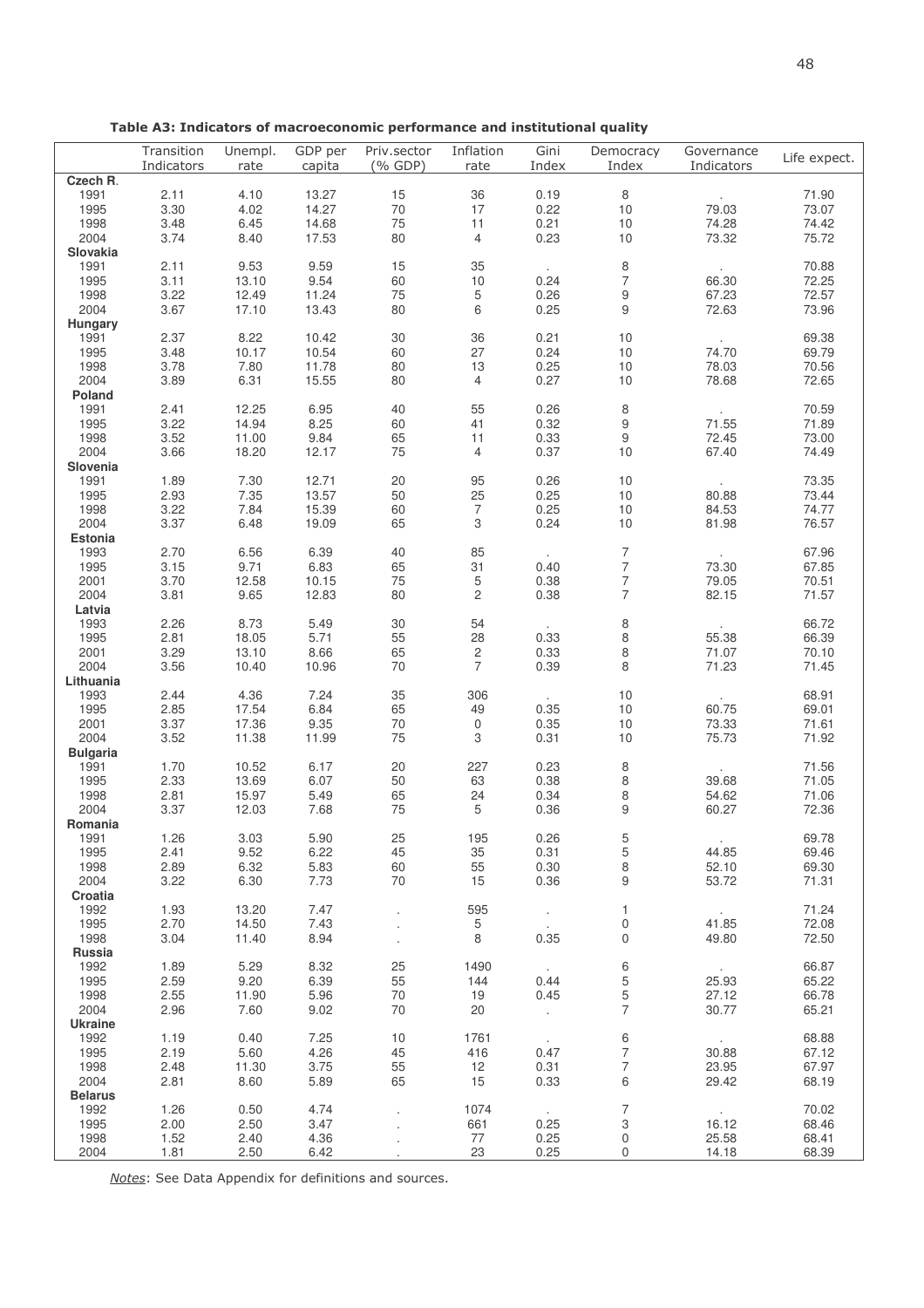|                 | Transition<br>Indicators | Unempl.<br>rate | GDP per<br>capita | Priv.sector<br>(% GDP) | Inflation<br>rate         | Gini<br>Index | Democracy<br>Index | Governance<br>Indicators | Life expect. |
|-----------------|--------------------------|-----------------|-------------------|------------------------|---------------------------|---------------|--------------------|--------------------------|--------------|
| Czech R.        |                          |                 |                   |                        |                           |               |                    |                          |              |
| 1991            | 2.11                     | 4.10            | 13.27             | 15                     | 36                        | 0.19          | 8                  |                          | 71.90        |
| 1995            | 3.30                     | 4.02            | 14.27             | 70                     | 17                        | 0.22          | 10                 | 79.03                    | 73.07        |
| 1998            | 3.48                     | 6.45            | 14.68             | 75                     | 11                        | 0.21          | 10                 | 74.28                    | 74.42        |
| 2004            | 3.74                     | 8.40            | 17.53             | 80                     | $\overline{4}$            | 0.23          | 10                 | 73.32                    | 75.72        |
| Slovakia        |                          |                 |                   |                        |                           |               |                    |                          |              |
| 1991            | 2.11                     | 9.53            | 9.59              | 15                     | 35                        |               | $\,8\,$            |                          | 70.88        |
| 1995            | 3.11                     | 13.10           | 9.54              | 60                     | 10                        | 0.24          | $\overline{7}$     | 66.30                    | 72.25        |
| 1998            | 3.22                     | 12.49           | 11.24             | 75                     | $\sqrt{5}$                | 0.26          | $\boldsymbol{9}$   | 67.23                    | 72.57        |
| 2004            | 3.67                     | 17.10           | 13.43             | 80                     | 6                         | 0.25          | $\mathsf g$        | 72.63                    | 73.96        |
| Hungary         |                          |                 |                   |                        |                           |               |                    |                          |              |
| 1991            | 2.37                     | 8.22            | 10.42             | $30\,$                 | 36                        | 0.21          | 10                 |                          | 69.38        |
| 1995            | 3.48                     | 10.17           | 10.54             | 60                     | 27                        | 0.24          | 10                 | 74.70                    | 69.79        |
| 1998            | 3.78                     | 7.80            | 11.78             | 80                     | 13                        | 0.25          | 10                 | 78.03                    | 70.56        |
| 2004            | 3.89                     | 6.31            | 15.55             | 80                     | $\overline{4}$            | 0.27          | 10                 | 78.68                    | 72.65        |
| Poland          |                          |                 |                   |                        |                           |               |                    |                          |              |
| 1991            | 2.41                     | 12.25           | 6.95              | 40                     | 55                        | 0.26          | $\,8\,$            |                          | 70.59        |
| 1995            | 3.22                     | 14.94           | 8.25              | 60                     | 41                        | 0.32          | $\boldsymbol{9}$   | 71.55                    | 71.89        |
|                 |                          |                 |                   | 65                     |                           | 0.33          | $9\,$              | 72.45                    |              |
| 1998            | 3.52                     | 11.00           | 9.84              |                        | 11                        |               |                    |                          | 73.00        |
| 2004            | 3.66                     | 18.20           | 12.17             | 75                     | $\overline{4}$            | 0.37          | 10                 | 67.40                    | 74.49        |
| Slovenia        |                          |                 |                   |                        |                           |               |                    |                          |              |
| 1991            | 1.89                     | 7.30            | 12.71             | 20                     | 95                        | 0.26          | 10                 |                          | 73.35        |
| 1995            | 2.93                     | 7.35            | 13.57             | 50                     | 25                        | 0.25          | 10                 | 80.88                    | 73.44        |
| 1998            | 3.22                     | 7.84            | 15.39             | 60                     | $\overline{7}$            | 0.25          | 10                 | 84.53                    | 74.77        |
| 2004            | 3.37                     | 6.48            | 19.09             | 65                     | $\ensuremath{\mathsf{3}}$ | 0.24          | 10                 | 81.98                    | 76.57        |
| Estonia         |                          |                 |                   |                        |                           |               |                    |                          |              |
| 1993            | 2.70                     | 6.56            | 6.39              | 40                     | 85                        | $\sim$        | $\overline{7}$     | $\sim 100$               | 67.96        |
| 1995            | 3.15                     | 9.71            | 6.83              | 65                     | 31                        | 0.40          | $\overline{7}$     | 73.30                    | 67.85        |
| 2001            | 3.70                     | 12.58           | 10.15             | 75                     | $\,$ 5 $\,$               | 0.38          | $\overline{7}$     | 79.05                    | 70.51        |
| 2004            | 3.81                     | 9.65            | 12.83             | 80                     | $\overline{c}$            | 0.38          | $\overline{7}$     | 82.15                    | 71.57        |
| Latvia          |                          |                 |                   |                        |                           |               |                    |                          |              |
| 1993            | 2.26                     | 8.73            | 5.49              | $30\,$                 | 54                        |               | $\,8\,$            |                          | 66.72        |
| 1995            | 2.81                     | 18.05           | 5.71              | 55                     | 28                        | 0.33          | $\,8\,$            | 55.38                    | 66.39        |
| 2001            | 3.29                     | 13.10           | 8.66              | 65                     | $\overline{c}$            | 0.33          | $\,8\,$            | 71.07                    | 70.10        |
| 2004            | 3.56                     | 10.40           | 10.96             | 70                     | $\overline{7}$            | 0.39          | 8                  | 71.23                    | 71.45        |
| Lithuania       |                          |                 |                   |                        |                           |               |                    |                          |              |
| 1993            | 2.44                     | 4.36            | 7.24              | 35                     | 306                       |               | 10                 |                          | 68.91        |
| 1995            | 2.85                     | 17.54           | 6.84              | 65                     | 49                        | 0.35          | 10                 | 60.75                    | 69.01        |
| 2001            | 3.37                     | 17.36           | 9.35              | $70$                   | $\mathsf{O}\xspace$       | 0.35          | 10                 | 73.33                    | 71.61        |
| 2004            | 3.52                     | 11.38           | 11.99             | 75                     | 3                         | 0.31          | 10                 | 75.73                    | 71.92        |
| <b>Bulgaria</b> |                          |                 |                   |                        |                           |               |                    |                          |              |
| 1991            | 1.70                     | 10.52           | 6.17              | 20                     | 227                       | 0.23          | $\,8\,$            |                          | 71.56        |
| 1995            | 2.33                     | 13.69           | 6.07              | 50                     | 63                        | 0.38          | $\bf 8$            | 39.68                    | 71.05        |
| 1998            | 2.81                     | 15.97           | 5.49              | 65                     | 24                        | 0.34          | $\,8\,$            | 54.62                    | 71.06        |
| 2004            | 3.37                     | 12.03           | 7.68              | 75                     | 5                         | 0.36          | 9                  | 60.27                    | 72.36        |
| Romania         |                          |                 |                   |                        |                           |               |                    |                          |              |
| 1991            | 1.26                     | 3.03            | 5.90              | 25                     | 195                       | 0.26          | 5                  |                          | 69.78        |
| 1995            | 2.41                     | 9.52            | 6.22              | 45                     | 35                        | 0.31          | 5                  | 44.85                    | 69.46        |
| 1998            | 2.89                     | 6.32            | 5.83              | 60                     | 55                        | 0.30          | 8                  | 52.10                    | 69.30        |
| 2004            | 3.22                     | 6.30            | 7.73              | 70                     | 15                        | 0.36          | 9                  | 53.72                    | 71.31        |
| Croatia         |                          |                 |                   |                        |                           |               |                    |                          |              |
| 1992            | 1.93                     | 13.20           | 7.47              |                        | 595                       |               | 1                  |                          | 71.24        |
| 1995            | 2.70                     | 14.50           | 7.43              |                        | 5                         | $\sim$        | 0                  | 41.85                    | 72.08        |
| 1998            |                          |                 |                   |                        | 8                         | $\sim$        | 0                  |                          |              |
|                 | 3.04                     | 11.40           | 8.94              |                        |                           | 0.35          |                    | 49.80                    | 72.50        |
| <b>Russia</b>   |                          |                 |                   |                        |                           |               |                    |                          |              |
| 1992            | 1.89                     | 5.29            | 8.32              | 25                     | 1490                      |               | 6                  |                          | 66.87        |
| 1995            | 2.59                     | 9.20            | 6.39              | 55                     | 144                       | 0.44          | 5                  | 25.93                    | 65.22        |
| 1998            | 2.55                     | 11.90           | 5.96              | 70                     | 19                        | 0.45          | 5                  | 27.12                    | 66.78        |
| 2004            | 2.96                     | 7.60            | 9.02              | 70                     | 20                        | $\mathcal{A}$ | $\overline{7}$     | 30.77                    | 65.21        |
| <b>Ukraine</b>  |                          |                 |                   |                        |                           |               |                    |                          |              |
| 1992            | 1.19                     | 0.40            | 7.25              | 10                     | 1761                      | $\sim$        | 6                  |                          | 68.88        |
| 1995            | 2.19                     | 5.60            | 4.26              | 45                     | 416                       | 0.47          | 7                  | 30.88                    | 67.12        |
| 1998            | 2.48                     | 11.30           | 3.75              | 55                     | 12                        | 0.31          | 7                  | 23.95                    | 67.97        |
| 2004            | 2.81                     | 8.60            | 5.89              | 65                     | 15                        | 0.33          | 6                  | 29.42                    | 68.19        |
| <b>Belarus</b>  |                          |                 |                   |                        |                           |               |                    |                          |              |
| 1992            | 1.26                     | 0.50            | 4.74              |                        | 1074                      | $\sim$        | $\overline{7}$     |                          | 70.02        |
| 1995            | 2.00                     | 2.50            | 3.47              |                        | 661                       | 0.25          | 3                  | 16.12                    | 68.46        |
| 1998            | 1.52                     | 2.40            | 4.36              |                        | 77                        | 0.25          | 0                  | 25.58                    | 68.41        |
| 2004            | 1.81                     | 2.50            | 6.42              |                        | 23                        | 0.25          | 0                  | 14.18                    | 68.39        |

Notes: See Data Appendix for definitions and sources.